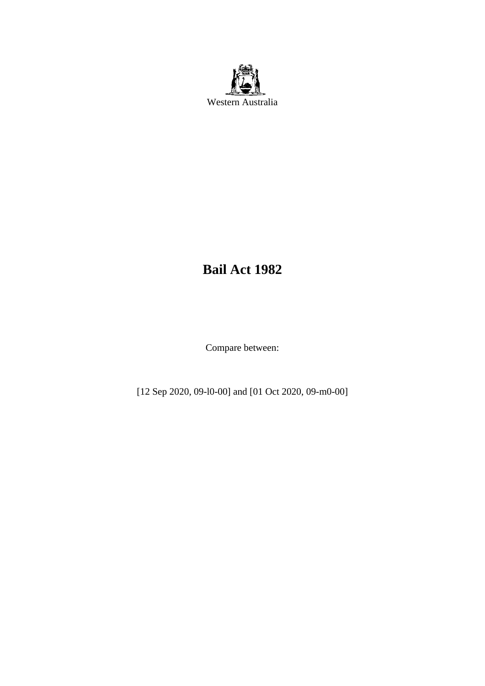

# **Bail Act 1982**

Compare between:

[12 Sep 2020, 09-l0-00] and [01 Oct 2020, 09-m0-00]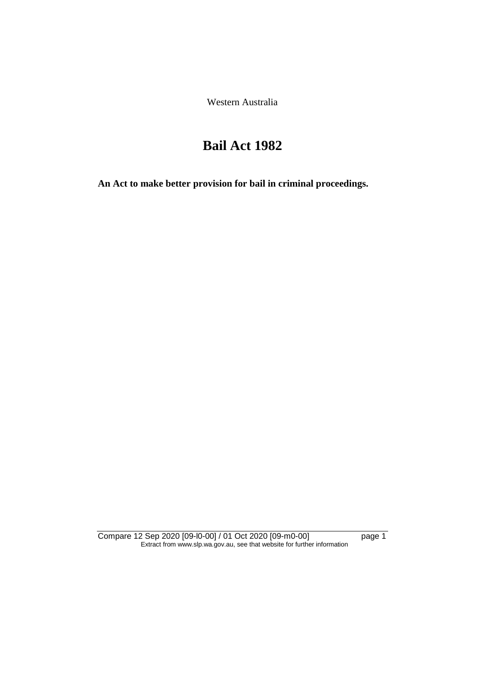Western Australia

# **Bail Act 1982**

**An Act to make better provision for bail in criminal proceedings.** 

Compare 12 Sep 2020 [09-l0-00] / 01 Oct 2020 [09-m0-00] page 1 Extract from www.slp.wa.gov.au, see that website for further information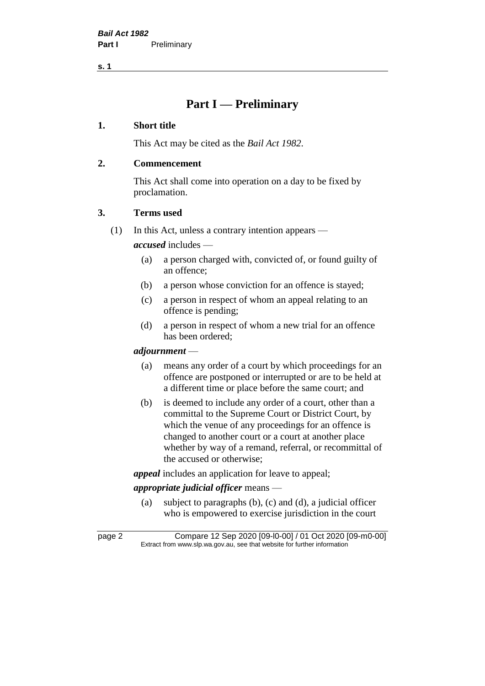## **Part I — Preliminary**

#### **1. Short title**

This Act may be cited as the *Bail Act 1982*.

## **2. Commencement**

This Act shall come into operation on a day to be fixed by proclamation.

## **3. Terms used**

(1) In this Act, unless a contrary intention appears —

*accused* includes —

- (a) a person charged with, convicted of, or found guilty of an offence;
- (b) a person whose conviction for an offence is stayed;
- (c) a person in respect of whom an appeal relating to an offence is pending;
- (d) a person in respect of whom a new trial for an offence has been ordered;

#### *adjournment* —

- (a) means any order of a court by which proceedings for an offence are postponed or interrupted or are to be held at a different time or place before the same court; and
- (b) is deemed to include any order of a court, other than a committal to the Supreme Court or District Court, by which the venue of any proceedings for an offence is changed to another court or a court at another place whether by way of a remand, referral, or recommittal of the accused or otherwise;

*appeal* includes an application for leave to appeal;

## *appropriate judicial officer* means —

(a) subject to paragraphs (b), (c) and (d), a judicial officer who is empowered to exercise jurisdiction in the court

page 2 Compare 12 Sep 2020 [09-l0-00] / 01 Oct 2020 [09-m0-00] Extract from www.slp.wa.gov.au, see that website for further information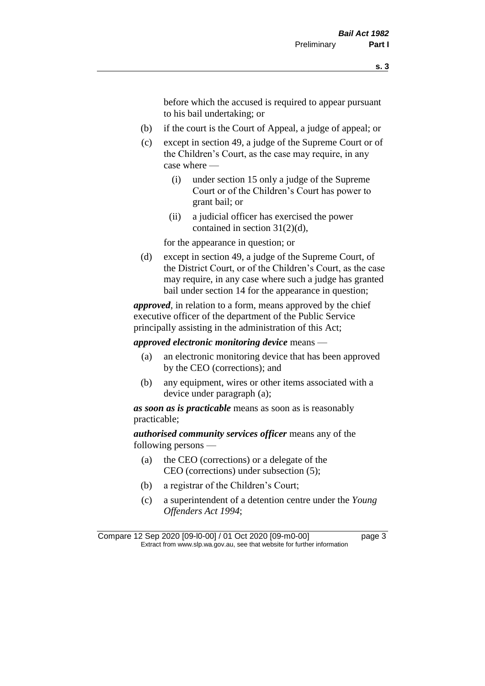before which the accused is required to appear pursuant to his bail undertaking; or

- (b) if the court is the Court of Appeal, a judge of appeal; or
- (c) except in section 49, a judge of the Supreme Court or of the Children's Court, as the case may require, in any case where —
	- (i) under section 15 only a judge of the Supreme Court or of the Children's Court has power to grant bail; or
	- (ii) a judicial officer has exercised the power contained in section 31(2)(d),

for the appearance in question; or

(d) except in section 49, a judge of the Supreme Court, of the District Court, or of the Children's Court, as the case may require, in any case where such a judge has granted bail under section 14 for the appearance in question;

*approved*, in relation to a form, means approved by the chief executive officer of the department of the Public Service principally assisting in the administration of this Act;

*approved electronic monitoring device* means —

- (a) an electronic monitoring device that has been approved by the CEO (corrections); and
- (b) any equipment, wires or other items associated with a device under paragraph (a);

*as soon as is practicable* means as soon as is reasonably practicable;

*authorised community services officer* means any of the following persons —

- (a) the CEO (corrections) or a delegate of the CEO (corrections) under subsection (5);
- (b) a registrar of the Children's Court;
- (c) a superintendent of a detention centre under the *Young Offenders Act 1994*;

Compare 12 Sep 2020 [09-l0-00] / 01 Oct 2020 [09-m0-00] page 3 Extract from www.slp.wa.gov.au, see that website for further information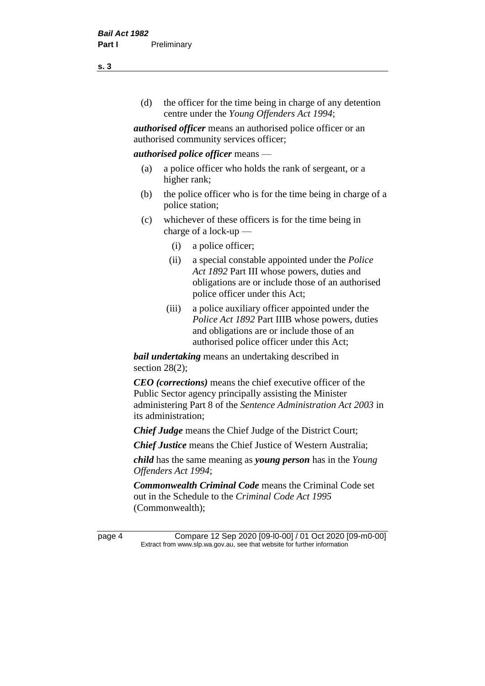(d) the officer for the time being in charge of any detention centre under the *Young Offenders Act 1994*;

*authorised officer* means an authorised police officer or an authorised community services officer;

#### *authorised police officer* means —

- (a) a police officer who holds the rank of sergeant, or a higher rank;
- (b) the police officer who is for the time being in charge of a police station;
- (c) whichever of these officers is for the time being in charge of a lock-up —
	- (i) a police officer;
	- (ii) a special constable appointed under the *Police Act 1892* Part III whose powers, duties and obligations are or include those of an authorised police officer under this Act;
	- (iii) a police auxiliary officer appointed under the *Police Act 1892* Part IIIB whose powers, duties and obligations are or include those of an authorised police officer under this Act;

*bail undertaking* means an undertaking described in section 28(2);

*CEO (corrections)* means the chief executive officer of the Public Sector agency principally assisting the Minister administering Part 8 of the *Sentence Administration Act 2003* in its administration;

*Chief Judge* means the Chief Judge of the District Court;

*Chief Justice* means the Chief Justice of Western Australia;

*child* has the same meaning as *young person* has in the *Young Offenders Act 1994*;

*Commonwealth Criminal Code* means the Criminal Code set out in the Schedule to the *Criminal Code Act 1995* (Commonwealth);

page 4 Compare 12 Sep 2020 [09-l0-00] / 01 Oct 2020 [09-m0-00] Extract from www.slp.wa.gov.au, see that website for further information

**s. 3**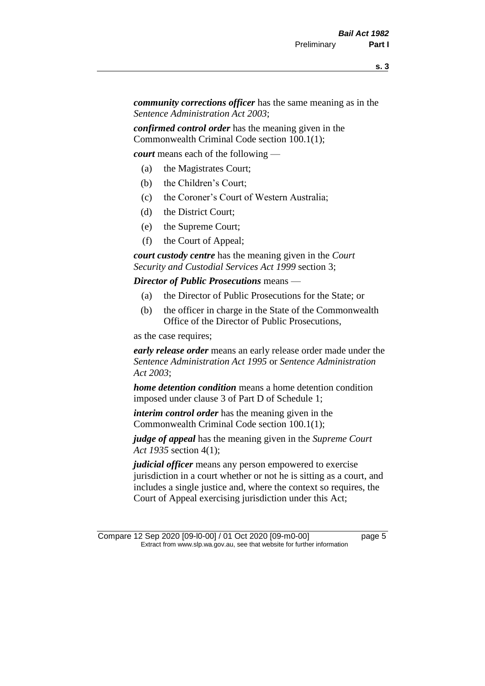*community corrections officer* has the same meaning as in the *Sentence Administration Act 2003*;

*confirmed control order* has the meaning given in the Commonwealth Criminal Code section 100.1(1);

*court* means each of the following —

- (a) the Magistrates Court;
- (b) the Children's Court;
- (c) the Coroner's Court of Western Australia;
- (d) the District Court;
- (e) the Supreme Court;
- (f) the Court of Appeal;

*court custody centre* has the meaning given in the *Court Security and Custodial Services Act 1999* section 3;

*Director of Public Prosecutions* means —

- (a) the Director of Public Prosecutions for the State; or
- (b) the officer in charge in the State of the Commonwealth Office of the Director of Public Prosecutions,

as the case requires;

*early release order* means an early release order made under the *Sentence Administration Act 1995* or *Sentence Administration Act 2003*;

*home detention condition* means a home detention condition imposed under clause 3 of Part D of Schedule 1;

*interim control order* has the meaning given in the Commonwealth Criminal Code section 100.1(1);

*judge of appeal* has the meaning given in the *Supreme Court Act 1935* section 4(1);

*judicial officer* means any person empowered to exercise jurisdiction in a court whether or not he is sitting as a court, and includes a single justice and, where the context so requires, the Court of Appeal exercising jurisdiction under this Act;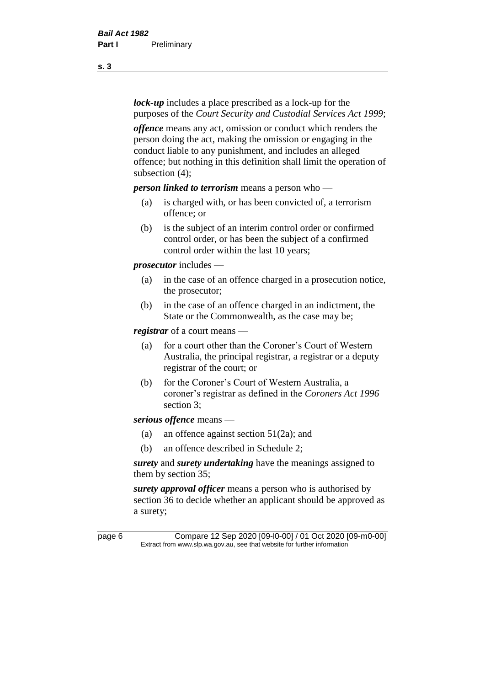*lock-up* includes a place prescribed as a lock-up for the purposes of the *Court Security and Custodial Services Act 1999*;

*offence* means any act, omission or conduct which renders the person doing the act, making the omission or engaging in the conduct liable to any punishment, and includes an alleged offence; but nothing in this definition shall limit the operation of subsection (4);

*person linked to terrorism* means a person who —

- (a) is charged with, or has been convicted of, a terrorism offence; or
- (b) is the subject of an interim control order or confirmed control order, or has been the subject of a confirmed control order within the last 10 years;

*prosecutor* includes —

- (a) in the case of an offence charged in a prosecution notice, the prosecutor;
- (b) in the case of an offence charged in an indictment, the State or the Commonwealth, as the case may be;

*registrar* of a court means —

- (a) for a court other than the Coroner's Court of Western Australia, the principal registrar, a registrar or a deputy registrar of the court; or
- (b) for the Coroner's Court of Western Australia, a coroner's registrar as defined in the *Coroners Act 1996* section 3;

*serious offence* means —

- (a) an offence against section 51(2a); and
- (b) an offence described in Schedule 2;

*surety* and *surety undertaking* have the meanings assigned to them by section 35;

*surety approval officer* means a person who is authorised by section 36 to decide whether an applicant should be approved as a surety;

page 6 Compare 12 Sep 2020 [09-l0-00] / 01 Oct 2020 [09-m0-00] Extract from www.slp.wa.gov.au, see that website for further information

**s. 3**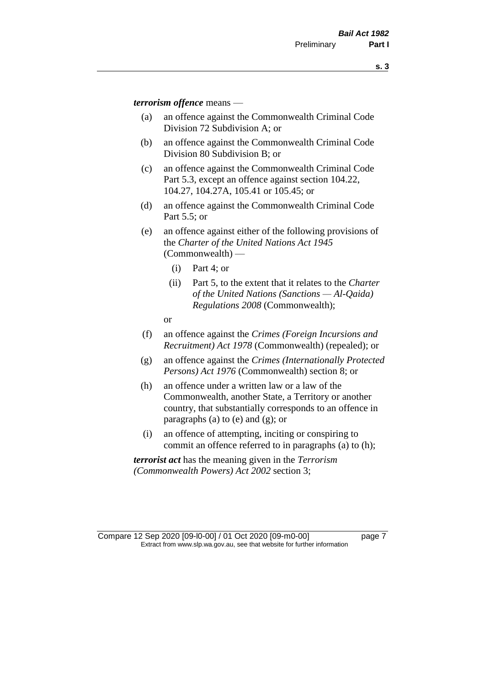*terrorism offence* means —

- (a) an offence against the Commonwealth Criminal Code Division 72 Subdivision A; or
- (b) an offence against the Commonwealth Criminal Code Division 80 Subdivision B; or
- (c) an offence against the Commonwealth Criminal Code Part 5.3, except an offence against section 104.22, 104.27, 104.27A, 105.41 or 105.45; or
- (d) an offence against the Commonwealth Criminal Code Part 5.5; or
- (e) an offence against either of the following provisions of the *Charter of the United Nations Act 1945*  (Commonwealth) —
	- (i) Part 4; or
	- (ii) Part 5, to the extent that it relates to the *Charter of the United Nations (Sanctions — Al-Qaida) Regulations 2008* (Commonwealth);
	- or
- (f) an offence against the *Crimes (Foreign Incursions and Recruitment) Act 1978* (Commonwealth) (repealed); or
- (g) an offence against the *Crimes (Internationally Protected Persons) Act 1976* (Commonwealth) section 8; or
- (h) an offence under a written law or a law of the Commonwealth, another State, a Territory or another country, that substantially corresponds to an offence in paragraphs (a) to (e) and (g); or
- (i) an offence of attempting, inciting or conspiring to commit an offence referred to in paragraphs (a) to (h);

*terrorist act* has the meaning given in the *Terrorism (Commonwealth Powers) Act 2002* section 3;

Compare 12 Sep 2020 [09-l0-00] / 01 Oct 2020 [09-m0-00] page 7 Extract from www.slp.wa.gov.au, see that website for further information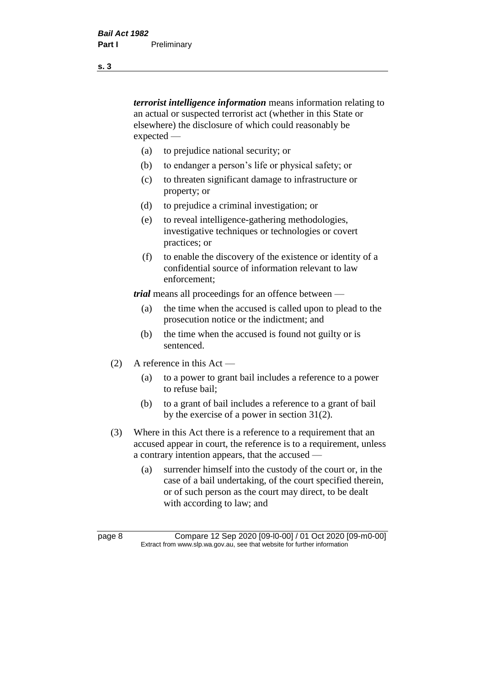*terrorist intelligence information* means information relating to an actual or suspected terrorist act (whether in this State or elsewhere) the disclosure of which could reasonably be expected —

- (a) to prejudice national security; or
- (b) to endanger a person's life or physical safety; or
- (c) to threaten significant damage to infrastructure or property; or
- (d) to prejudice a criminal investigation; or
- (e) to reveal intelligence-gathering methodologies, investigative techniques or technologies or covert practices; or
- (f) to enable the discovery of the existence or identity of a confidential source of information relevant to law enforcement;

*trial* means all proceedings for an offence between —

- (a) the time when the accused is called upon to plead to the prosecution notice or the indictment; and
- (b) the time when the accused is found not guilty or is sentenced.
- (2) A reference in this Act
	- (a) to a power to grant bail includes a reference to a power to refuse bail;
	- (b) to a grant of bail includes a reference to a grant of bail by the exercise of a power in section 31(2).
- (3) Where in this Act there is a reference to a requirement that an accused appear in court, the reference is to a requirement, unless a contrary intention appears, that the accused —
	- (a) surrender himself into the custody of the court or, in the case of a bail undertaking, of the court specified therein, or of such person as the court may direct, to be dealt with according to law; and

page 8 Compare 12 Sep 2020 [09-l0-00] / 01 Oct 2020 [09-m0-00] Extract from www.slp.wa.gov.au, see that website for further information

**s. 3**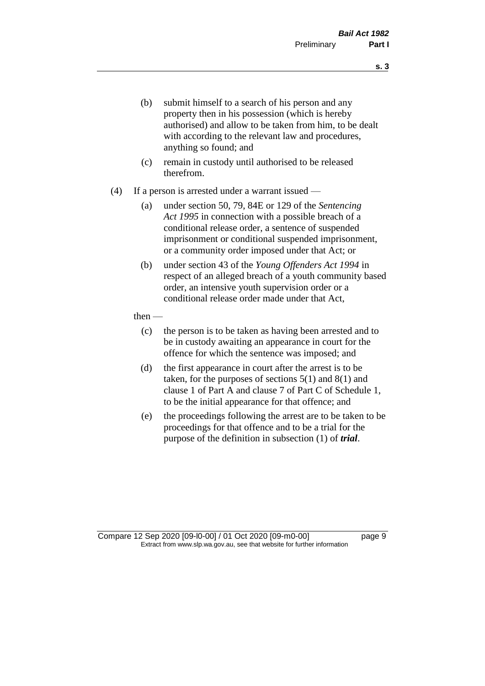- (b) submit himself to a search of his person and any property then in his possession (which is hereby authorised) and allow to be taken from him, to be dealt with according to the relevant law and procedures, anything so found; and
- (c) remain in custody until authorised to be released therefrom.
- (4) If a person is arrested under a warrant issued
	- (a) under section 50, 79, 84E or 129 of the *Sentencing Act 1995* in connection with a possible breach of a conditional release order, a sentence of suspended imprisonment or conditional suspended imprisonment, or a community order imposed under that Act; or
	- (b) under section 43 of the *Young Offenders Act 1994* in respect of an alleged breach of a youth community based order, an intensive youth supervision order or a conditional release order made under that Act,
	- then
		- (c) the person is to be taken as having been arrested and to be in custody awaiting an appearance in court for the offence for which the sentence was imposed; and
		- (d) the first appearance in court after the arrest is to be taken, for the purposes of sections  $5(1)$  and  $8(1)$  and clause 1 of Part A and clause 7 of Part C of Schedule 1, to be the initial appearance for that offence; and
		- (e) the proceedings following the arrest are to be taken to be proceedings for that offence and to be a trial for the purpose of the definition in subsection (1) of *trial*.

Compare 12 Sep 2020 [09-l0-00] / 01 Oct 2020 [09-m0-00] page 9 Extract from www.slp.wa.gov.au, see that website for further information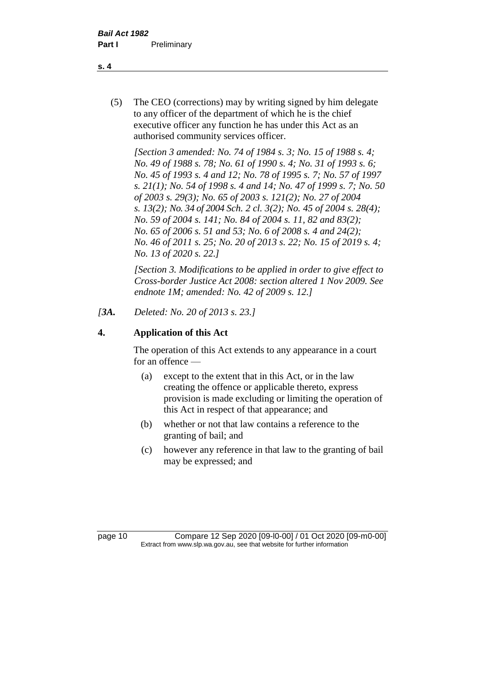(5) The CEO (corrections) may by writing signed by him delegate to any officer of the department of which he is the chief executive officer any function he has under this Act as an authorised community services officer.

*[Section 3 amended: No. 74 of 1984 s. 3; No. 15 of 1988 s. 4; No. 49 of 1988 s. 78; No. 61 of 1990 s. 4; No. 31 of 1993 s. 6; No. 45 of 1993 s. 4 and 12; No. 78 of 1995 s. 7; No. 57 of 1997 s. 21(1); No. 54 of 1998 s. 4 and 14; No. 47 of 1999 s. 7; No. 50 of 2003 s. 29(3); No. 65 of 2003 s. 121(2); No. 27 of 2004 s. 13(2); No. 34 of 2004 Sch. 2 cl. 3(2); No. 45 of 2004 s. 28(4); No. 59 of 2004 s. 141; No. 84 of 2004 s. 11, 82 and 83(2); No. 65 of 2006 s. 51 and 53; No. 6 of 2008 s. 4 and 24(2); No. 46 of 2011 s. 25; No. 20 of 2013 s. 22; No. 15 of 2019 s. 4; No. 13 of 2020 s. 22.]* 

*[Section 3. Modifications to be applied in order to give effect to Cross-border Justice Act 2008: section altered 1 Nov 2009. See endnote 1M; amended: No. 42 of 2009 s. 12.]*

*[3A. Deleted: No. 20 of 2013 s. 23.]*

## **4. Application of this Act**

The operation of this Act extends to any appearance in a court for an offence —

- (a) except to the extent that in this Act, or in the law creating the offence or applicable thereto, express provision is made excluding or limiting the operation of this Act in respect of that appearance; and
- (b) whether or not that law contains a reference to the granting of bail; and
- (c) however any reference in that law to the granting of bail may be expressed; and

page 10 Compare 12 Sep 2020 [09-l0-00] / 01 Oct 2020 [09-m0-00] Extract from www.slp.wa.gov.au, see that website for further information

**s. 4**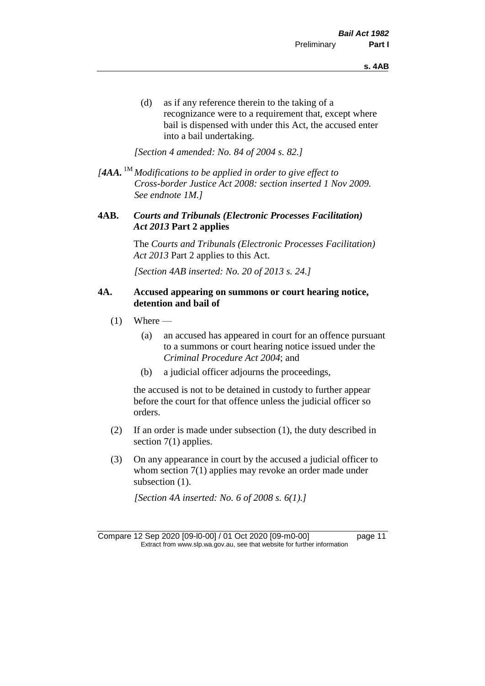(d) as if any reference therein to the taking of a recognizance were to a requirement that, except where bail is dispensed with under this Act, the accused enter into a bail undertaking.

*[Section 4 amended: No. 84 of 2004 s. 82.]*

*[4AA.* 1M *Modifications to be applied in order to give effect to Cross-border Justice Act 2008: section inserted 1 Nov 2009. See endnote 1M.]*

#### **4AB.** *Courts and Tribunals (Electronic Processes Facilitation) Act 2013* **Part 2 applies**

The *Courts and Tribunals (Electronic Processes Facilitation) Act 2013* Part 2 applies to this Act.

*[Section 4AB inserted: No. 20 of 2013 s. 24.]*

#### **4A. Accused appearing on summons or court hearing notice, detention and bail of**

- $(1)$  Where
	- (a) an accused has appeared in court for an offence pursuant to a summons or court hearing notice issued under the *Criminal Procedure Act 2004*; and
	- (b) a judicial officer adjourns the proceedings,

the accused is not to be detained in custody to further appear before the court for that offence unless the judicial officer so orders.

- (2) If an order is made under subsection (1), the duty described in section 7(1) applies.
- (3) On any appearance in court by the accused a judicial officer to whom section 7(1) applies may revoke an order made under subsection  $(1)$ .

*[Section 4A inserted: No. 6 of 2008 s. 6(1).]*

Compare 12 Sep 2020 [09-l0-00] / 01 Oct 2020 [09-m0-00] page 11 Extract from www.slp.wa.gov.au, see that website for further information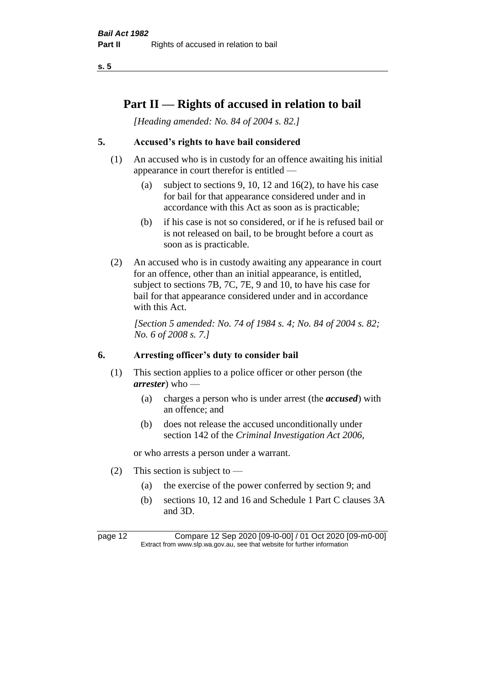## **Part II — Rights of accused in relation to bail**

*[Heading amended: No. 84 of 2004 s. 82.]* 

## **5. Accused's rights to have bail considered**

- (1) An accused who is in custody for an offence awaiting his initial appearance in court therefor is entitled —
	- (a) subject to sections 9, 10, 12 and 16(2), to have his case for bail for that appearance considered under and in accordance with this Act as soon as is practicable;
	- (b) if his case is not so considered, or if he is refused bail or is not released on bail, to be brought before a court as soon as is practicable.
- (2) An accused who is in custody awaiting any appearance in court for an offence, other than an initial appearance, is entitled, subject to sections 7B, 7C, 7E, 9 and 10, to have his case for bail for that appearance considered under and in accordance with this Act.

*[Section 5 amended: No. 74 of 1984 s. 4; No. 84 of 2004 s. 82; No. 6 of 2008 s. 7.]* 

#### **6. Arresting officer's duty to consider bail**

- (1) This section applies to a police officer or other person (the *arrester*) who —
	- (a) charges a person who is under arrest (the *accused*) with an offence; and
	- (b) does not release the accused unconditionally under section 142 of the *Criminal Investigation Act 2006*,

or who arrests a person under a warrant.

- (2) This section is subject to  $-$ 
	- (a) the exercise of the power conferred by section 9; and
	- (b) sections 10, 12 and 16 and Schedule 1 Part C clauses 3A and 3D.

page 12 Compare 12 Sep 2020 [09-l0-00] / 01 Oct 2020 [09-m0-00] Extract from www.slp.wa.gov.au, see that website for further information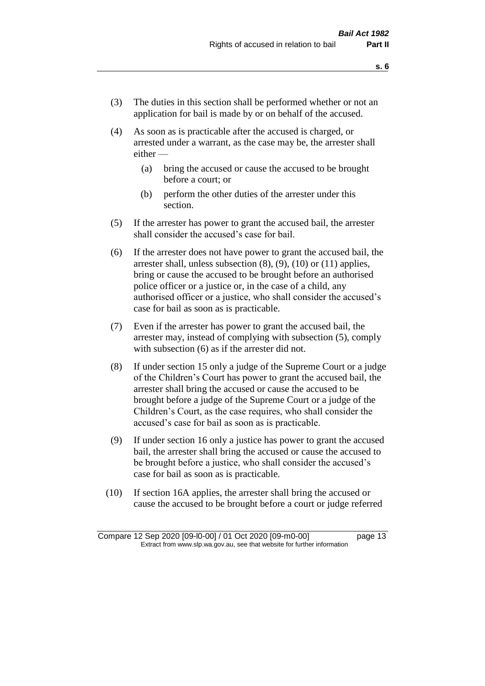- (3) The duties in this section shall be performed whether or not an application for bail is made by or on behalf of the accused.
- (4) As soon as is practicable after the accused is charged, or arrested under a warrant, as the case may be, the arrester shall either —
	- (a) bring the accused or cause the accused to be brought before a court; or
	- (b) perform the other duties of the arrester under this section.
- (5) If the arrester has power to grant the accused bail, the arrester shall consider the accused's case for bail.
- (6) If the arrester does not have power to grant the accused bail, the arrester shall, unless subsection (8), (9), (10) or (11) applies, bring or cause the accused to be brought before an authorised police officer or a justice or, in the case of a child, any authorised officer or a justice, who shall consider the accused's case for bail as soon as is practicable.
- (7) Even if the arrester has power to grant the accused bail, the arrester may, instead of complying with subsection (5), comply with subsection  $(6)$  as if the arrester did not.
- (8) If under section 15 only a judge of the Supreme Court or a judge of the Children's Court has power to grant the accused bail, the arrester shall bring the accused or cause the accused to be brought before a judge of the Supreme Court or a judge of the Children's Court, as the case requires, who shall consider the accused's case for bail as soon as is practicable.
- (9) If under section 16 only a justice has power to grant the accused bail, the arrester shall bring the accused or cause the accused to be brought before a justice, who shall consider the accused's case for bail as soon as is practicable.
- (10) If section 16A applies, the arrester shall bring the accused or cause the accused to be brought before a court or judge referred

Compare 12 Sep 2020 [09-l0-00] / 01 Oct 2020 [09-m0-00] page 13 Extract from www.slp.wa.gov.au, see that website for further information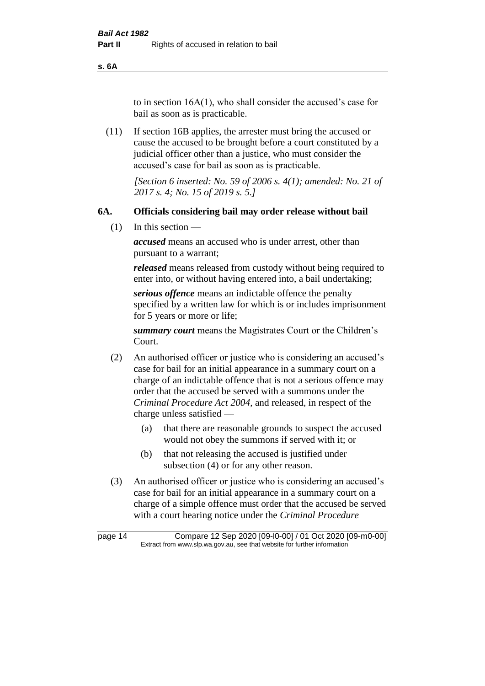**s. 6A**

to in section 16A(1), who shall consider the accused's case for bail as soon as is practicable.

(11) If section 16B applies, the arrester must bring the accused or cause the accused to be brought before a court constituted by a judicial officer other than a justice, who must consider the accused's case for bail as soon as is practicable.

> *[Section 6 inserted: No. 59 of 2006 s. 4(1); amended: No. 21 of 2017 s. 4; No. 15 of 2019 s. 5.]*

#### **6A. Officials considering bail may order release without bail**

(1) In this section —

*accused* means an accused who is under arrest, other than pursuant to a warrant;

*released* means released from custody without being required to enter into, or without having entered into, a bail undertaking;

*serious offence* means an indictable offence the penalty specified by a written law for which is or includes imprisonment for 5 years or more or life;

*summary court* means the Magistrates Court or the Children's Court.

- (2) An authorised officer or justice who is considering an accused's case for bail for an initial appearance in a summary court on a charge of an indictable offence that is not a serious offence may order that the accused be served with a summons under the *Criminal Procedure Act 2004*, and released, in respect of the charge unless satisfied —
	- (a) that there are reasonable grounds to suspect the accused would not obey the summons if served with it; or
	- (b) that not releasing the accused is justified under subsection (4) or for any other reason.
- (3) An authorised officer or justice who is considering an accused's case for bail for an initial appearance in a summary court on a charge of a simple offence must order that the accused be served with a court hearing notice under the *Criminal Procedure*

page 14 Compare 12 Sep 2020 [09-l0-00] / 01 Oct 2020 [09-m0-00] Extract from www.slp.wa.gov.au, see that website for further information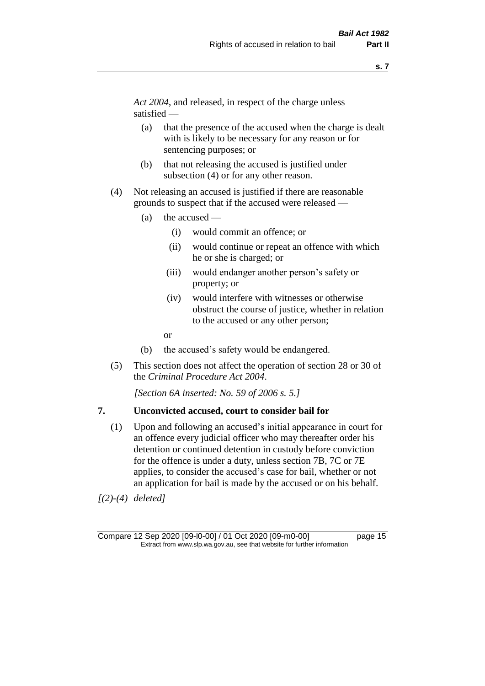*Act 2004*, and released, in respect of the charge unless satisfied —

- (a) that the presence of the accused when the charge is dealt with is likely to be necessary for any reason or for sentencing purposes; or
- (b) that not releasing the accused is justified under subsection (4) or for any other reason.
- (4) Not releasing an accused is justified if there are reasonable grounds to suspect that if the accused were released —
	- (a) the accused
		- (i) would commit an offence; or
		- (ii) would continue or repeat an offence with which he or she is charged; or
		- (iii) would endanger another person's safety or property; or
		- (iv) would interfere with witnesses or otherwise obstruct the course of justice, whether in relation to the accused or any other person;
		- or
	- (b) the accused's safety would be endangered.
- (5) This section does not affect the operation of section 28 or 30 of the *Criminal Procedure Act 2004*.

*[Section 6A inserted: No. 59 of 2006 s. 5.]* 

#### **7. Unconvicted accused, court to consider bail for**

(1) Upon and following an accused's initial appearance in court for an offence every judicial officer who may thereafter order his detention or continued detention in custody before conviction for the offence is under a duty, unless section 7B, 7C or 7E applies, to consider the accused's case for bail, whether or not an application for bail is made by the accused or on his behalf.

*[(2)-(4) deleted]*

Compare 12 Sep 2020 [09-l0-00] / 01 Oct 2020 [09-m0-00] page 15 Extract from www.slp.wa.gov.au, see that website for further information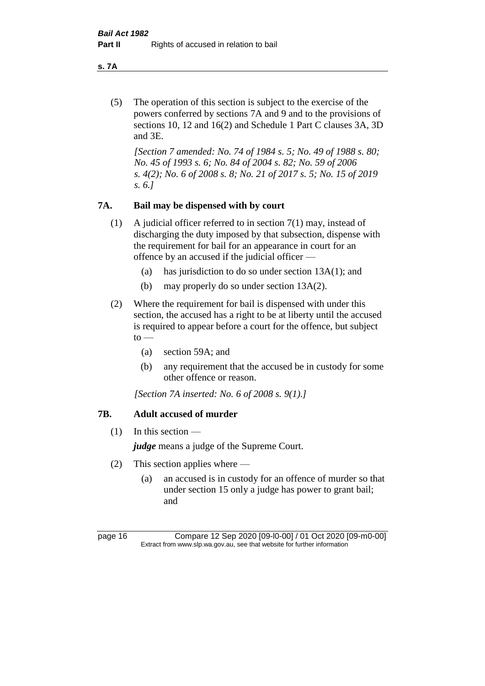**s. 7A**

(5) The operation of this section is subject to the exercise of the powers conferred by sections 7A and 9 and to the provisions of sections 10, 12 and 16(2) and Schedule 1 Part C clauses 3A, 3D and 3E.

*[Section 7 amended: No. 74 of 1984 s. 5; No. 49 of 1988 s. 80; No. 45 of 1993 s. 6; No. 84 of 2004 s. 82; No. 59 of 2006 s. 4(2); No. 6 of 2008 s. 8; No. 21 of 2017 s. 5; No. 15 of 2019 s. 6.]* 

## **7A. Bail may be dispensed with by court**

- (1) A judicial officer referred to in section 7(1) may, instead of discharging the duty imposed by that subsection, dispense with the requirement for bail for an appearance in court for an offence by an accused if the judicial officer —
	- (a) has jurisdiction to do so under section 13A(1); and
	- (b) may properly do so under section 13A(2).
- (2) Where the requirement for bail is dispensed with under this section, the accused has a right to be at liberty until the accused is required to appear before a court for the offence, but subject  $to -$ 
	- (a) section 59A; and
	- (b) any requirement that the accused be in custody for some other offence or reason.

*[Section 7A inserted: No. 6 of 2008 s. 9(1).]*

## **7B. Adult accused of murder**

 $(1)$  In this section —

*judge* means a judge of the Supreme Court.

- (2) This section applies where
	- (a) an accused is in custody for an offence of murder so that under section 15 only a judge has power to grant bail; and

page 16 Compare 12 Sep 2020 [09-l0-00] / 01 Oct 2020 [09-m0-00] Extract from www.slp.wa.gov.au, see that website for further information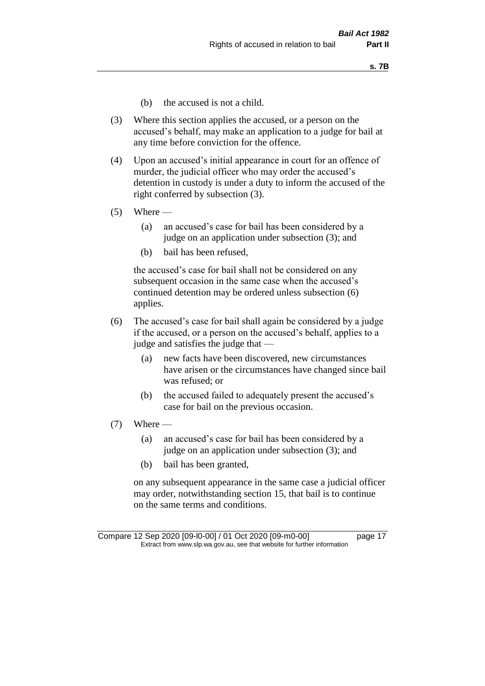- (b) the accused is not a child.
- (3) Where this section applies the accused, or a person on the accused's behalf, may make an application to a judge for bail at any time before conviction for the offence.
- (4) Upon an accused's initial appearance in court for an offence of murder, the judicial officer who may order the accused's detention in custody is under a duty to inform the accused of the right conferred by subsection (3).
- $(5)$  Where
	- (a) an accused's case for bail has been considered by a judge on an application under subsection (3); and
	- (b) bail has been refused,

the accused's case for bail shall not be considered on any subsequent occasion in the same case when the accused's continued detention may be ordered unless subsection (6) applies.

- (6) The accused's case for bail shall again be considered by a judge if the accused, or a person on the accused's behalf, applies to a judge and satisfies the judge that —
	- (a) new facts have been discovered, new circumstances have arisen or the circumstances have changed since bail was refused; or
	- (b) the accused failed to adequately present the accused's case for bail on the previous occasion.
- $(7)$  Where
	- (a) an accused's case for bail has been considered by a judge on an application under subsection (3); and
	- (b) bail has been granted,

on any subsequent appearance in the same case a judicial officer may order, notwithstanding section 15, that bail is to continue on the same terms and conditions.

Compare 12 Sep 2020 [09-l0-00] / 01 Oct 2020 [09-m0-00] page 17 Extract from www.slp.wa.gov.au, see that website for further information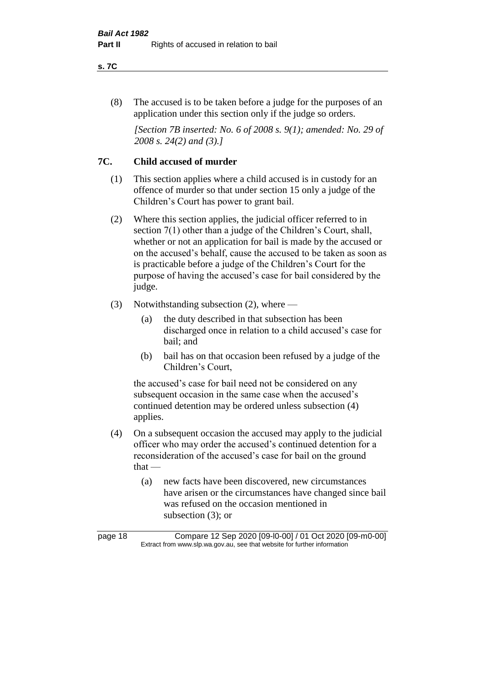#### **s. 7C**

(8) The accused is to be taken before a judge for the purposes of an application under this section only if the judge so orders.

*[Section 7B inserted: No. 6 of 2008 s. 9(1); amended: No. 29 of 2008 s. 24(2) and (3).]*

## **7C. Child accused of murder**

- (1) This section applies where a child accused is in custody for an offence of murder so that under section 15 only a judge of the Children's Court has power to grant bail.
- (2) Where this section applies, the judicial officer referred to in section 7(1) other than a judge of the Children's Court, shall, whether or not an application for bail is made by the accused or on the accused's behalf, cause the accused to be taken as soon as is practicable before a judge of the Children's Court for the purpose of having the accused's case for bail considered by the judge.
- (3) Notwithstanding subsection (2), where
	- (a) the duty described in that subsection has been discharged once in relation to a child accused's case for bail; and
	- (b) bail has on that occasion been refused by a judge of the Children's Court,

the accused's case for bail need not be considered on any subsequent occasion in the same case when the accused's continued detention may be ordered unless subsection (4) applies.

- (4) On a subsequent occasion the accused may apply to the judicial officer who may order the accused's continued detention for a reconsideration of the accused's case for bail on the ground that —
	- (a) new facts have been discovered, new circumstances have arisen or the circumstances have changed since bail was refused on the occasion mentioned in subsection (3); or

page 18 Compare 12 Sep 2020 [09-l0-00] / 01 Oct 2020 [09-m0-00] Extract from www.slp.wa.gov.au, see that website for further information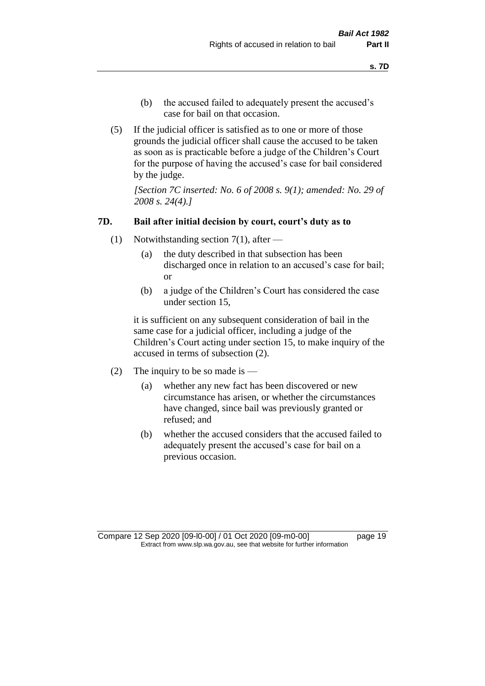- (b) the accused failed to adequately present the accused's case for bail on that occasion.
- (5) If the judicial officer is satisfied as to one or more of those grounds the judicial officer shall cause the accused to be taken as soon as is practicable before a judge of the Children's Court for the purpose of having the accused's case for bail considered by the judge.

*[Section 7C inserted: No. 6 of 2008 s. 9(1); amended: No. 29 of 2008 s. 24(4).]*

#### **7D. Bail after initial decision by court, court's duty as to**

- (1) Notwithstanding section 7(1), after
	- (a) the duty described in that subsection has been discharged once in relation to an accused's case for bail; or
	- (b) a judge of the Children's Court has considered the case under section 15,

it is sufficient on any subsequent consideration of bail in the same case for a judicial officer, including a judge of the Children's Court acting under section 15, to make inquiry of the accused in terms of subsection (2).

- (2) The inquiry to be so made is  $-$ 
	- (a) whether any new fact has been discovered or new circumstance has arisen, or whether the circumstances have changed, since bail was previously granted or refused; and
	- (b) whether the accused considers that the accused failed to adequately present the accused's case for bail on a previous occasion.

Compare 12 Sep 2020 [09-l0-00] / 01 Oct 2020 [09-m0-00] page 19 Extract from www.slp.wa.gov.au, see that website for further information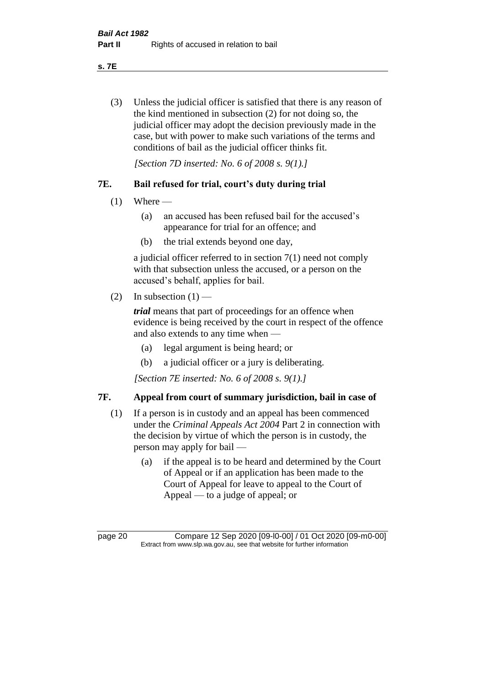**s. 7E**

(3) Unless the judicial officer is satisfied that there is any reason of the kind mentioned in subsection (2) for not doing so, the judicial officer may adopt the decision previously made in the case, but with power to make such variations of the terms and conditions of bail as the judicial officer thinks fit.

*[Section 7D inserted: No. 6 of 2008 s. 9(1).]*

## **7E. Bail refused for trial, court's duty during trial**

- $(1)$  Where
	- (a) an accused has been refused bail for the accused's appearance for trial for an offence; and
	- (b) the trial extends beyond one day,

a judicial officer referred to in section 7(1) need not comply with that subsection unless the accused, or a person on the accused's behalf, applies for bail.

(2) In subsection  $(1)$  —

*trial* means that part of proceedings for an offence when evidence is being received by the court in respect of the offence and also extends to any time when —

- (a) legal argument is being heard; or
- (b) a judicial officer or a jury is deliberating.

*[Section 7E inserted: No. 6 of 2008 s. 9(1).]*

## **7F. Appeal from court of summary jurisdiction, bail in case of**

- (1) If a person is in custody and an appeal has been commenced under the *Criminal Appeals Act 2004* Part 2 in connection with the decision by virtue of which the person is in custody, the person may apply for bail —
	- (a) if the appeal is to be heard and determined by the Court of Appeal or if an application has been made to the Court of Appeal for leave to appeal to the Court of Appeal — to a judge of appeal; or

page 20 Compare 12 Sep 2020 [09-l0-00] / 01 Oct 2020 [09-m0-00] Extract from www.slp.wa.gov.au, see that website for further information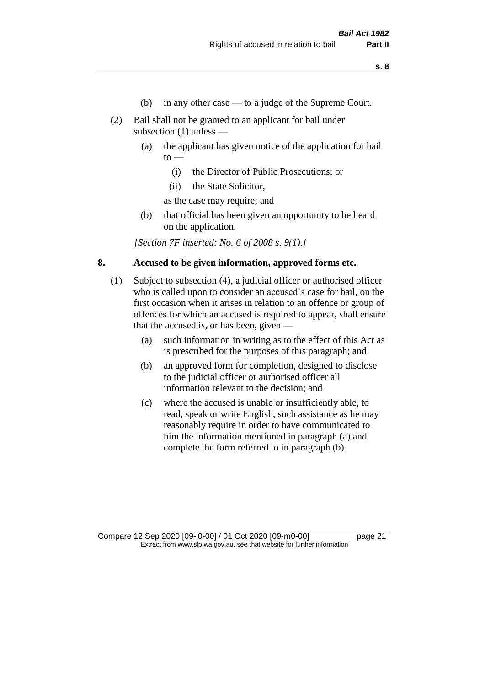- (b) in any other case to a judge of the Supreme Court.
- (2) Bail shall not be granted to an applicant for bail under subsection (1) unless —
	- (a) the applicant has given notice of the application for bail  $to -$ 
		- (i) the Director of Public Prosecutions; or
		- (ii) the State Solicitor,

as the case may require; and

(b) that official has been given an opportunity to be heard on the application.

*[Section 7F inserted: No. 6 of 2008 s. 9(1).]*

## **8. Accused to be given information, approved forms etc.**

- (1) Subject to subsection (4), a judicial officer or authorised officer who is called upon to consider an accused's case for bail, on the first occasion when it arises in relation to an offence or group of offences for which an accused is required to appear, shall ensure that the accused is, or has been, given —
	- (a) such information in writing as to the effect of this Act as is prescribed for the purposes of this paragraph; and
	- (b) an approved form for completion, designed to disclose to the judicial officer or authorised officer all information relevant to the decision; and
	- (c) where the accused is unable or insufficiently able, to read, speak or write English, such assistance as he may reasonably require in order to have communicated to him the information mentioned in paragraph (a) and complete the form referred to in paragraph (b).

Compare 12 Sep 2020 [09-l0-00] / 01 Oct 2020 [09-m0-00] page 21 Extract from www.slp.wa.gov.au, see that website for further information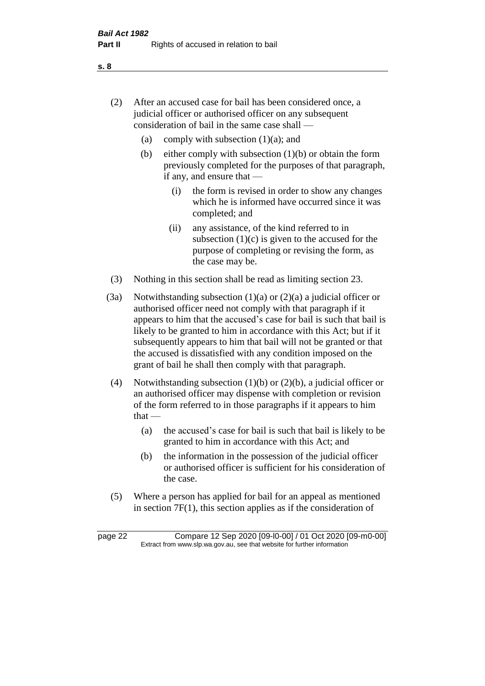- (2) After an accused case for bail has been considered once, a judicial officer or authorised officer on any subsequent consideration of bail in the same case shall —
	- (a) comply with subsection  $(1)(a)$ ; and
	- (b) either comply with subsection  $(1)(b)$  or obtain the form previously completed for the purposes of that paragraph, if any, and ensure that —
		- (i) the form is revised in order to show any changes which he is informed have occurred since it was completed; and
		- (ii) any assistance, of the kind referred to in subsection  $(1)(c)$  is given to the accused for the purpose of completing or revising the form, as the case may be.
- (3) Nothing in this section shall be read as limiting section 23.
- (3a) Notwithstanding subsection  $(1)(a)$  or  $(2)(a)$  a judicial officer or authorised officer need not comply with that paragraph if it appears to him that the accused's case for bail is such that bail is likely to be granted to him in accordance with this Act; but if it subsequently appears to him that bail will not be granted or that the accused is dissatisfied with any condition imposed on the grant of bail he shall then comply with that paragraph.
- (4) Notwithstanding subsection (1)(b) or (2)(b), a judicial officer or an authorised officer may dispense with completion or revision of the form referred to in those paragraphs if it appears to him  $that -$ 
	- (a) the accused's case for bail is such that bail is likely to be granted to him in accordance with this Act; and
	- (b) the information in the possession of the judicial officer or authorised officer is sufficient for his consideration of the case.
- (5) Where a person has applied for bail for an appeal as mentioned in section 7F(1), this section applies as if the consideration of

page 22 Compare 12 Sep 2020 [09-l0-00] / 01 Oct 2020 [09-m0-00] Extract from www.slp.wa.gov.au, see that website for further information

**s. 8**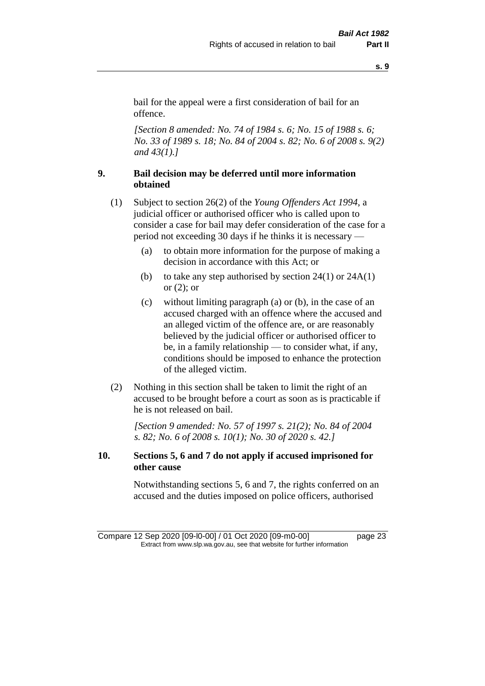bail for the appeal were a first consideration of bail for an offence.

*[Section 8 amended: No. 74 of 1984 s. 6; No. 15 of 1988 s. 6; No. 33 of 1989 s. 18; No. 84 of 2004 s. 82; No. 6 of 2008 s. 9(2) and 43(1).]* 

## **9. Bail decision may be deferred until more information obtained**

- (1) Subject to section 26(2) of the *Young Offenders Act 1994*, a judicial officer or authorised officer who is called upon to consider a case for bail may defer consideration of the case for a period not exceeding 30 days if he thinks it is necessary —
	- (a) to obtain more information for the purpose of making a decision in accordance with this Act; or
	- (b) to take any step authorised by section  $24(1)$  or  $24A(1)$ or  $(2)$ ; or
	- (c) without limiting paragraph (a) or (b), in the case of an accused charged with an offence where the accused and an alleged victim of the offence are, or are reasonably believed by the judicial officer or authorised officer to be, in a family relationship — to consider what, if any, conditions should be imposed to enhance the protection of the alleged victim.
- (2) Nothing in this section shall be taken to limit the right of an accused to be brought before a court as soon as is practicable if he is not released on bail.

*[Section 9 amended: No. 57 of 1997 s. 21(2); No. 84 of 2004 s. 82; No. 6 of 2008 s. 10(1); No. 30 of 2020 s. 42.]*

## **10. Sections 5, 6 and 7 do not apply if accused imprisoned for other cause**

Notwithstanding sections 5, 6 and 7, the rights conferred on an accused and the duties imposed on police officers, authorised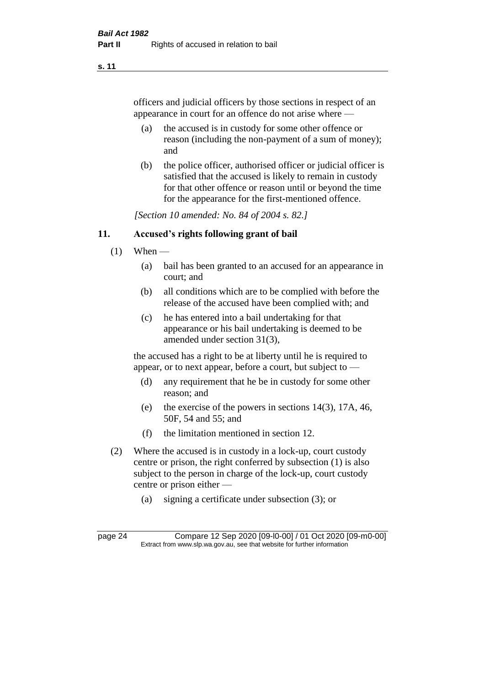officers and judicial officers by those sections in respect of an appearance in court for an offence do not arise where —

- (a) the accused is in custody for some other offence or reason (including the non-payment of a sum of money); and
- (b) the police officer, authorised officer or judicial officer is satisfied that the accused is likely to remain in custody for that other offence or reason until or beyond the time for the appearance for the first-mentioned offence.

*[Section 10 amended: No. 84 of 2004 s. 82.]*

#### **11. Accused's rights following grant of bail**

- $(1)$  When
	- (a) bail has been granted to an accused for an appearance in court; and
	- (b) all conditions which are to be complied with before the release of the accused have been complied with; and
	- (c) he has entered into a bail undertaking for that appearance or his bail undertaking is deemed to be amended under section 31(3),

the accused has a right to be at liberty until he is required to appear, or to next appear, before a court, but subject to —

- (d) any requirement that he be in custody for some other reason; and
- (e) the exercise of the powers in sections 14(3), 17A, 46, 50F, 54 and 55; and
- (f) the limitation mentioned in section 12.
- (2) Where the accused is in custody in a lock-up, court custody centre or prison, the right conferred by subsection (1) is also subject to the person in charge of the lock-up, court custody centre or prison either —
	- (a) signing a certificate under subsection (3); or

page 24 Compare 12 Sep 2020 [09-l0-00] / 01 Oct 2020 [09-m0-00] Extract from www.slp.wa.gov.au, see that website for further information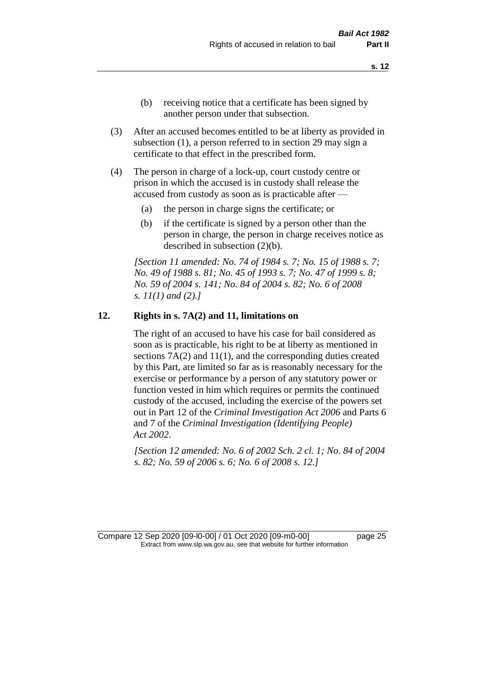- (b) receiving notice that a certificate has been signed by another person under that subsection.
- (3) After an accused becomes entitled to be at liberty as provided in subsection (1), a person referred to in section 29 may sign a certificate to that effect in the prescribed form.
- (4) The person in charge of a lock-up, court custody centre or prison in which the accused is in custody shall release the accused from custody as soon as is practicable after —
	- (a) the person in charge signs the certificate; or
	- (b) if the certificate is signed by a person other than the person in charge, the person in charge receives notice as described in subsection (2)(b).

*[Section 11 amended: No. 74 of 1984 s. 7; No. 15 of 1988 s. 7; No. 49 of 1988 s. 81; No. 45 of 1993 s. 7; No. 47 of 1999 s. 8; No. 59 of 2004 s. 141; No. 84 of 2004 s. 82; No. 6 of 2008 s. 11(1) and (2).]* 

#### **12. Rights in s. 7A(2) and 11, limitations on**

The right of an accused to have his case for bail considered as soon as is practicable, his right to be at liberty as mentioned in sections 7A(2) and 11(1), and the corresponding duties created by this Part, are limited so far as is reasonably necessary for the exercise or performance by a person of any statutory power or function vested in him which requires or permits the continued custody of the accused, including the exercise of the powers set out in Part 12 of the *Criminal Investigation Act 2006* and Parts 6 and 7 of the *Criminal Investigation (Identifying People) Act 2002*.

*[Section 12 amended: No. 6 of 2002 Sch. 2 cl. 1; No. 84 of 2004 s. 82; No. 59 of 2006 s. 6; No. 6 of 2008 s. 12.]*

Compare 12 Sep 2020 [09-l0-00] / 01 Oct 2020 [09-m0-00] page 25 Extract from www.slp.wa.gov.au, see that website for further information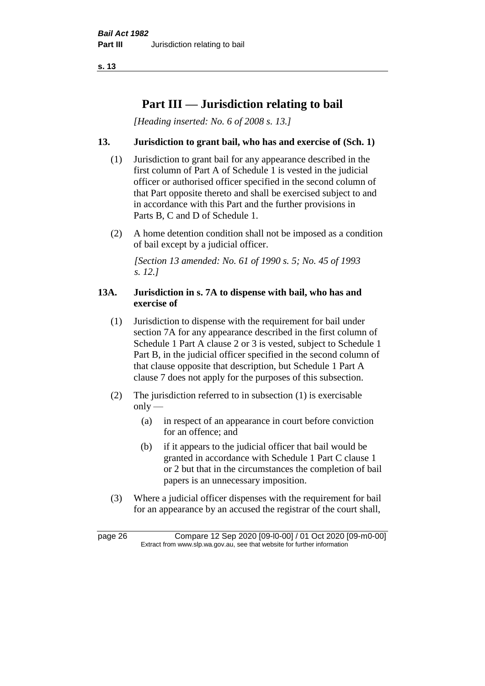# **Part III — Jurisdiction relating to bail**

*[Heading inserted: No. 6 of 2008 s. 13.]*

## **13. Jurisdiction to grant bail, who has and exercise of (Sch. 1)**

- (1) Jurisdiction to grant bail for any appearance described in the first column of Part A of Schedule 1 is vested in the judicial officer or authorised officer specified in the second column of that Part opposite thereto and shall be exercised subject to and in accordance with this Part and the further provisions in Parts B, C and D of Schedule 1.
- (2) A home detention condition shall not be imposed as a condition of bail except by a judicial officer.

*[Section 13 amended: No. 61 of 1990 s. 5; No. 45 of 1993 s. 12.]* 

#### **13A. Jurisdiction in s. 7A to dispense with bail, who has and exercise of**

- (1) Jurisdiction to dispense with the requirement for bail under section 7A for any appearance described in the first column of Schedule 1 Part A clause 2 or 3 is vested, subject to Schedule 1 Part B, in the judicial officer specified in the second column of that clause opposite that description, but Schedule 1 Part A clause 7 does not apply for the purposes of this subsection.
- (2) The jurisdiction referred to in subsection (1) is exercisable  $only$ —
	- (a) in respect of an appearance in court before conviction for an offence; and
	- (b) if it appears to the judicial officer that bail would be granted in accordance with Schedule 1 Part C clause 1 or 2 but that in the circumstances the completion of bail papers is an unnecessary imposition.
- (3) Where a judicial officer dispenses with the requirement for bail for an appearance by an accused the registrar of the court shall,

page 26 Compare 12 Sep 2020 [09-l0-00] / 01 Oct 2020 [09-m0-00] Extract from www.slp.wa.gov.au, see that website for further information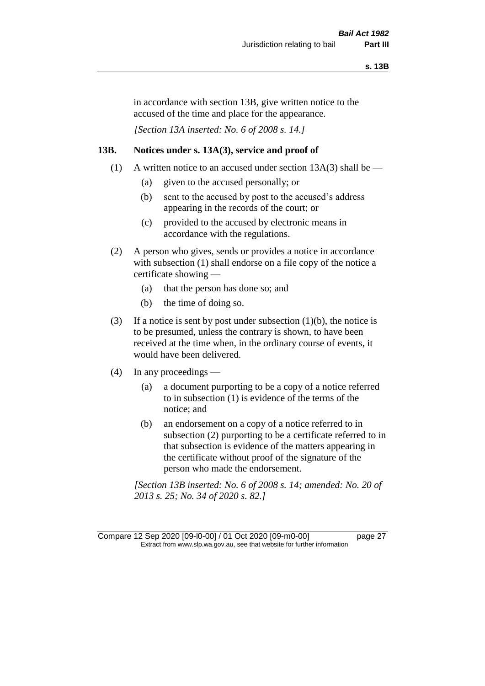in accordance with section 13B, give written notice to the accused of the time and place for the appearance.

*[Section 13A inserted: No. 6 of 2008 s. 14.]*

#### **13B. Notices under s. 13A(3), service and proof of**

- (1) A written notice to an accused under section  $13A(3)$  shall be
	- (a) given to the accused personally; or
	- (b) sent to the accused by post to the accused's address appearing in the records of the court; or
	- (c) provided to the accused by electronic means in accordance with the regulations.
- (2) A person who gives, sends or provides a notice in accordance with subsection (1) shall endorse on a file copy of the notice a certificate showing —
	- (a) that the person has done so; and
	- (b) the time of doing so.
- (3) If a notice is sent by post under subsection  $(1)(b)$ , the notice is to be presumed, unless the contrary is shown, to have been received at the time when, in the ordinary course of events, it would have been delivered.
- (4) In any proceedings
	- (a) a document purporting to be a copy of a notice referred to in subsection (1) is evidence of the terms of the notice; and
	- (b) an endorsement on a copy of a notice referred to in subsection (2) purporting to be a certificate referred to in that subsection is evidence of the matters appearing in the certificate without proof of the signature of the person who made the endorsement.

*[Section 13B inserted: No. 6 of 2008 s. 14; amended: No. 20 of 2013 s. 25; No. 34 of 2020 s. 82.]*

Compare 12 Sep 2020 [09-l0-00] / 01 Oct 2020 [09-m0-00] page 27 Extract from www.slp.wa.gov.au, see that website for further information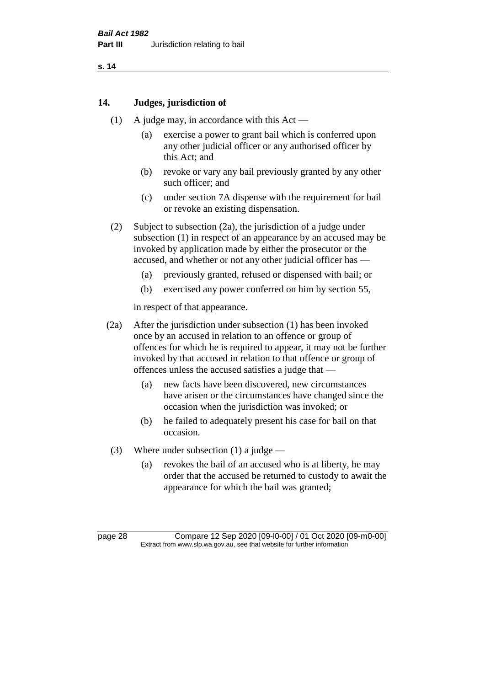#### **14. Judges, jurisdiction of**

- (1) A judge may, in accordance with this Act
	- (a) exercise a power to grant bail which is conferred upon any other judicial officer or any authorised officer by this Act; and
	- (b) revoke or vary any bail previously granted by any other such officer; and
	- (c) under section 7A dispense with the requirement for bail or revoke an existing dispensation.
- (2) Subject to subsection (2a), the jurisdiction of a judge under subsection (1) in respect of an appearance by an accused may be invoked by application made by either the prosecutor or the accused, and whether or not any other judicial officer has —
	- (a) previously granted, refused or dispensed with bail; or
	- (b) exercised any power conferred on him by section 55,

in respect of that appearance.

- (2a) After the jurisdiction under subsection (1) has been invoked once by an accused in relation to an offence or group of offences for which he is required to appear, it may not be further invoked by that accused in relation to that offence or group of offences unless the accused satisfies a judge that —
	- (a) new facts have been discovered, new circumstances have arisen or the circumstances have changed since the occasion when the jurisdiction was invoked; or
	- (b) he failed to adequately present his case for bail on that occasion.
- (3) Where under subsection (1) a judge
	- (a) revokes the bail of an accused who is at liberty, he may order that the accused be returned to custody to await the appearance for which the bail was granted;

page 28 Compare 12 Sep 2020 [09-l0-00] / 01 Oct 2020 [09-m0-00] Extract from www.slp.wa.gov.au, see that website for further information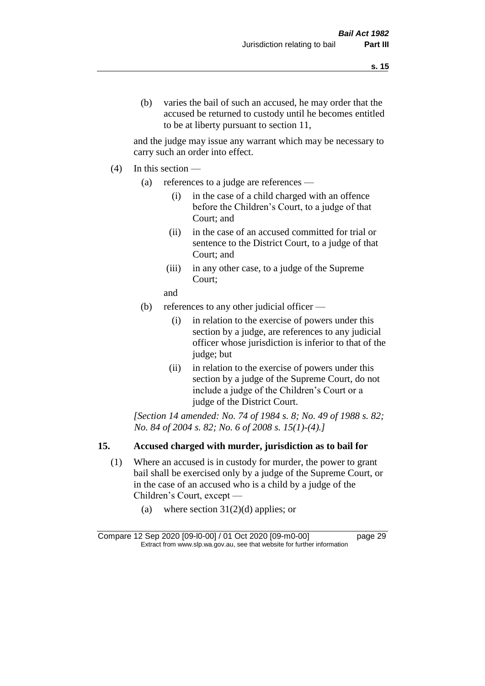and the judge may issue any warrant which may be necessary to carry such an order into effect.

- (4) In this section
	- (a) references to a judge are references
		- (i) in the case of a child charged with an offence before the Children's Court, to a judge of that Court; and
		- (ii) in the case of an accused committed for trial or sentence to the District Court, to a judge of that Court; and
		- (iii) in any other case, to a judge of the Supreme Court;
		- and
	- (b) references to any other judicial officer
		- (i) in relation to the exercise of powers under this section by a judge, are references to any judicial officer whose jurisdiction is inferior to that of the judge; but
		- (ii) in relation to the exercise of powers under this section by a judge of the Supreme Court, do not include a judge of the Children's Court or a judge of the District Court.

*[Section 14 amended: No. 74 of 1984 s. 8; No. 49 of 1988 s. 82; No. 84 of 2004 s. 82; No. 6 of 2008 s. 15(1)-(4).]* 

## **15. Accused charged with murder, jurisdiction as to bail for**

- (1) Where an accused is in custody for murder, the power to grant bail shall be exercised only by a judge of the Supreme Court, or in the case of an accused who is a child by a judge of the Children's Court, except —
	- (a) where section  $31(2)(d)$  applies; or

Compare 12 Sep 2020 [09-l0-00] / 01 Oct 2020 [09-m0-00] page 29 Extract from www.slp.wa.gov.au, see that website for further information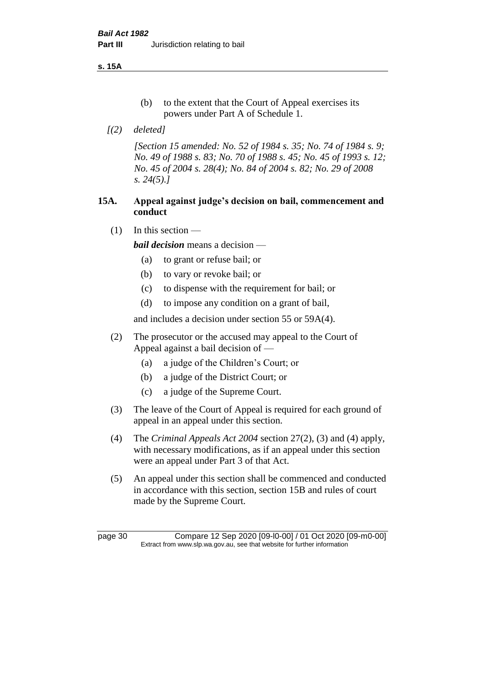**s. 15A**

- (b) to the extent that the Court of Appeal exercises its powers under Part A of Schedule 1.
- *[(2) deleted]*

*[Section 15 amended: No. 52 of 1984 s. 35; No. 74 of 1984 s. 9; No. 49 of 1988 s. 83; No. 70 of 1988 s. 45; No. 45 of 1993 s. 12; No. 45 of 2004 s. 28(4); No. 84 of 2004 s. 82; No. 29 of 2008 s. 24(5).]* 

## **15A. Appeal against judge's decision on bail, commencement and conduct**

 $(1)$  In this section —

*bail decision* means a decision —

- (a) to grant or refuse bail; or
- (b) to vary or revoke bail; or
- (c) to dispense with the requirement for bail; or
- (d) to impose any condition on a grant of bail,

and includes a decision under section 55 or 59A(4).

- (2) The prosecutor or the accused may appeal to the Court of Appeal against a bail decision of —
	- (a) a judge of the Children's Court; or
	- (b) a judge of the District Court; or
	- (c) a judge of the Supreme Court.
- (3) The leave of the Court of Appeal is required for each ground of appeal in an appeal under this section.
- (4) The *Criminal Appeals Act 2004* section 27(2), (3) and (4) apply, with necessary modifications, as if an appeal under this section were an appeal under Part 3 of that Act.
- (5) An appeal under this section shall be commenced and conducted in accordance with this section, section 15B and rules of court made by the Supreme Court.

page 30 Compare 12 Sep 2020 [09-l0-00] / 01 Oct 2020 [09-m0-00] Extract from www.slp.wa.gov.au, see that website for further information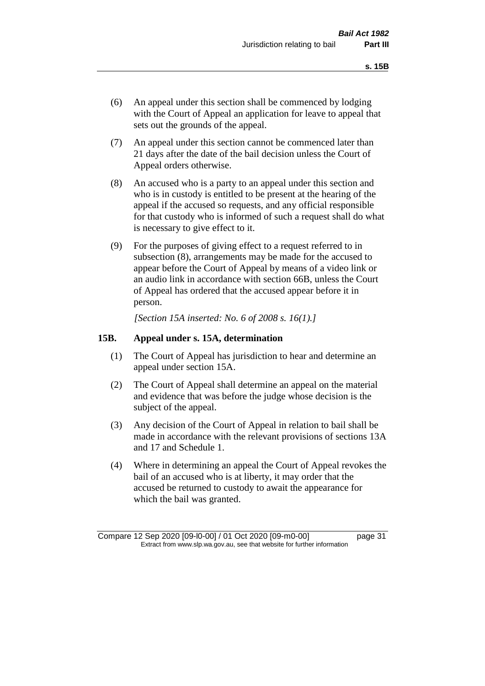- (6) An appeal under this section shall be commenced by lodging with the Court of Appeal an application for leave to appeal that sets out the grounds of the appeal.
- (7) An appeal under this section cannot be commenced later than 21 days after the date of the bail decision unless the Court of Appeal orders otherwise.
- (8) An accused who is a party to an appeal under this section and who is in custody is entitled to be present at the hearing of the appeal if the accused so requests, and any official responsible for that custody who is informed of such a request shall do what is necessary to give effect to it.
- (9) For the purposes of giving effect to a request referred to in subsection (8), arrangements may be made for the accused to appear before the Court of Appeal by means of a video link or an audio link in accordance with section 66B, unless the Court of Appeal has ordered that the accused appear before it in person.

*[Section 15A inserted: No. 6 of 2008 s. 16(1).]*

#### **15B. Appeal under s. 15A, determination**

- (1) The Court of Appeal has jurisdiction to hear and determine an appeal under section 15A.
- (2) The Court of Appeal shall determine an appeal on the material and evidence that was before the judge whose decision is the subject of the appeal.
- (3) Any decision of the Court of Appeal in relation to bail shall be made in accordance with the relevant provisions of sections 13A and 17 and Schedule 1.
- (4) Where in determining an appeal the Court of Appeal revokes the bail of an accused who is at liberty, it may order that the accused be returned to custody to await the appearance for which the bail was granted.

Compare 12 Sep 2020 [09-l0-00] / 01 Oct 2020 [09-m0-00] page 31 Extract from www.slp.wa.gov.au, see that website for further information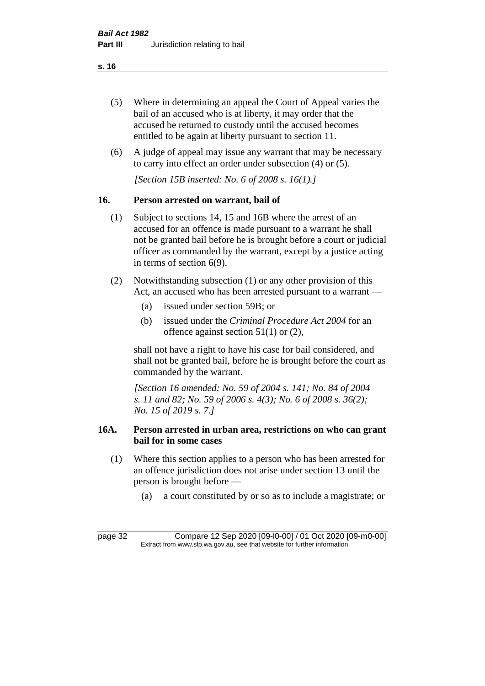- (5) Where in determining an appeal the Court of Appeal varies the bail of an accused who is at liberty, it may order that the accused be returned to custody until the accused becomes entitled to be again at liberty pursuant to section 11.
- (6) A judge of appeal may issue any warrant that may be necessary to carry into effect an order under subsection (4) or (5).

*[Section 15B inserted: No. 6 of 2008 s. 16(1).]*

## **16. Person arrested on warrant, bail of**

- (1) Subject to sections 14, 15 and 16B where the arrest of an accused for an offence is made pursuant to a warrant he shall not be granted bail before he is brought before a court or judicial officer as commanded by the warrant, except by a justice acting in terms of section 6(9).
- (2) Notwithstanding subsection (1) or any other provision of this Act, an accused who has been arrested pursuant to a warrant —
	- (a) issued under section 59B; or
	- (b) issued under the *Criminal Procedure Act 2004* for an offence against section 51(1) or (2),

shall not have a right to have his case for bail considered, and shall not be granted bail, before he is brought before the court as commanded by the warrant.

*[Section 16 amended: No. 59 of 2004 s. 141; No. 84 of 2004 s. 11 and 82; No. 59 of 2006 s. 4(3); No. 6 of 2008 s. 36(2); No. 15 of 2019 s. 7.]*

## **16A. Person arrested in urban area, restrictions on who can grant bail for in some cases**

- (1) Where this section applies to a person who has been arrested for an offence jurisdiction does not arise under section 13 until the person is brought before —
	- (a) a court constituted by or so as to include a magistrate; or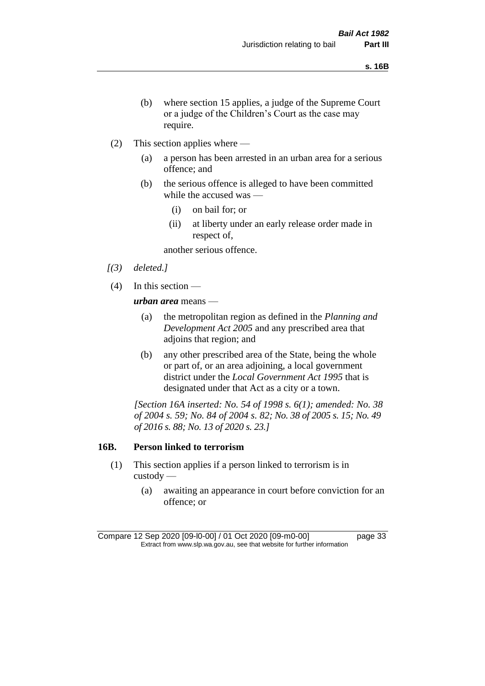- (b) where section 15 applies, a judge of the Supreme Court or a judge of the Children's Court as the case may require.
- (2) This section applies where
	- (a) a person has been arrested in an urban area for a serious offence; and
	- (b) the serious offence is alleged to have been committed while the accused was —
		- (i) on bail for; or
		- (ii) at liberty under an early release order made in respect of,

another serious offence.

- *[(3) deleted.]*
- (4) In this section —

*urban area* means —

- (a) the metropolitan region as defined in the *Planning and Development Act 2005* and any prescribed area that adjoins that region; and
- (b) any other prescribed area of the State, being the whole or part of, or an area adjoining, a local government district under the *Local Government Act 1995* that is designated under that Act as a city or a town.

*[Section 16A inserted: No. 54 of 1998 s. 6(1); amended: No. 38 of 2004 s. 59; No. 84 of 2004 s. 82; No. 38 of 2005 s. 15; No. 49 of 2016 s. 88; No. 13 of 2020 s. 23.]*

#### **16B. Person linked to terrorism**

- (1) This section applies if a person linked to terrorism is in custody —
	- (a) awaiting an appearance in court before conviction for an offence; or

Compare 12 Sep 2020 [09-l0-00] / 01 Oct 2020 [09-m0-00] page 33 Extract from www.slp.wa.gov.au, see that website for further information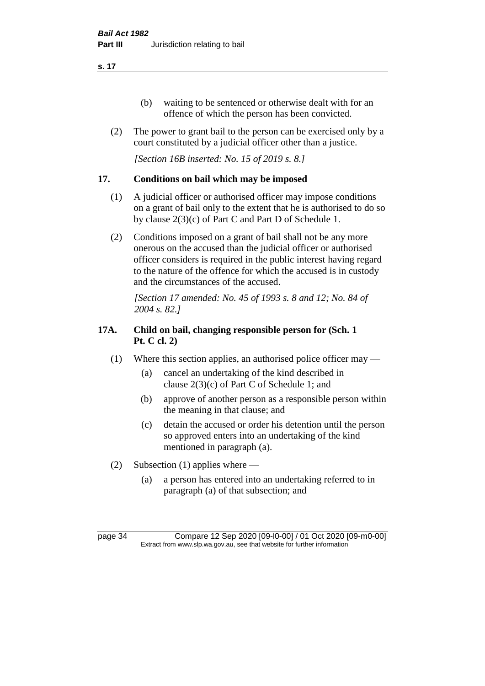- (b) waiting to be sentenced or otherwise dealt with for an offence of which the person has been convicted.
- (2) The power to grant bail to the person can be exercised only by a court constituted by a judicial officer other than a justice.

*[Section 16B inserted: No. 15 of 2019 s. 8.]*

## **17. Conditions on bail which may be imposed**

- (1) A judicial officer or authorised officer may impose conditions on a grant of bail only to the extent that he is authorised to do so by clause 2(3)(c) of Part C and Part D of Schedule 1.
- (2) Conditions imposed on a grant of bail shall not be any more onerous on the accused than the judicial officer or authorised officer considers is required in the public interest having regard to the nature of the offence for which the accused is in custody and the circumstances of the accused.

*[Section 17 amended: No. 45 of 1993 s. 8 and 12; No. 84 of 2004 s. 82.]* 

## **17A. Child on bail, changing responsible person for (Sch. 1 Pt. C cl. 2)**

- (1) Where this section applies, an authorised police officer may
	- (a) cancel an undertaking of the kind described in clause 2(3)(c) of Part C of Schedule 1; and
	- (b) approve of another person as a responsible person within the meaning in that clause; and
	- (c) detain the accused or order his detention until the person so approved enters into an undertaking of the kind mentioned in paragraph (a).
- (2) Subsection (1) applies where
	- (a) a person has entered into an undertaking referred to in paragraph (a) of that subsection; and

page 34 Compare 12 Sep 2020 [09-l0-00] / 01 Oct 2020 [09-m0-00] Extract from www.slp.wa.gov.au, see that website for further information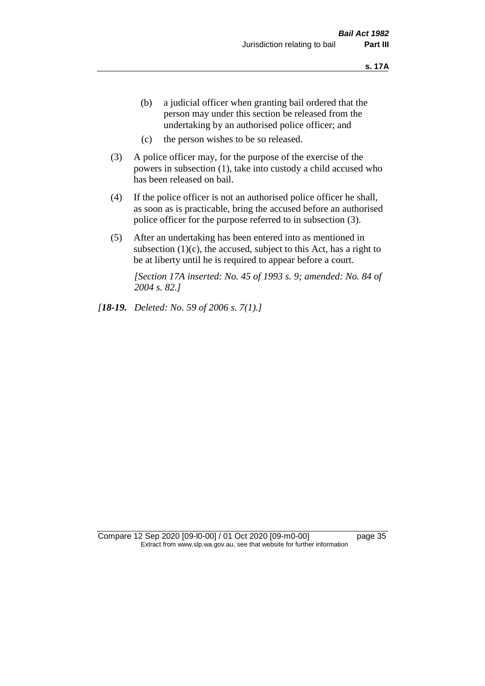- (b) a judicial officer when granting bail ordered that the person may under this section be released from the undertaking by an authorised police officer; and
- (c) the person wishes to be so released.
- (3) A police officer may, for the purpose of the exercise of the powers in subsection (1), take into custody a child accused who has been released on bail.
- (4) If the police officer is not an authorised police officer he shall, as soon as is practicable, bring the accused before an authorised police officer for the purpose referred to in subsection (3).
- (5) After an undertaking has been entered into as mentioned in subsection  $(1)(c)$ , the accused, subject to this Act, has a right to be at liberty until he is required to appear before a court.

*[Section 17A inserted: No. 45 of 1993 s. 9; amended: No. 84 of 2004 s. 82.]* 

*[18-19. Deleted: No. 59 of 2006 s. 7(1).]*

Compare 12 Sep 2020 [09-l0-00] / 01 Oct 2020 [09-m0-00] page 35 Extract from www.slp.wa.gov.au, see that website for further information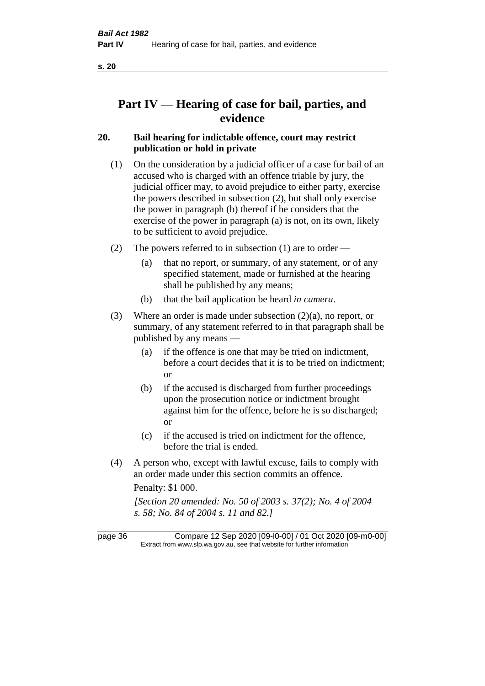# **Part IV — Hearing of case for bail, parties, and evidence**

# **20. Bail hearing for indictable offence, court may restrict publication or hold in private**

- (1) On the consideration by a judicial officer of a case for bail of an accused who is charged with an offence triable by jury, the judicial officer may, to avoid prejudice to either party, exercise the powers described in subsection (2), but shall only exercise the power in paragraph (b) thereof if he considers that the exercise of the power in paragraph (a) is not, on its own, likely to be sufficient to avoid prejudice.
- (2) The powers referred to in subsection (1) are to order
	- (a) that no report, or summary, of any statement, or of any specified statement, made or furnished at the hearing shall be published by any means;
	- (b) that the bail application be heard *in camera*.
- (3) Where an order is made under subsection (2)(a), no report, or summary, of any statement referred to in that paragraph shall be published by any means —
	- (a) if the offence is one that may be tried on indictment, before a court decides that it is to be tried on indictment; or
	- (b) if the accused is discharged from further proceedings upon the prosecution notice or indictment brought against him for the offence, before he is so discharged; or
	- (c) if the accused is tried on indictment for the offence, before the trial is ended.
- (4) A person who, except with lawful excuse, fails to comply with an order made under this section commits an offence.

Penalty: \$1 000.

*[Section 20 amended: No. 50 of 2003 s. 37(2); No. 4 of 2004 s. 58; No. 84 of 2004 s. 11 and 82.]*

page 36 Compare 12 Sep 2020 [09-l0-00] / 01 Oct 2020 [09-m0-00] Extract from www.slp.wa.gov.au, see that website for further information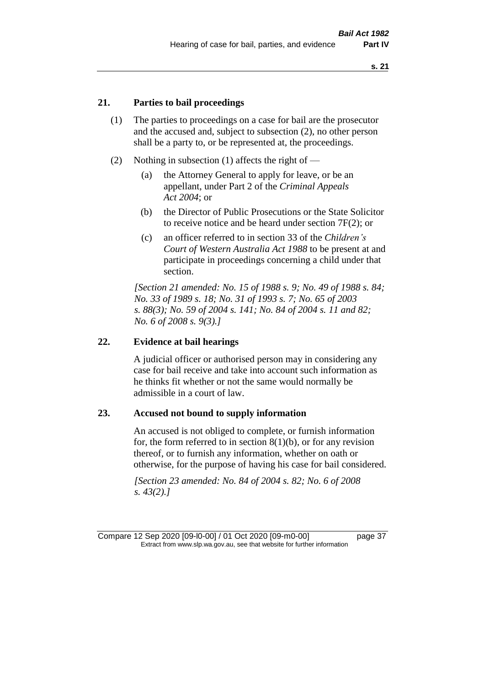# **21. Parties to bail proceedings**

- (1) The parties to proceedings on a case for bail are the prosecutor and the accused and, subject to subsection (2), no other person shall be a party to, or be represented at, the proceedings.
- (2) Nothing in subsection (1) affects the right of
	- (a) the Attorney General to apply for leave, or be an appellant, under Part 2 of the *Criminal Appeals Act 2004*; or
	- (b) the Director of Public Prosecutions or the State Solicitor to receive notice and be heard under section 7F(2); or
	- (c) an officer referred to in section 33 of the *Children's Court of Western Australia Act 1988* to be present at and participate in proceedings concerning a child under that section.

*[Section 21 amended: No. 15 of 1988 s. 9; No. 49 of 1988 s. 84; No. 33 of 1989 s. 18; No. 31 of 1993 s. 7; No. 65 of 2003 s. 88(3); No. 59 of 2004 s. 141; No. 84 of 2004 s. 11 and 82; No. 6 of 2008 s. 9(3).]* 

#### **22. Evidence at bail hearings**

A judicial officer or authorised person may in considering any case for bail receive and take into account such information as he thinks fit whether or not the same would normally be admissible in a court of law.

#### **23. Accused not bound to supply information**

An accused is not obliged to complete, or furnish information for, the form referred to in section  $8(1)(b)$ , or for any revision thereof, or to furnish any information, whether on oath or otherwise, for the purpose of having his case for bail considered.

*[Section 23 amended: No. 84 of 2004 s. 82; No. 6 of 2008 s. 43(2).]* 

Compare 12 Sep 2020 [09-l0-00] / 01 Oct 2020 [09-m0-00] page 37 Extract from www.slp.wa.gov.au, see that website for further information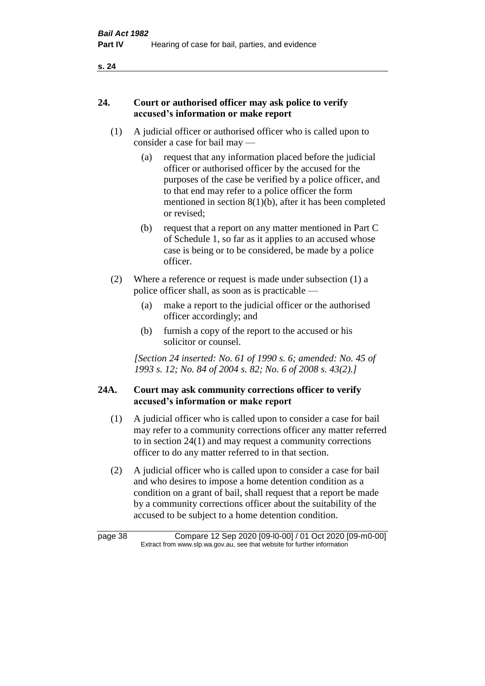# **24. Court or authorised officer may ask police to verify accused's information or make report**

- (1) A judicial officer or authorised officer who is called upon to consider a case for bail may —
	- (a) request that any information placed before the judicial officer or authorised officer by the accused for the purposes of the case be verified by a police officer, and to that end may refer to a police officer the form mentioned in section 8(1)(b), after it has been completed or revised;
	- (b) request that a report on any matter mentioned in Part C of Schedule 1, so far as it applies to an accused whose case is being or to be considered, be made by a police officer.
- (2) Where a reference or request is made under subsection (1) a police officer shall, as soon as is practicable —
	- (a) make a report to the judicial officer or the authorised officer accordingly; and
	- (b) furnish a copy of the report to the accused or his solicitor or counsel.

*[Section 24 inserted: No. 61 of 1990 s. 6; amended: No. 45 of 1993 s. 12; No. 84 of 2004 s. 82; No. 6 of 2008 s. 43(2).]* 

# **24A. Court may ask community corrections officer to verify accused's information or make report**

- (1) A judicial officer who is called upon to consider a case for bail may refer to a community corrections officer any matter referred to in section 24(1) and may request a community corrections officer to do any matter referred to in that section.
- (2) A judicial officer who is called upon to consider a case for bail and who desires to impose a home detention condition as a condition on a grant of bail, shall request that a report be made by a community corrections officer about the suitability of the accused to be subject to a home detention condition.

| page 38 | Compare 12 Sep 2020 [09-l0-00] / 01 Oct 2020 [09-m0-00]                  |
|---------|--------------------------------------------------------------------------|
|         | Extract from www.slp.wa.gov.au, see that website for further information |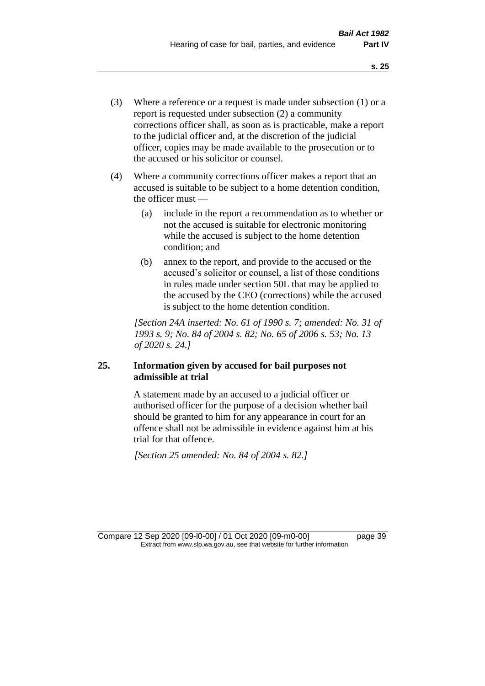- (3) Where a reference or a request is made under subsection (1) or a report is requested under subsection (2) a community corrections officer shall, as soon as is practicable, make a report to the judicial officer and, at the discretion of the judicial officer, copies may be made available to the prosecution or to the accused or his solicitor or counsel.
- (4) Where a community corrections officer makes a report that an accused is suitable to be subject to a home detention condition, the officer must —
	- (a) include in the report a recommendation as to whether or not the accused is suitable for electronic monitoring while the accused is subject to the home detention condition; and
	- (b) annex to the report, and provide to the accused or the accused's solicitor or counsel, a list of those conditions in rules made under section 50L that may be applied to the accused by the CEO (corrections) while the accused is subject to the home detention condition.

*[Section 24A inserted: No. 61 of 1990 s. 7; amended: No. 31 of 1993 s. 9; No. 84 of 2004 s. 82; No. 65 of 2006 s. 53; No. 13 of 2020 s. 24.]* 

# **25. Information given by accused for bail purposes not admissible at trial**

A statement made by an accused to a judicial officer or authorised officer for the purpose of a decision whether bail should be granted to him for any appearance in court for an offence shall not be admissible in evidence against him at his trial for that offence.

*[Section 25 amended: No. 84 of 2004 s. 82.]* 

Compare 12 Sep 2020 [09-l0-00] / 01 Oct 2020 [09-m0-00] page 39 Extract from www.slp.wa.gov.au, see that website for further information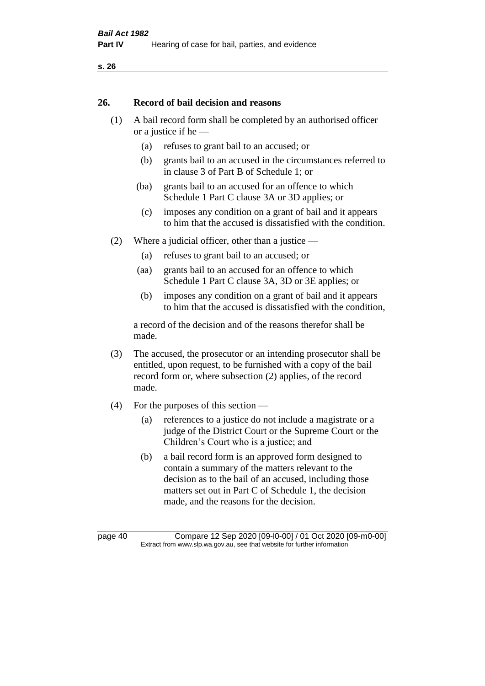#### **26. Record of bail decision and reasons**

- (1) A bail record form shall be completed by an authorised officer or a justice if he —
	- (a) refuses to grant bail to an accused; or
	- (b) grants bail to an accused in the circumstances referred to in clause 3 of Part B of Schedule 1; or
	- (ba) grants bail to an accused for an offence to which Schedule 1 Part C clause 3A or 3D applies; or
	- (c) imposes any condition on a grant of bail and it appears to him that the accused is dissatisfied with the condition.
- (2) Where a judicial officer, other than a justice
	- (a) refuses to grant bail to an accused; or
	- (aa) grants bail to an accused for an offence to which Schedule 1 Part C clause 3A, 3D or 3E applies; or
	- (b) imposes any condition on a grant of bail and it appears to him that the accused is dissatisfied with the condition,

a record of the decision and of the reasons therefor shall be made.

- (3) The accused, the prosecutor or an intending prosecutor shall be entitled, upon request, to be furnished with a copy of the bail record form or, where subsection (2) applies, of the record made.
- (4) For the purposes of this section
	- (a) references to a justice do not include a magistrate or a judge of the District Court or the Supreme Court or the Children's Court who is a justice; and
	- (b) a bail record form is an approved form designed to contain a summary of the matters relevant to the decision as to the bail of an accused, including those matters set out in Part C of Schedule 1, the decision made, and the reasons for the decision.

page 40 Compare 12 Sep 2020 [09-l0-00] / 01 Oct 2020 [09-m0-00] Extract from www.slp.wa.gov.au, see that website for further information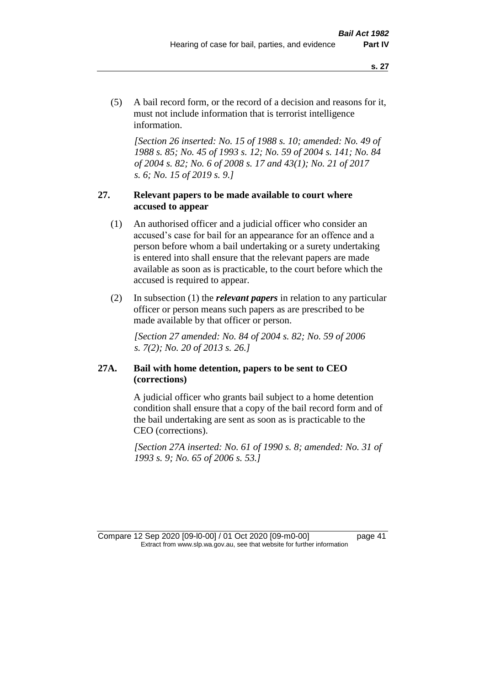(5) A bail record form, or the record of a decision and reasons for it, must not include information that is terrorist intelligence information.

*[Section 26 inserted: No. 15 of 1988 s. 10; amended: No. 49 of 1988 s. 85; No. 45 of 1993 s. 12; No. 59 of 2004 s. 141; No. 84 of 2004 s. 82; No. 6 of 2008 s. 17 and 43(1); No. 21 of 2017 s. 6; No. 15 of 2019 s. 9.]* 

# **27. Relevant papers to be made available to court where accused to appear**

- (1) An authorised officer and a judicial officer who consider an accused's case for bail for an appearance for an offence and a person before whom a bail undertaking or a surety undertaking is entered into shall ensure that the relevant papers are made available as soon as is practicable, to the court before which the accused is required to appear.
- (2) In subsection (1) the *relevant papers* in relation to any particular officer or person means such papers as are prescribed to be made available by that officer or person.

*[Section 27 amended: No. 84 of 2004 s. 82; No. 59 of 2006 s. 7(2); No. 20 of 2013 s. 26.]* 

# **27A. Bail with home detention, papers to be sent to CEO (corrections)**

A judicial officer who grants bail subject to a home detention condition shall ensure that a copy of the bail record form and of the bail undertaking are sent as soon as is practicable to the CEO (corrections).

*[Section 27A inserted: No. 61 of 1990 s. 8; amended: No. 31 of 1993 s. 9; No. 65 of 2006 s. 53.]* 

Compare 12 Sep 2020 [09-l0-00] / 01 Oct 2020 [09-m0-00] page 41 Extract from www.slp.wa.gov.au, see that website for further information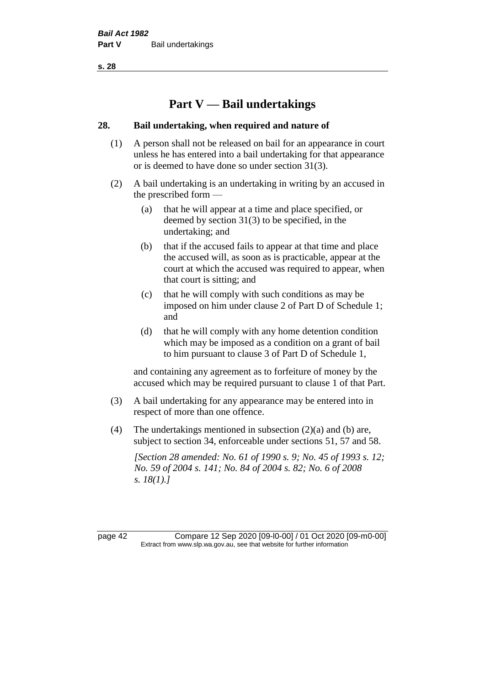# **Part V — Bail undertakings**

## **28. Bail undertaking, when required and nature of**

- (1) A person shall not be released on bail for an appearance in court unless he has entered into a bail undertaking for that appearance or is deemed to have done so under section 31(3).
- (2) A bail undertaking is an undertaking in writing by an accused in the prescribed form —
	- (a) that he will appear at a time and place specified, or deemed by section 31(3) to be specified, in the undertaking; and
	- (b) that if the accused fails to appear at that time and place the accused will, as soon as is practicable, appear at the court at which the accused was required to appear, when that court is sitting; and
	- (c) that he will comply with such conditions as may be imposed on him under clause 2 of Part D of Schedule 1; and
	- (d) that he will comply with any home detention condition which may be imposed as a condition on a grant of bail to him pursuant to clause 3 of Part D of Schedule 1,

and containing any agreement as to forfeiture of money by the accused which may be required pursuant to clause 1 of that Part.

- (3) A bail undertaking for any appearance may be entered into in respect of more than one offence.
- (4) The undertakings mentioned in subsection (2)(a) and (b) are, subject to section 34, enforceable under sections 51, 57 and 58.

*[Section 28 amended: No. 61 of 1990 s. 9; No. 45 of 1993 s. 12; No. 59 of 2004 s. 141; No. 84 of 2004 s. 82; No. 6 of 2008 s. 18(1).]* 

page 42 Compare 12 Sep 2020 [09-l0-00] / 01 Oct 2020 [09-m0-00] Extract from www.slp.wa.gov.au, see that website for further information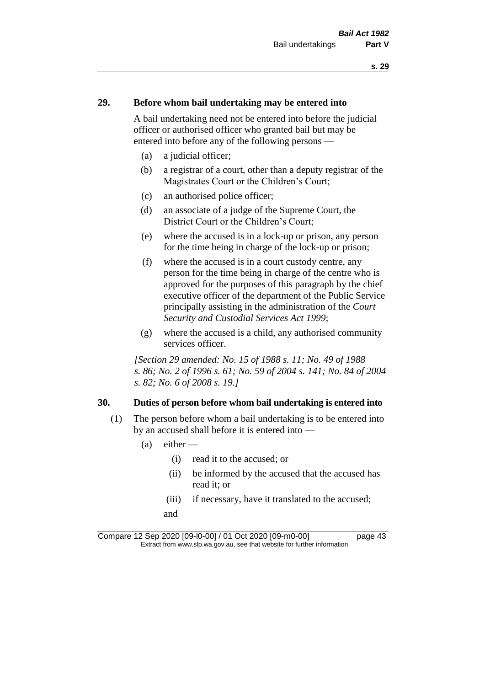# **29. Before whom bail undertaking may be entered into**

A bail undertaking need not be entered into before the judicial officer or authorised officer who granted bail but may be entered into before any of the following persons —

- (a) a judicial officer;
- (b) a registrar of a court, other than a deputy registrar of the Magistrates Court or the Children's Court;
- (c) an authorised police officer;
- (d) an associate of a judge of the Supreme Court, the District Court or the Children's Court;
- (e) where the accused is in a lock-up or prison, any person for the time being in charge of the lock-up or prison;
- (f) where the accused is in a court custody centre, any person for the time being in charge of the centre who is approved for the purposes of this paragraph by the chief executive officer of the department of the Public Service principally assisting in the administration of the *Court Security and Custodial Services Act 1999*;
- (g) where the accused is a child, any authorised community services officer.

*[Section 29 amended: No. 15 of 1988 s. 11; No. 49 of 1988 s. 86; No. 2 of 1996 s. 61; No. 59 of 2004 s. 141; No. 84 of 2004 s. 82; No. 6 of 2008 s. 19.]* 

#### **30. Duties of person before whom bail undertaking is entered into**

- (1) The person before whom a bail undertaking is to be entered into by an accused shall before it is entered into —
	- $(a)$  either
		- (i) read it to the accused; or
		- (ii) be informed by the accused that the accused has read it; or
		- (iii) if necessary, have it translated to the accused; and

Compare 12 Sep 2020 [09-l0-00] / 01 Oct 2020 [09-m0-00] page 43 Extract from www.slp.wa.gov.au, see that website for further information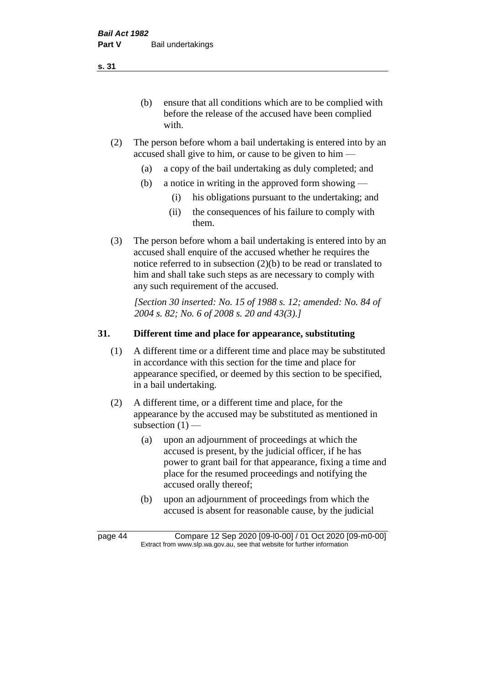(b) ensure that all conditions which are to be complied with before the release of the accused have been complied with.

- (2) The person before whom a bail undertaking is entered into by an accused shall give to him, or cause to be given to him —
	- (a) a copy of the bail undertaking as duly completed; and
	- (b) a notice in writing in the approved form showing
		- (i) his obligations pursuant to the undertaking; and
		- (ii) the consequences of his failure to comply with them.
- (3) The person before whom a bail undertaking is entered into by an accused shall enquire of the accused whether he requires the notice referred to in subsection (2)(b) to be read or translated to him and shall take such steps as are necessary to comply with any such requirement of the accused.

*[Section 30 inserted: No. 15 of 1988 s. 12; amended: No. 84 of 2004 s. 82; No. 6 of 2008 s. 20 and 43(3).]* 

# **31. Different time and place for appearance, substituting**

- (1) A different time or a different time and place may be substituted in accordance with this section for the time and place for appearance specified, or deemed by this section to be specified, in a bail undertaking.
- (2) A different time, or a different time and place, for the appearance by the accused may be substituted as mentioned in subsection  $(1)$  —
	- (a) upon an adjournment of proceedings at which the accused is present, by the judicial officer, if he has power to grant bail for that appearance, fixing a time and place for the resumed proceedings and notifying the accused orally thereof;
	- (b) upon an adjournment of proceedings from which the accused is absent for reasonable cause, by the judicial

**s. 31**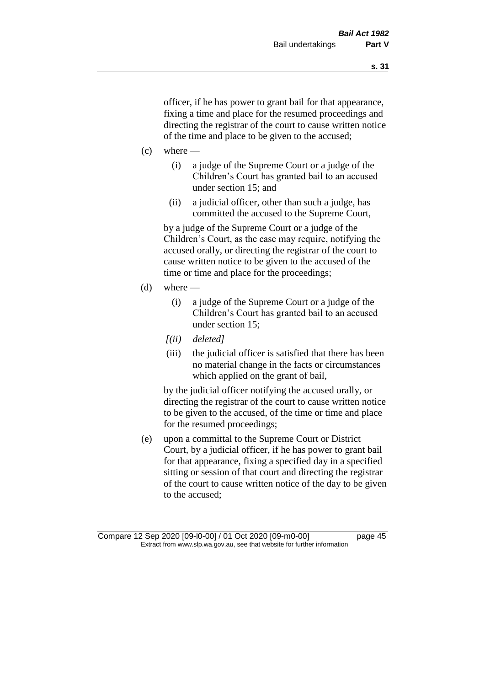officer, if he has power to grant bail for that appearance, fixing a time and place for the resumed proceedings and directing the registrar of the court to cause written notice of the time and place to be given to the accused;

- $(c)$  where
	- (i) a judge of the Supreme Court or a judge of the Children's Court has granted bail to an accused under section 15; and
	- (ii) a judicial officer, other than such a judge, has committed the accused to the Supreme Court,

by a judge of the Supreme Court or a judge of the Children's Court, as the case may require, notifying the accused orally, or directing the registrar of the court to cause written notice to be given to the accused of the time or time and place for the proceedings;

- (d) where  $-$ 
	- (i) a judge of the Supreme Court or a judge of the Children's Court has granted bail to an accused under section 15;
	- *[(ii) deleted]*
	- (iii) the judicial officer is satisfied that there has been no material change in the facts or circumstances which applied on the grant of bail,

by the judicial officer notifying the accused orally, or directing the registrar of the court to cause written notice to be given to the accused, of the time or time and place for the resumed proceedings;

(e) upon a committal to the Supreme Court or District Court, by a judicial officer, if he has power to grant bail for that appearance, fixing a specified day in a specified sitting or session of that court and directing the registrar of the court to cause written notice of the day to be given to the accused;

Compare 12 Sep 2020 [09-l0-00] / 01 Oct 2020 [09-m0-00] page 45 Extract from www.slp.wa.gov.au, see that website for further information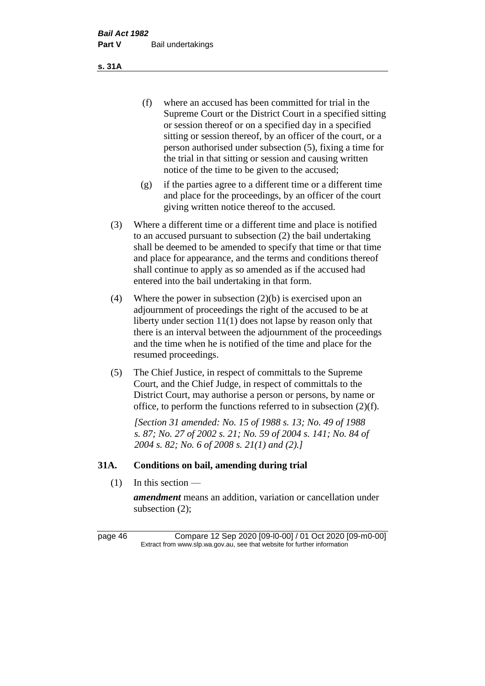(f) where an accused has been committed for trial in the Supreme Court or the District Court in a specified sitting or session thereof or on a specified day in a specified sitting or session thereof, by an officer of the court, or a person authorised under subsection (5), fixing a time for the trial in that sitting or session and causing written notice of the time to be given to the accused;

- (g) if the parties agree to a different time or a different time and place for the proceedings, by an officer of the court giving written notice thereof to the accused.
- (3) Where a different time or a different time and place is notified to an accused pursuant to subsection (2) the bail undertaking shall be deemed to be amended to specify that time or that time and place for appearance, and the terms and conditions thereof shall continue to apply as so amended as if the accused had entered into the bail undertaking in that form.
- (4) Where the power in subsection (2)(b) is exercised upon an adjournment of proceedings the right of the accused to be at liberty under section 11(1) does not lapse by reason only that there is an interval between the adjournment of the proceedings and the time when he is notified of the time and place for the resumed proceedings.
- (5) The Chief Justice, in respect of committals to the Supreme Court, and the Chief Judge, in respect of committals to the District Court, may authorise a person or persons, by name or office, to perform the functions referred to in subsection (2)(f).

*[Section 31 amended: No. 15 of 1988 s. 13; No. 49 of 1988 s. 87; No. 27 of 2002 s. 21; No. 59 of 2004 s. 141; No. 84 of 2004 s. 82; No. 6 of 2008 s. 21(1) and (2).]* 

# **31A. Conditions on bail, amending during trial**

 $(1)$  In this section —

*amendment* means an addition, variation or cancellation under subsection (2);

page 46 Compare 12 Sep 2020 [09-l0-00] / 01 Oct 2020 [09-m0-00] Extract from www.slp.wa.gov.au, see that website for further information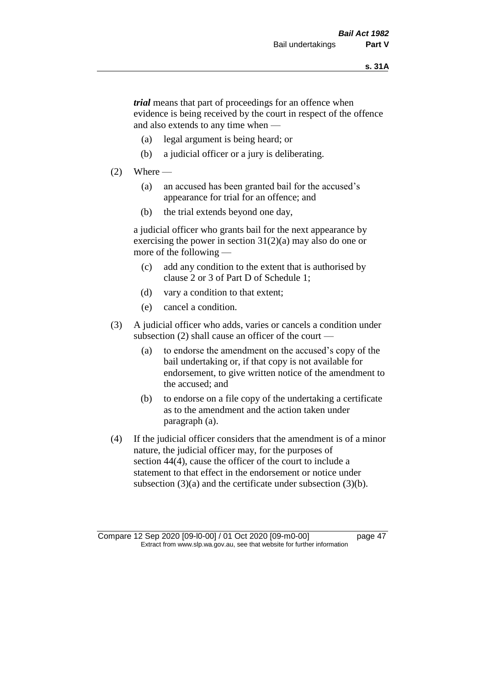*trial* means that part of proceedings for an offence when evidence is being received by the court in respect of the offence and also extends to any time when —

- (a) legal argument is being heard; or
- (b) a judicial officer or a jury is deliberating.

#### $(2)$  Where —

- (a) an accused has been granted bail for the accused's appearance for trial for an offence; and
- (b) the trial extends beyond one day,

a judicial officer who grants bail for the next appearance by exercising the power in section  $31(2)(a)$  may also do one or more of the following —

- (c) add any condition to the extent that is authorised by clause 2 or 3 of Part D of Schedule 1;
- (d) vary a condition to that extent;
- (e) cancel a condition.
- (3) A judicial officer who adds, varies or cancels a condition under subsection (2) shall cause an officer of the court —
	- (a) to endorse the amendment on the accused's copy of the bail undertaking or, if that copy is not available for endorsement, to give written notice of the amendment to the accused; and
	- (b) to endorse on a file copy of the undertaking a certificate as to the amendment and the action taken under paragraph (a).
- (4) If the judicial officer considers that the amendment is of a minor nature, the judicial officer may, for the purposes of section 44(4), cause the officer of the court to include a statement to that effect in the endorsement or notice under subsection (3)(a) and the certificate under subsection (3)(b).

Compare 12 Sep 2020 [09-l0-00] / 01 Oct 2020 [09-m0-00] page 47 Extract from www.slp.wa.gov.au, see that website for further information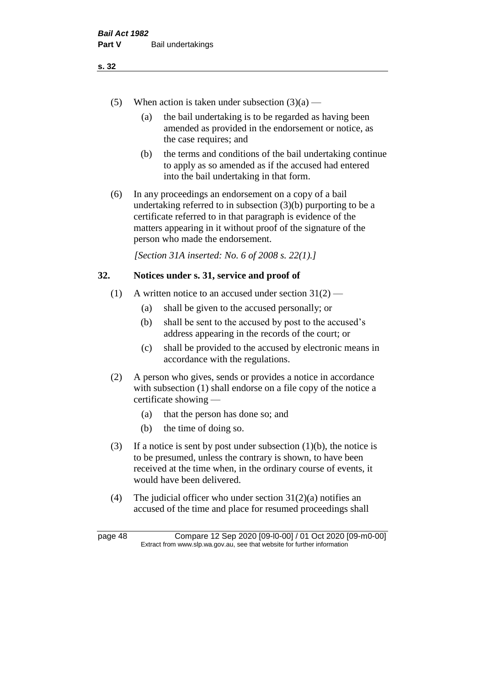- (a) the bail undertaking is to be regarded as having been amended as provided in the endorsement or notice, as the case requires; and
- (b) the terms and conditions of the bail undertaking continue to apply as so amended as if the accused had entered into the bail undertaking in that form.
- (6) In any proceedings an endorsement on a copy of a bail undertaking referred to in subsection (3)(b) purporting to be a certificate referred to in that paragraph is evidence of the matters appearing in it without proof of the signature of the person who made the endorsement.

*[Section 31A inserted: No. 6 of 2008 s. 22(1).]*

# **32. Notices under s. 31, service and proof of**

- (1) A written notice to an accused under section  $31(2)$ 
	- (a) shall be given to the accused personally; or
	- (b) shall be sent to the accused by post to the accused's address appearing in the records of the court; or
	- (c) shall be provided to the accused by electronic means in accordance with the regulations.
- (2) A person who gives, sends or provides a notice in accordance with subsection (1) shall endorse on a file copy of the notice a certificate showing —
	- (a) that the person has done so; and
	- (b) the time of doing so.
- (3) If a notice is sent by post under subsection  $(1)(b)$ , the notice is to be presumed, unless the contrary is shown, to have been received at the time when, in the ordinary course of events, it would have been delivered.
- (4) The judicial officer who under section  $31(2)(a)$  notifies an accused of the time and place for resumed proceedings shall

page 48 Compare 12 Sep 2020 [09-l0-00] / 01 Oct 2020 [09-m0-00] Extract from www.slp.wa.gov.au, see that website for further information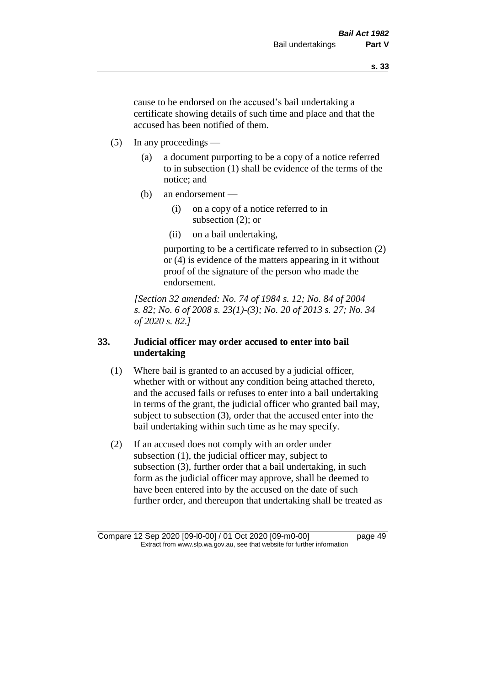cause to be endorsed on the accused's bail undertaking a certificate showing details of such time and place and that the accused has been notified of them.

- (5) In any proceedings
	- (a) a document purporting to be a copy of a notice referred to in subsection (1) shall be evidence of the terms of the notice; and
	- (b) an endorsement
		- (i) on a copy of a notice referred to in subsection (2); or
		- (ii) on a bail undertaking,

purporting to be a certificate referred to in subsection (2) or (4) is evidence of the matters appearing in it without proof of the signature of the person who made the endorsement.

*[Section 32 amended: No. 74 of 1984 s. 12; No. 84 of 2004 s. 82; No. 6 of 2008 s. 23(1)-(3); No. 20 of 2013 s. 27; No. 34 of 2020 s. 82.]* 

# **33. Judicial officer may order accused to enter into bail undertaking**

- (1) Where bail is granted to an accused by a judicial officer, whether with or without any condition being attached thereto, and the accused fails or refuses to enter into a bail undertaking in terms of the grant, the judicial officer who granted bail may, subject to subsection (3), order that the accused enter into the bail undertaking within such time as he may specify.
- (2) If an accused does not comply with an order under subsection (1), the judicial officer may, subject to subsection (3), further order that a bail undertaking, in such form as the judicial officer may approve, shall be deemed to have been entered into by the accused on the date of such further order, and thereupon that undertaking shall be treated as

Compare 12 Sep 2020 [09-l0-00] / 01 Oct 2020 [09-m0-00] page 49 Extract from www.slp.wa.gov.au, see that website for further information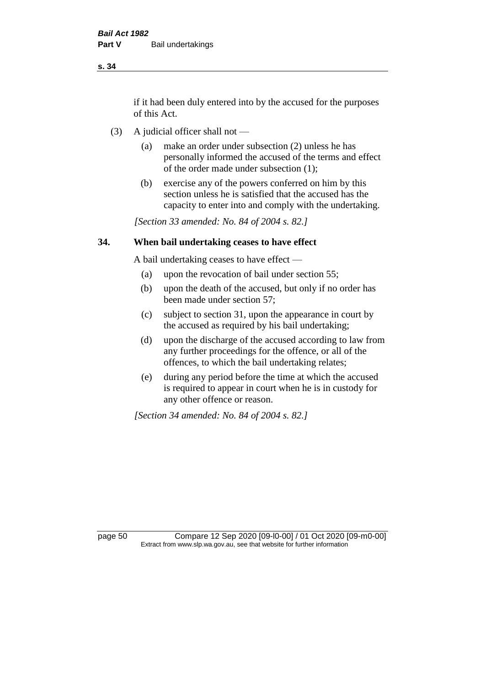if it had been duly entered into by the accused for the purposes of this Act.

- (3) A judicial officer shall not
	- (a) make an order under subsection (2) unless he has personally informed the accused of the terms and effect of the order made under subsection (1);
	- (b) exercise any of the powers conferred on him by this section unless he is satisfied that the accused has the capacity to enter into and comply with the undertaking.

*[Section 33 amended: No. 84 of 2004 s. 82.]* 

# **34. When bail undertaking ceases to have effect**

A bail undertaking ceases to have effect —

- (a) upon the revocation of bail under section 55;
- (b) upon the death of the accused, but only if no order has been made under section 57;
- (c) subject to section 31, upon the appearance in court by the accused as required by his bail undertaking;
- (d) upon the discharge of the accused according to law from any further proceedings for the offence, or all of the offences, to which the bail undertaking relates;
- (e) during any period before the time at which the accused is required to appear in court when he is in custody for any other offence or reason.

*[Section 34 amended: No. 84 of 2004 s. 82.]* 

page 50 Compare 12 Sep 2020 [09-l0-00] / 01 Oct 2020 [09-m0-00] Extract from www.slp.wa.gov.au, see that website for further information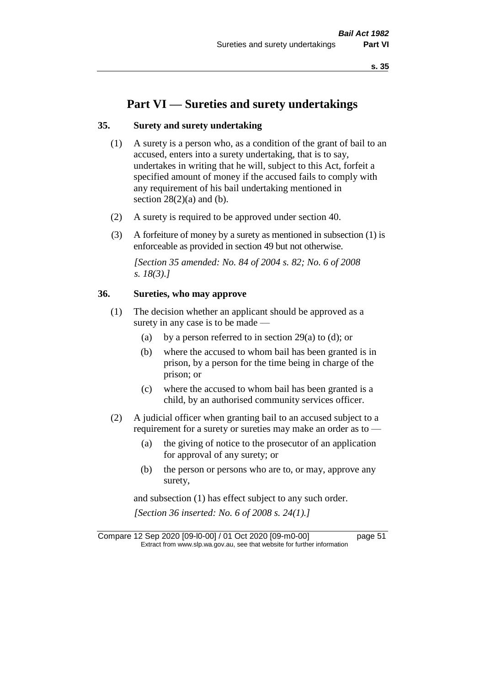# **Part VI — Sureties and surety undertakings**

# **35. Surety and surety undertaking**

- (1) A surety is a person who, as a condition of the grant of bail to an accused, enters into a surety undertaking, that is to say, undertakes in writing that he will, subject to this Act, forfeit a specified amount of money if the accused fails to comply with any requirement of his bail undertaking mentioned in section  $28(2)(a)$  and (b).
- (2) A surety is required to be approved under section 40.
- (3) A forfeiture of money by a surety as mentioned in subsection (1) is enforceable as provided in section 49 but not otherwise.

*[Section 35 amended: No. 84 of 2004 s. 82; No. 6 of 2008 s. 18(3).]* 

# **36. Sureties, who may approve**

- (1) The decision whether an applicant should be approved as a surety in any case is to be made —
	- (a) by a person referred to in section 29(a) to (d); or
	- (b) where the accused to whom bail has been granted is in prison, by a person for the time being in charge of the prison; or
	- (c) where the accused to whom bail has been granted is a child, by an authorised community services officer.
- (2) A judicial officer when granting bail to an accused subject to a requirement for a surety or sureties may make an order as to -
	- (a) the giving of notice to the prosecutor of an application for approval of any surety; or
	- (b) the person or persons who are to, or may, approve any surety,

and subsection (1) has effect subject to any such order. *[Section 36 inserted: No. 6 of 2008 s. 24(1).]*

Compare 12 Sep 2020 [09-l0-00] / 01 Oct 2020 [09-m0-00] page 51 Extract from www.slp.wa.gov.au, see that website for further information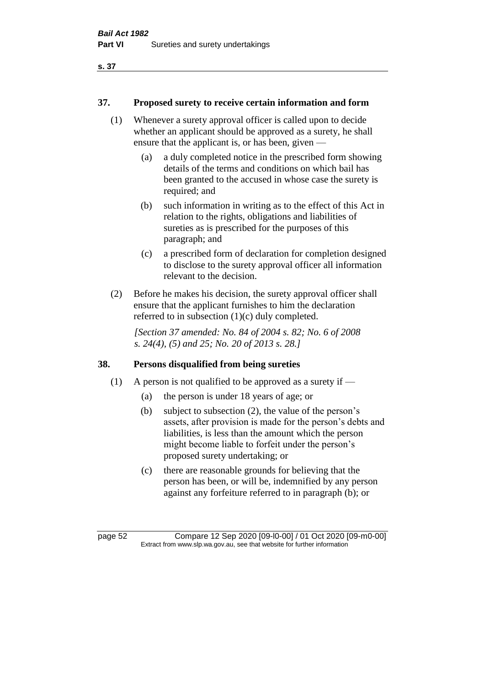# **37. Proposed surety to receive certain information and form**

- (1) Whenever a surety approval officer is called upon to decide whether an applicant should be approved as a surety, he shall ensure that the applicant is, or has been, given —
	- (a) a duly completed notice in the prescribed form showing details of the terms and conditions on which bail has been granted to the accused in whose case the surety is required; and
	- (b) such information in writing as to the effect of this Act in relation to the rights, obligations and liabilities of sureties as is prescribed for the purposes of this paragraph; and
	- (c) a prescribed form of declaration for completion designed to disclose to the surety approval officer all information relevant to the decision.
- (2) Before he makes his decision, the surety approval officer shall ensure that the applicant furnishes to him the declaration referred to in subsection (1)(c) duly completed.

*[Section 37 amended: No. 84 of 2004 s. 82; No. 6 of 2008 s. 24(4), (5) and 25; No. 20 of 2013 s. 28.]* 

# **38. Persons disqualified from being sureties**

- (1) A person is not qualified to be approved as a surety if  $-$ 
	- (a) the person is under 18 years of age; or
	- (b) subject to subsection (2), the value of the person's assets, after provision is made for the person's debts and liabilities, is less than the amount which the person might become liable to forfeit under the person's proposed surety undertaking; or
	- (c) there are reasonable grounds for believing that the person has been, or will be, indemnified by any person against any forfeiture referred to in paragraph (b); or

page 52 Compare 12 Sep 2020 [09-l0-00] / 01 Oct 2020 [09-m0-00] Extract from www.slp.wa.gov.au, see that website for further information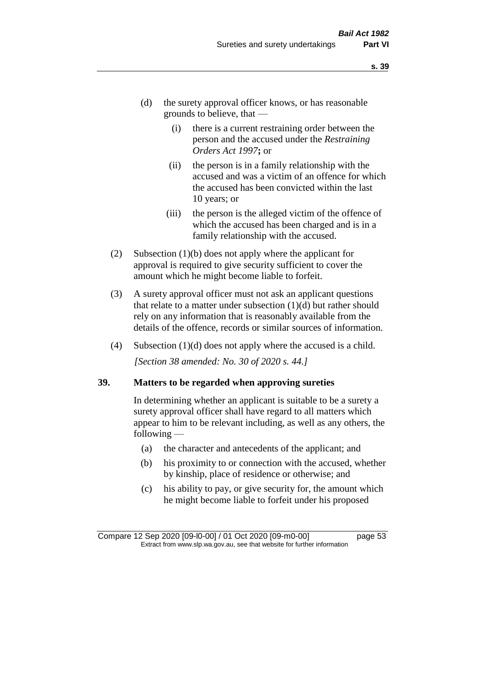- (d) the surety approval officer knows, or has reasonable grounds to believe, that —
	- (i) there is a current restraining order between the person and the accused under the *Restraining Orders Act 1997***;** or
	- (ii) the person is in a family relationship with the accused and was a victim of an offence for which the accused has been convicted within the last 10 years; or
	- (iii) the person is the alleged victim of the offence of which the accused has been charged and is in a family relationship with the accused.
- (2) Subsection (1)(b) does not apply where the applicant for approval is required to give security sufficient to cover the amount which he might become liable to forfeit.
- (3) A surety approval officer must not ask an applicant questions that relate to a matter under subsection  $(1)(d)$  but rather should rely on any information that is reasonably available from the details of the offence, records or similar sources of information.
- (4) Subsection (1)(d) does not apply where the accused is a child. *[Section 38 amended: No. 30 of 2020 s. 44.]*

#### **39. Matters to be regarded when approving sureties**

In determining whether an applicant is suitable to be a surety a surety approval officer shall have regard to all matters which appear to him to be relevant including, as well as any others, the following —

- (a) the character and antecedents of the applicant; and
- (b) his proximity to or connection with the accused, whether by kinship, place of residence or otherwise; and
- (c) his ability to pay, or give security for, the amount which he might become liable to forfeit under his proposed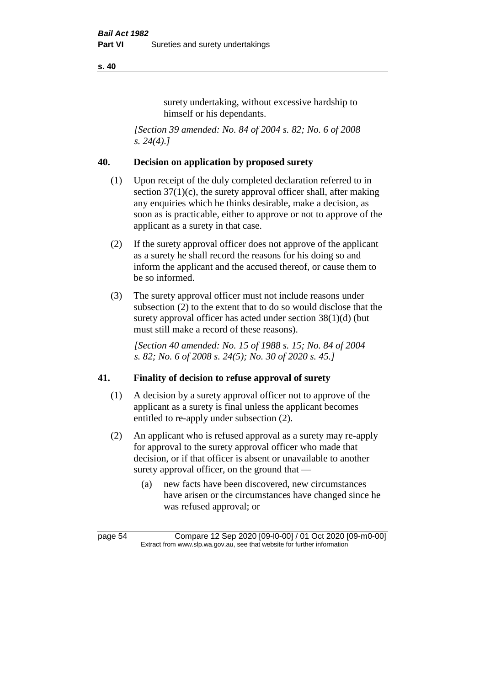surety undertaking, without excessive hardship to himself or his dependants.

*[Section 39 amended: No. 84 of 2004 s. 82; No. 6 of 2008 s. 24(4).]* 

## **40. Decision on application by proposed surety**

- (1) Upon receipt of the duly completed declaration referred to in section  $37(1)(c)$ , the surety approval officer shall, after making any enquiries which he thinks desirable, make a decision, as soon as is practicable, either to approve or not to approve of the applicant as a surety in that case.
- (2) If the surety approval officer does not approve of the applicant as a surety he shall record the reasons for his doing so and inform the applicant and the accused thereof, or cause them to be so informed.
- (3) The surety approval officer must not include reasons under subsection (2) to the extent that to do so would disclose that the surety approval officer has acted under section 38(1)(d) (but must still make a record of these reasons).

*[Section 40 amended: No. 15 of 1988 s. 15; No. 84 of 2004 s. 82; No. 6 of 2008 s. 24(5); No. 30 of 2020 s. 45.]* 

# **41. Finality of decision to refuse approval of surety**

- (1) A decision by a surety approval officer not to approve of the applicant as a surety is final unless the applicant becomes entitled to re-apply under subsection (2).
- (2) An applicant who is refused approval as a surety may re-apply for approval to the surety approval officer who made that decision, or if that officer is absent or unavailable to another surety approval officer, on the ground that —
	- (a) new facts have been discovered, new circumstances have arisen or the circumstances have changed since he was refused approval; or

page 54 Compare 12 Sep 2020 [09-l0-00] / 01 Oct 2020 [09-m0-00] Extract from www.slp.wa.gov.au, see that website for further information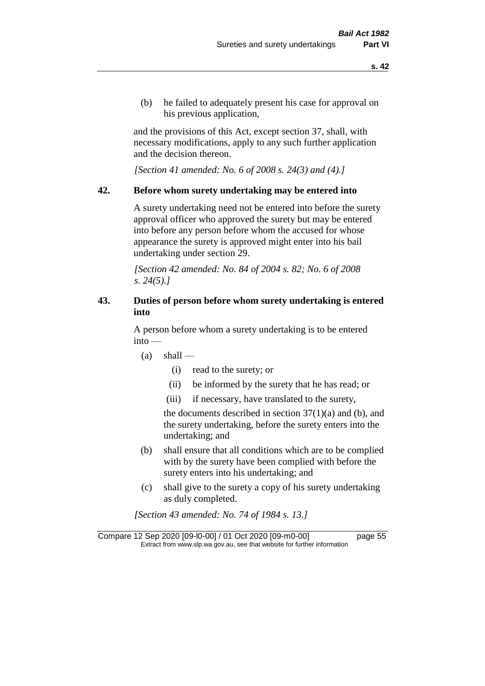(b) he failed to adequately present his case for approval on his previous application,

and the provisions of this Act, except section 37, shall, with necessary modifications, apply to any such further application and the decision thereon.

*[Section 41 amended: No. 6 of 2008 s. 24(3) and (4).]*

#### **42. Before whom surety undertaking may be entered into**

A surety undertaking need not be entered into before the surety approval officer who approved the surety but may be entered into before any person before whom the accused for whose appearance the surety is approved might enter into his bail undertaking under section 29.

*[Section 42 amended: No. 84 of 2004 s. 82; No. 6 of 2008 s. 24(5).]* 

# **43. Duties of person before whom surety undertaking is entered into**

A person before whom a surety undertaking is to be entered into —

- $(a)$  shall
	- (i) read to the surety; or
	- (ii) be informed by the surety that he has read; or
	- (iii) if necessary, have translated to the surety,

the documents described in section  $37(1)(a)$  and (b), and the surety undertaking, before the surety enters into the undertaking; and

- (b) shall ensure that all conditions which are to be complied with by the surety have been complied with before the surety enters into his undertaking; and
- (c) shall give to the surety a copy of his surety undertaking as duly completed.

*[Section 43 amended: No. 74 of 1984 s. 13.]* 

Compare 12 Sep 2020 [09-l0-00] / 01 Oct 2020 [09-m0-00] page 55 Extract from www.slp.wa.gov.au, see that website for further information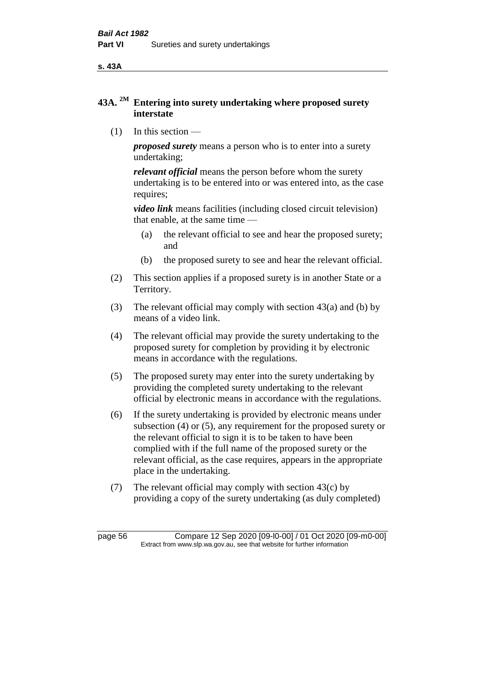**s. 43A**

# **43A. 2M Entering into surety undertaking where proposed surety interstate**

(1) In this section —

*proposed surety* means a person who is to enter into a surety undertaking;

*relevant official* means the person before whom the surety undertaking is to be entered into or was entered into, as the case requires;

*video link* means facilities (including closed circuit television) that enable, at the same time —

- (a) the relevant official to see and hear the proposed surety; and
- (b) the proposed surety to see and hear the relevant official.
- (2) This section applies if a proposed surety is in another State or a Territory.
- (3) The relevant official may comply with section 43(a) and (b) by means of a video link.
- (4) The relevant official may provide the surety undertaking to the proposed surety for completion by providing it by electronic means in accordance with the regulations.
- (5) The proposed surety may enter into the surety undertaking by providing the completed surety undertaking to the relevant official by electronic means in accordance with the regulations.
- (6) If the surety undertaking is provided by electronic means under subsection (4) or (5), any requirement for the proposed surety or the relevant official to sign it is to be taken to have been complied with if the full name of the proposed surety or the relevant official, as the case requires, appears in the appropriate place in the undertaking.
- (7) The relevant official may comply with section 43(c) by providing a copy of the surety undertaking (as duly completed)

page 56 Compare 12 Sep 2020 [09-l0-00] / 01 Oct 2020 [09-m0-00] Extract from www.slp.wa.gov.au, see that website for further information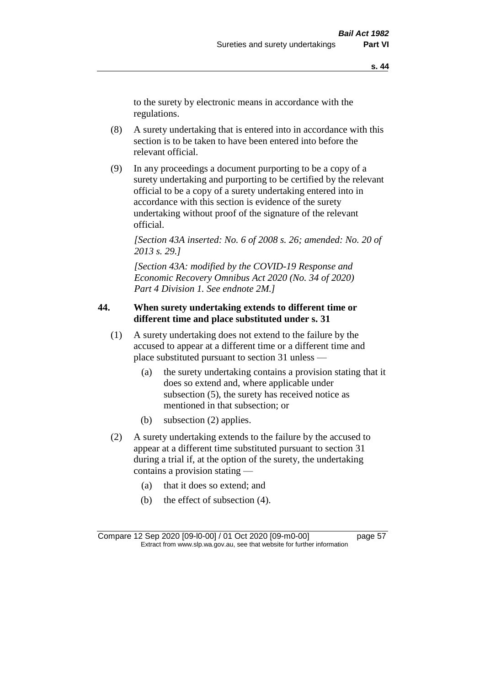to the surety by electronic means in accordance with the regulations.

- (8) A surety undertaking that is entered into in accordance with this section is to be taken to have been entered into before the relevant official.
- (9) In any proceedings a document purporting to be a copy of a surety undertaking and purporting to be certified by the relevant official to be a copy of a surety undertaking entered into in accordance with this section is evidence of the surety undertaking without proof of the signature of the relevant official.

*[Section 43A inserted: No. 6 of 2008 s. 26; amended: No. 20 of 2013 s. 29.]*

*[Section 43A: modified by the COVID-19 Response and Economic Recovery Omnibus Act 2020 (No. 34 of 2020) Part 4 Division 1. See endnote 2M.]*

# **44. When surety undertaking extends to different time or different time and place substituted under s. 31**

- (1) A surety undertaking does not extend to the failure by the accused to appear at a different time or a different time and place substituted pursuant to section 31 unless —
	- (a) the surety undertaking contains a provision stating that it does so extend and, where applicable under subsection (5), the surety has received notice as mentioned in that subsection; or
	- (b) subsection (2) applies.
- (2) A surety undertaking extends to the failure by the accused to appear at a different time substituted pursuant to section 31 during a trial if, at the option of the surety, the undertaking contains a provision stating —
	- (a) that it does so extend; and
	- (b) the effect of subsection (4).

Compare 12 Sep 2020 [09-l0-00] / 01 Oct 2020 [09-m0-00] page 57 Extract from www.slp.wa.gov.au, see that website for further information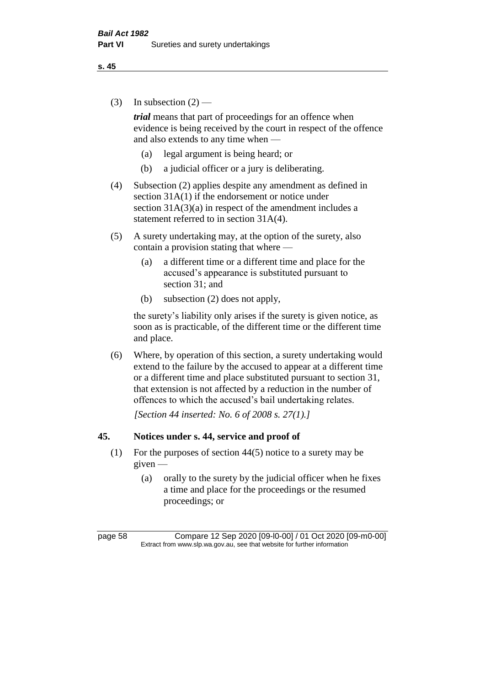(3) In subsection  $(2)$  —

*trial* means that part of proceedings for an offence when evidence is being received by the court in respect of the offence and also extends to any time when —

- (a) legal argument is being heard; or
- (b) a judicial officer or a jury is deliberating.
- (4) Subsection (2) applies despite any amendment as defined in section 31A(1) if the endorsement or notice under section  $31A(3)(a)$  in respect of the amendment includes a statement referred to in section 31A(4).
- (5) A surety undertaking may, at the option of the surety, also contain a provision stating that where —
	- (a) a different time or a different time and place for the accused's appearance is substituted pursuant to section 31; and
	- (b) subsection (2) does not apply,

the surety's liability only arises if the surety is given notice, as soon as is practicable, of the different time or the different time and place.

(6) Where, by operation of this section, a surety undertaking would extend to the failure by the accused to appear at a different time or a different time and place substituted pursuant to section 31, that extension is not affected by a reduction in the number of offences to which the accused's bail undertaking relates.

*[Section 44 inserted: No. 6 of 2008 s. 27(1).]*

## **45. Notices under s. 44, service and proof of**

- (1) For the purposes of section 44(5) notice to a surety may be given —
	- (a) orally to the surety by the judicial officer when he fixes a time and place for the proceedings or the resumed proceedings; or

page 58 Compare 12 Sep 2020 [09-l0-00] / 01 Oct 2020 [09-m0-00] Extract from www.slp.wa.gov.au, see that website for further information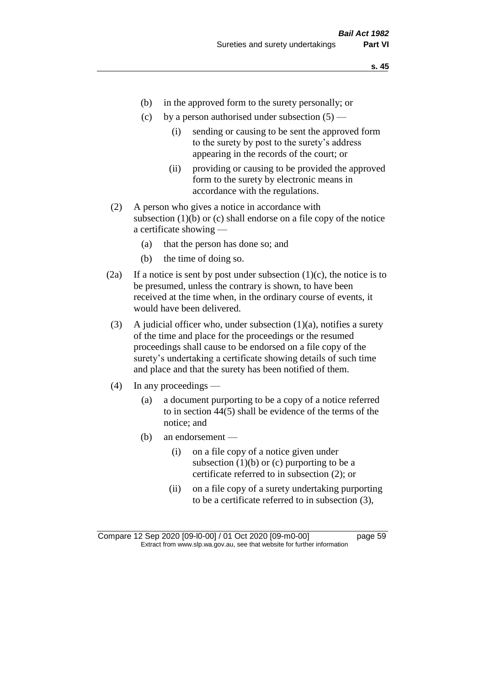- (b) in the approved form to the surety personally; or
- (c) by a person authorised under subsection  $(5)$ 
	- (i) sending or causing to be sent the approved form to the surety by post to the surety's address appearing in the records of the court; or
	- (ii) providing or causing to be provided the approved form to the surety by electronic means in accordance with the regulations.
- (2) A person who gives a notice in accordance with subsection  $(1)(b)$  or  $(c)$  shall endorse on a file copy of the notice a certificate showing —
	- (a) that the person has done so; and
	- (b) the time of doing so.
- (2a) If a notice is sent by post under subsection  $(1)(c)$ , the notice is to be presumed, unless the contrary is shown, to have been received at the time when, in the ordinary course of events, it would have been delivered.
- (3) A judicial officer who, under subsection  $(1)(a)$ , notifies a surety of the time and place for the proceedings or the resumed proceedings shall cause to be endorsed on a file copy of the surety's undertaking a certificate showing details of such time and place and that the surety has been notified of them.
- (4) In any proceedings
	- (a) a document purporting to be a copy of a notice referred to in section 44(5) shall be evidence of the terms of the notice; and
	- (b) an endorsement
		- (i) on a file copy of a notice given under subsection  $(1)(b)$  or  $(c)$  purporting to be a certificate referred to in subsection (2); or
		- (ii) on a file copy of a surety undertaking purporting to be a certificate referred to in subsection (3),

Compare 12 Sep 2020 [09-l0-00] / 01 Oct 2020 [09-m0-00] page 59 Extract from www.slp.wa.gov.au, see that website for further information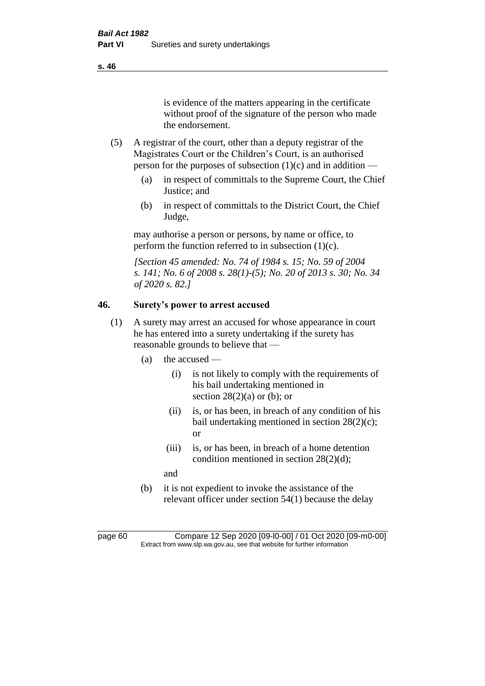is evidence of the matters appearing in the certificate without proof of the signature of the person who made the endorsement.

- (5) A registrar of the court, other than a deputy registrar of the Magistrates Court or the Children's Court, is an authorised person for the purposes of subsection  $(1)(c)$  and in addition —
	- (a) in respect of committals to the Supreme Court, the Chief Justice; and
	- (b) in respect of committals to the District Court, the Chief Judge,

may authorise a person or persons, by name or office, to perform the function referred to in subsection  $(1)(c)$ .

*[Section 45 amended: No. 74 of 1984 s. 15; No. 59 of 2004 s. 141; No. 6 of 2008 s. 28(1)-(5); No. 20 of 2013 s. 30; No. 34 of 2020 s. 82.]* 

# **46. Surety's power to arrest accused**

- (1) A surety may arrest an accused for whose appearance in court he has entered into a surety undertaking if the surety has reasonable grounds to believe that —
	- (a) the accused
		- (i) is not likely to comply with the requirements of his bail undertaking mentioned in section  $28(2)(a)$  or (b); or
		- (ii) is, or has been, in breach of any condition of his bail undertaking mentioned in section 28(2)(c); or
		- (iii) is, or has been, in breach of a home detention condition mentioned in section 28(2)(d);
		- and
	- (b) it is not expedient to invoke the assistance of the relevant officer under section 54(1) because the delay

page 60 Compare 12 Sep 2020 [09-l0-00] / 01 Oct 2020 [09-m0-00] Extract from www.slp.wa.gov.au, see that website for further information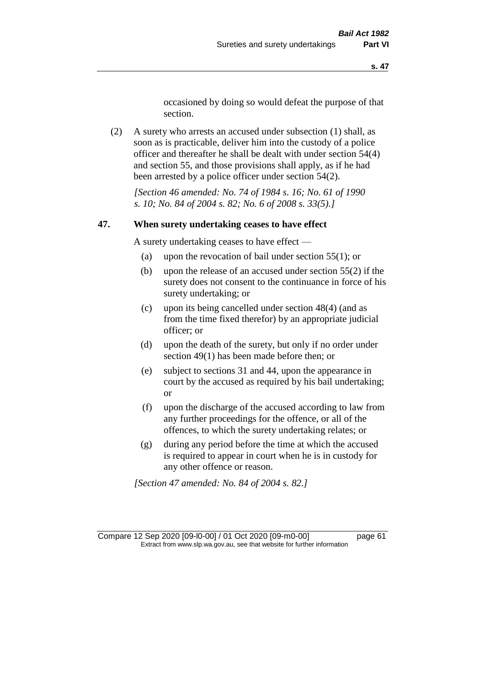occasioned by doing so would defeat the purpose of that section.

(2) A surety who arrests an accused under subsection (1) shall, as soon as is practicable, deliver him into the custody of a police officer and thereafter he shall be dealt with under section 54(4) and section 55, and those provisions shall apply, as if he had been arrested by a police officer under section 54(2).

*[Section 46 amended: No. 74 of 1984 s. 16; No. 61 of 1990 s. 10; No. 84 of 2004 s. 82; No. 6 of 2008 s. 33(5).]* 

#### **47. When surety undertaking ceases to have effect**

A surety undertaking ceases to have effect —

- (a) upon the revocation of bail under section 55(1); or
- (b) upon the release of an accused under section 55(2) if the surety does not consent to the continuance in force of his surety undertaking; or
- (c) upon its being cancelled under section 48(4) (and as from the time fixed therefor) by an appropriate judicial officer; or
- (d) upon the death of the surety, but only if no order under section 49(1) has been made before then; or
- (e) subject to sections 31 and 44, upon the appearance in court by the accused as required by his bail undertaking; or
- (f) upon the discharge of the accused according to law from any further proceedings for the offence, or all of the offences, to which the surety undertaking relates; or
- (g) during any period before the time at which the accused is required to appear in court when he is in custody for any other offence or reason.

*[Section 47 amended: No. 84 of 2004 s. 82.]* 

Compare 12 Sep 2020 [09-l0-00] / 01 Oct 2020 [09-m0-00] page 61 Extract from www.slp.wa.gov.au, see that website for further information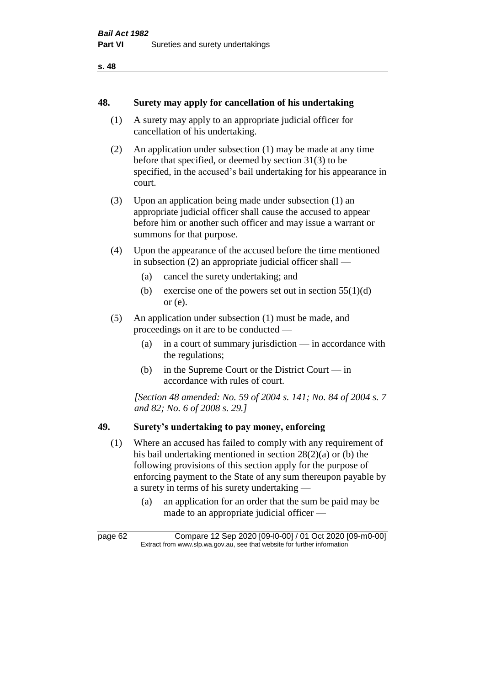#### **48. Surety may apply for cancellation of his undertaking**

- (1) A surety may apply to an appropriate judicial officer for cancellation of his undertaking.
- (2) An application under subsection (1) may be made at any time before that specified, or deemed by section 31(3) to be specified, in the accused's bail undertaking for his appearance in court.
- (3) Upon an application being made under subsection (1) an appropriate judicial officer shall cause the accused to appear before him or another such officer and may issue a warrant or summons for that purpose.
- (4) Upon the appearance of the accused before the time mentioned in subsection (2) an appropriate judicial officer shall —
	- (a) cancel the surety undertaking; and
	- (b) exercise one of the powers set out in section  $55(1)(d)$ or (e).
- (5) An application under subsection (1) must be made, and proceedings on it are to be conducted —
	- (a) in a court of summary jurisdiction in accordance with the regulations;
	- (b) in the Supreme Court or the District Court in accordance with rules of court.

*[Section 48 amended: No. 59 of 2004 s. 141; No. 84 of 2004 s. 7 and 82; No. 6 of 2008 s. 29.]* 

# **49. Surety's undertaking to pay money, enforcing**

- (1) Where an accused has failed to comply with any requirement of his bail undertaking mentioned in section 28(2)(a) or (b) the following provisions of this section apply for the purpose of enforcing payment to the State of any sum thereupon payable by a surety in terms of his surety undertaking —
	- (a) an application for an order that the sum be paid may be made to an appropriate judicial officer —

page 62 Compare 12 Sep 2020 [09-l0-00] / 01 Oct 2020 [09-m0-00] Extract from www.slp.wa.gov.au, see that website for further information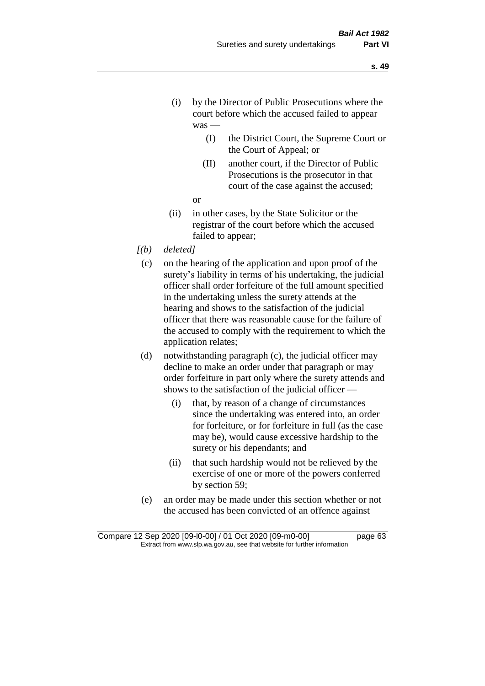- (i) by the Director of Public Prosecutions where the court before which the accused failed to appear was —
	- (I) the District Court, the Supreme Court or the Court of Appeal; or
	- (II) another court, if the Director of Public Prosecutions is the prosecutor in that court of the case against the accused;
	- or
- (ii) in other cases, by the State Solicitor or the registrar of the court before which the accused failed to appear;
- *[(b) deleted]*
	- (c) on the hearing of the application and upon proof of the surety's liability in terms of his undertaking, the judicial officer shall order forfeiture of the full amount specified in the undertaking unless the surety attends at the hearing and shows to the satisfaction of the judicial officer that there was reasonable cause for the failure of the accused to comply with the requirement to which the application relates;
	- (d) notwithstanding paragraph (c), the judicial officer may decline to make an order under that paragraph or may order forfeiture in part only where the surety attends and shows to the satisfaction of the judicial officer —
		- (i) that, by reason of a change of circumstances since the undertaking was entered into, an order for forfeiture, or for forfeiture in full (as the case may be), would cause excessive hardship to the surety or his dependants; and
		- (ii) that such hardship would not be relieved by the exercise of one or more of the powers conferred by section 59;
	- (e) an order may be made under this section whether or not the accused has been convicted of an offence against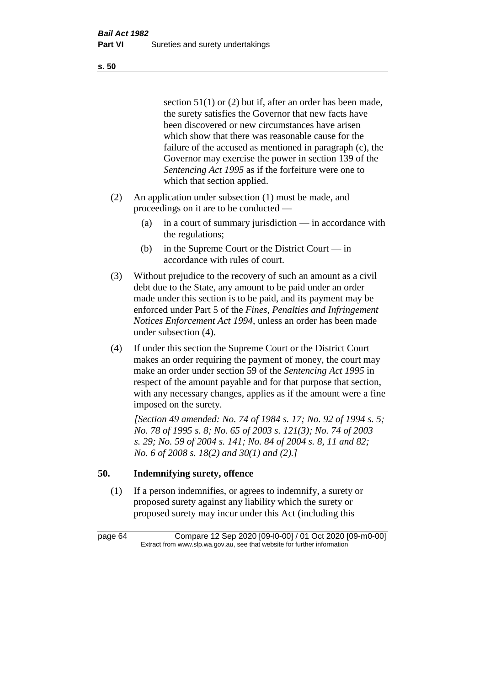section 51(1) or (2) but if, after an order has been made, the surety satisfies the Governor that new facts have been discovered or new circumstances have arisen which show that there was reasonable cause for the failure of the accused as mentioned in paragraph (c), the Governor may exercise the power in section 139 of the *Sentencing Act 1995* as if the forfeiture were one to which that section applied.

- (2) An application under subsection (1) must be made, and proceedings on it are to be conducted —
	- (a) in a court of summary jurisdiction in accordance with the regulations;
	- (b) in the Supreme Court or the District Court in accordance with rules of court.
- (3) Without prejudice to the recovery of such an amount as a civil debt due to the State, any amount to be paid under an order made under this section is to be paid, and its payment may be enforced under Part 5 of the *Fines, Penalties and Infringement Notices Enforcement Act 1994*, unless an order has been made under subsection (4).
- (4) If under this section the Supreme Court or the District Court makes an order requiring the payment of money, the court may make an order under section 59 of the *Sentencing Act 1995* in respect of the amount payable and for that purpose that section, with any necessary changes, applies as if the amount were a fine imposed on the surety.

*[Section 49 amended: No. 74 of 1984 s. 17; No. 92 of 1994 s. 5; No. 78 of 1995 s. 8; No. 65 of 2003 s. 121(3); No. 74 of 2003 s. 29; No. 59 of 2004 s. 141; No. 84 of 2004 s. 8, 11 and 82; No. 6 of 2008 s. 18(2) and 30(1) and (2).]* 

# **50. Indemnifying surety, offence**

(1) If a person indemnifies, or agrees to indemnify, a surety or proposed surety against any liability which the surety or proposed surety may incur under this Act (including this

page 64 Compare 12 Sep 2020 [09-l0-00] / 01 Oct 2020 [09-m0-00] Extract from www.slp.wa.gov.au, see that website for further information

**s. 50**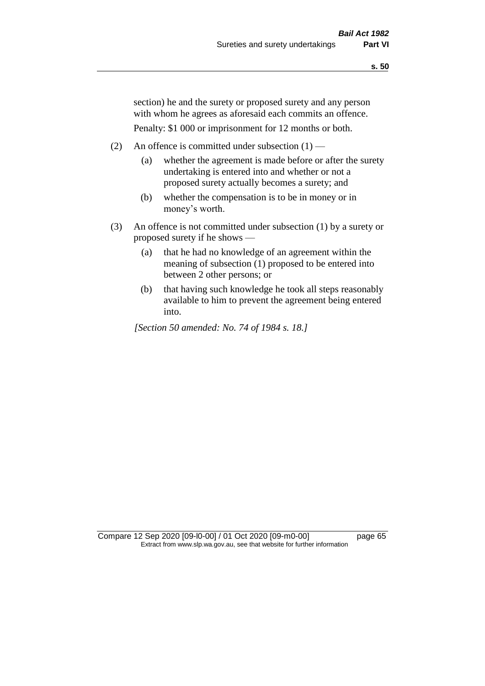section) he and the surety or proposed surety and any person with whom he agrees as aforesaid each commits an offence.

Penalty: \$1 000 or imprisonment for 12 months or both.

- (2) An offence is committed under subsection  $(1)$ 
	- (a) whether the agreement is made before or after the surety undertaking is entered into and whether or not a proposed surety actually becomes a surety; and
	- (b) whether the compensation is to be in money or in money's worth.
- (3) An offence is not committed under subsection (1) by a surety or proposed surety if he shows —
	- (a) that he had no knowledge of an agreement within the meaning of subsection (1) proposed to be entered into between 2 other persons; or
	- (b) that having such knowledge he took all steps reasonably available to him to prevent the agreement being entered into.

*[Section 50 amended: No. 74 of 1984 s. 18.]* 

Compare 12 Sep 2020 [09-l0-00] / 01 Oct 2020 [09-m0-00] page 65 Extract from www.slp.wa.gov.au, see that website for further information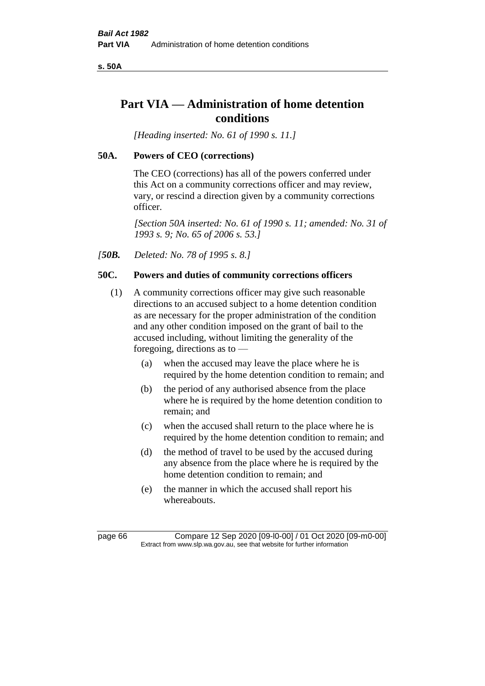**s. 50A**

# **Part VIA — Administration of home detention conditions**

*[Heading inserted: No. 61 of 1990 s. 11.]* 

# **50A. Powers of CEO (corrections)**

The CEO (corrections) has all of the powers conferred under this Act on a community corrections officer and may review, vary, or rescind a direction given by a community corrections officer.

*[Section 50A inserted: No. 61 of 1990 s. 11; amended: No. 31 of 1993 s. 9; No. 65 of 2006 s. 53.]* 

*[50B. Deleted: No. 78 of 1995 s. 8.]* 

# **50C. Powers and duties of community corrections officers**

- (1) A community corrections officer may give such reasonable directions to an accused subject to a home detention condition as are necessary for the proper administration of the condition and any other condition imposed on the grant of bail to the accused including, without limiting the generality of the foregoing, directions as to —
	- (a) when the accused may leave the place where he is required by the home detention condition to remain; and
	- (b) the period of any authorised absence from the place where he is required by the home detention condition to remain; and
	- (c) when the accused shall return to the place where he is required by the home detention condition to remain; and
	- (d) the method of travel to be used by the accused during any absence from the place where he is required by the home detention condition to remain; and
	- (e) the manner in which the accused shall report his whereabouts.

page 66 Compare 12 Sep 2020 [09-l0-00] / 01 Oct 2020 [09-m0-00] Extract from www.slp.wa.gov.au, see that website for further information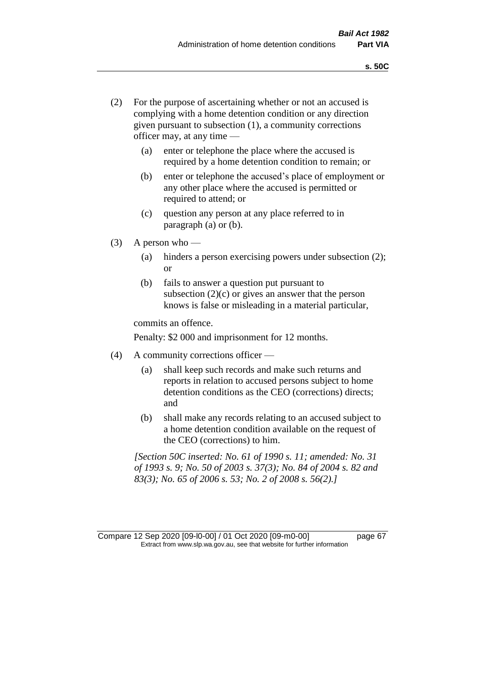- (2) For the purpose of ascertaining whether or not an accused is complying with a home detention condition or any direction given pursuant to subsection (1), a community corrections officer may, at any time —
	- (a) enter or telephone the place where the accused is required by a home detention condition to remain; or
	- (b) enter or telephone the accused's place of employment or any other place where the accused is permitted or required to attend; or
	- (c) question any person at any place referred to in paragraph (a) or (b).
- (3) A person who
	- (a) hinders a person exercising powers under subsection (2); or
	- (b) fails to answer a question put pursuant to subsection  $(2)(c)$  or gives an answer that the person knows is false or misleading in a material particular,

commits an offence.

Penalty: \$2 000 and imprisonment for 12 months.

- (4) A community corrections officer
	- (a) shall keep such records and make such returns and reports in relation to accused persons subject to home detention conditions as the CEO (corrections) directs; and
	- (b) shall make any records relating to an accused subject to a home detention condition available on the request of the CEO (corrections) to him.

*[Section 50C inserted: No. 61 of 1990 s. 11; amended: No. 31 of 1993 s. 9; No. 50 of 2003 s. 37(3); No. 84 of 2004 s. 82 and 83(3); No. 65 of 2006 s. 53; No. 2 of 2008 s. 56(2).]* 

Compare 12 Sep 2020 [09-l0-00] / 01 Oct 2020 [09-m0-00] page 67 Extract from www.slp.wa.gov.au, see that website for further information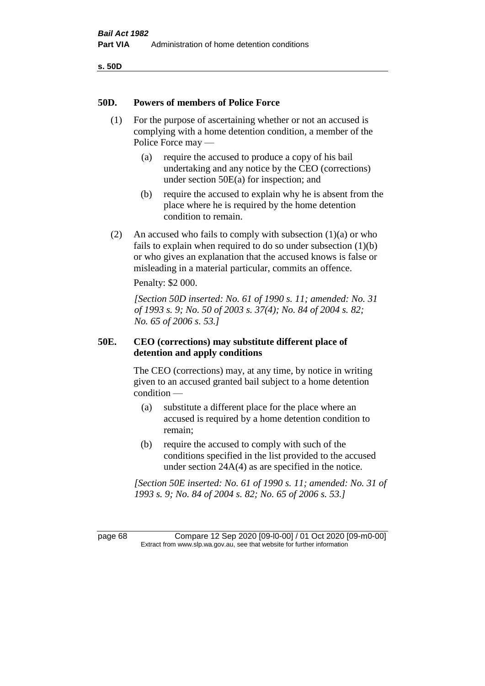**s. 50D**

#### **50D. Powers of members of Police Force**

- (1) For the purpose of ascertaining whether or not an accused is complying with a home detention condition, a member of the Police Force may —
	- (a) require the accused to produce a copy of his bail undertaking and any notice by the CEO (corrections) under section 50E(a) for inspection; and
	- (b) require the accused to explain why he is absent from the place where he is required by the home detention condition to remain.
- (2) An accused who fails to comply with subsection  $(1)(a)$  or who fails to explain when required to do so under subsection (1)(b) or who gives an explanation that the accused knows is false or misleading in a material particular, commits an offence.

Penalty: \$2 000.

*[Section 50D inserted: No. 61 of 1990 s. 11; amended: No. 31 of 1993 s. 9; No. 50 of 2003 s. 37(4); No. 84 of 2004 s. 82; No. 65 of 2006 s. 53.]* 

# **50E. CEO (corrections) may substitute different place of detention and apply conditions**

The CEO (corrections) may, at any time, by notice in writing given to an accused granted bail subject to a home detention condition —

- (a) substitute a different place for the place where an accused is required by a home detention condition to remain;
- (b) require the accused to comply with such of the conditions specified in the list provided to the accused under section 24A(4) as are specified in the notice.

*[Section 50E inserted: No. 61 of 1990 s. 11; amended: No. 31 of 1993 s. 9; No. 84 of 2004 s. 82; No. 65 of 2006 s. 53.]* 

page 68 Compare 12 Sep 2020 [09-l0-00] / 01 Oct 2020 [09-m0-00] Extract from www.slp.wa.gov.au, see that website for further information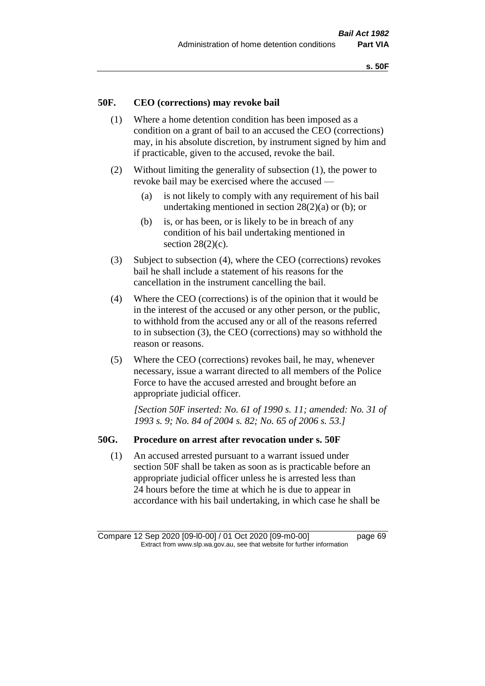# **50F. CEO (corrections) may revoke bail**

- (1) Where a home detention condition has been imposed as a condition on a grant of bail to an accused the CEO (corrections) may, in his absolute discretion, by instrument signed by him and if practicable, given to the accused, revoke the bail.
- (2) Without limiting the generality of subsection (1), the power to revoke bail may be exercised where the accused —
	- (a) is not likely to comply with any requirement of his bail undertaking mentioned in section 28(2)(a) or (b); or
	- (b) is, or has been, or is likely to be in breach of any condition of his bail undertaking mentioned in section  $28(2)(c)$ .
- (3) Subject to subsection (4), where the CEO (corrections) revokes bail he shall include a statement of his reasons for the cancellation in the instrument cancelling the bail.
- (4) Where the CEO (corrections) is of the opinion that it would be in the interest of the accused or any other person, or the public, to withhold from the accused any or all of the reasons referred to in subsection (3), the CEO (corrections) may so withhold the reason or reasons.
- (5) Where the CEO (corrections) revokes bail, he may, whenever necessary, issue a warrant directed to all members of the Police Force to have the accused arrested and brought before an appropriate judicial officer.

*[Section 50F inserted: No. 61 of 1990 s. 11; amended: No. 31 of 1993 s. 9; No. 84 of 2004 s. 82; No. 65 of 2006 s. 53.]* 

#### **50G. Procedure on arrest after revocation under s. 50F**

(1) An accused arrested pursuant to a warrant issued under section 50F shall be taken as soon as is practicable before an appropriate judicial officer unless he is arrested less than 24 hours before the time at which he is due to appear in accordance with his bail undertaking, in which case he shall be

Compare 12 Sep 2020 [09-l0-00] / 01 Oct 2020 [09-m0-00] page 69 Extract from www.slp.wa.gov.au, see that website for further information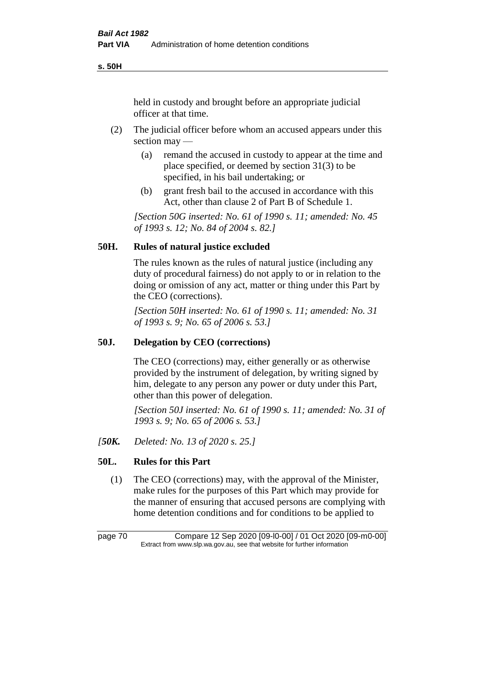**s. 50H**

held in custody and brought before an appropriate judicial officer at that time.

- (2) The judicial officer before whom an accused appears under this section may —
	- (a) remand the accused in custody to appear at the time and place specified, or deemed by section 31(3) to be specified, in his bail undertaking; or
	- (b) grant fresh bail to the accused in accordance with this Act, other than clause 2 of Part B of Schedule 1.

*[Section 50G inserted: No. 61 of 1990 s. 11; amended: No. 45 of 1993 s. 12; No. 84 of 2004 s. 82.]* 

# **50H. Rules of natural justice excluded**

The rules known as the rules of natural justice (including any duty of procedural fairness) do not apply to or in relation to the doing or omission of any act, matter or thing under this Part by the CEO (corrections).

*[Section 50H inserted: No. 61 of 1990 s. 11; amended: No. 31 of 1993 s. 9; No. 65 of 2006 s. 53.]* 

## **50J. Delegation by CEO (corrections)**

The CEO (corrections) may, either generally or as otherwise provided by the instrument of delegation, by writing signed by him, delegate to any person any power or duty under this Part, other than this power of delegation.

*[Section 50J inserted: No. 61 of 1990 s. 11; amended: No. 31 of 1993 s. 9; No. 65 of 2006 s. 53.]* 

*[50K. Deleted: No. 13 of 2020 s. 25.]*

# **50L. Rules for this Part**

(1) The CEO (corrections) may, with the approval of the Minister, make rules for the purposes of this Part which may provide for the manner of ensuring that accused persons are complying with home detention conditions and for conditions to be applied to

page 70 Compare 12 Sep 2020 [09-l0-00] / 01 Oct 2020 [09-m0-00] Extract from www.slp.wa.gov.au, see that website for further information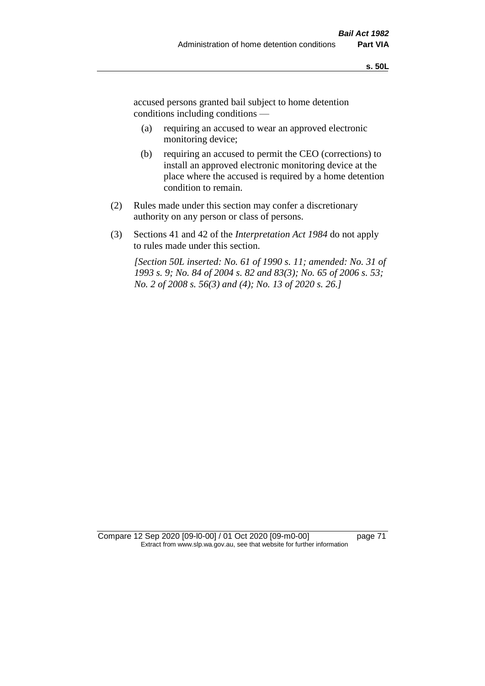accused persons granted bail subject to home detention conditions including conditions —

- (a) requiring an accused to wear an approved electronic monitoring device;
- (b) requiring an accused to permit the CEO (corrections) to install an approved electronic monitoring device at the place where the accused is required by a home detention condition to remain.
- (2) Rules made under this section may confer a discretionary authority on any person or class of persons.
- (3) Sections 41 and 42 of the *Interpretation Act 1984* do not apply to rules made under this section.

*[Section 50L inserted: No. 61 of 1990 s. 11; amended: No. 31 of 1993 s. 9; No. 84 of 2004 s. 82 and 83(3); No. 65 of 2006 s. 53; No. 2 of 2008 s. 56(3) and (4); No. 13 of 2020 s. 26.]* 

Compare 12 Sep 2020 [09-l0-00] / 01 Oct 2020 [09-m0-00] page 71 Extract from www.slp.wa.gov.au, see that website for further information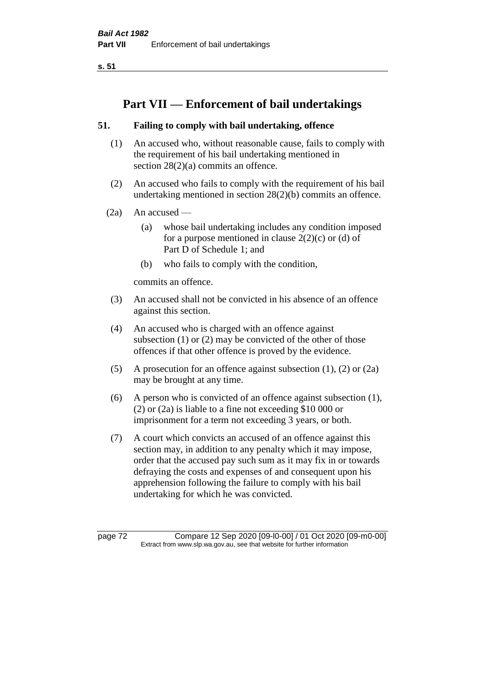**s. 51**

# **Part VII — Enforcement of bail undertakings**

# **51. Failing to comply with bail undertaking, offence**

- (1) An accused who, without reasonable cause, fails to comply with the requirement of his bail undertaking mentioned in section 28(2)(a) commits an offence.
- (2) An accused who fails to comply with the requirement of his bail undertaking mentioned in section 28(2)(b) commits an offence.
- $(2a)$  An accused
	- (a) whose bail undertaking includes any condition imposed for a purpose mentioned in clause  $2(2)(c)$  or (d) of Part D of Schedule 1; and
	- (b) who fails to comply with the condition,

commits an offence.

- (3) An accused shall not be convicted in his absence of an offence against this section.
- (4) An accused who is charged with an offence against subsection (1) or (2) may be convicted of the other of those offences if that other offence is proved by the evidence.
- (5) A prosecution for an offence against subsection (1), (2) or (2a) may be brought at any time.
- (6) A person who is convicted of an offence against subsection (1), (2) or (2a) is liable to a fine not exceeding \$10 000 or imprisonment for a term not exceeding 3 years, or both.
- (7) A court which convicts an accused of an offence against this section may, in addition to any penalty which it may impose, order that the accused pay such sum as it may fix in or towards defraying the costs and expenses of and consequent upon his apprehension following the failure to comply with his bail undertaking for which he was convicted.

page 72 Compare 12 Sep 2020 [09-l0-00] / 01 Oct 2020 [09-m0-00] Extract from www.slp.wa.gov.au, see that website for further information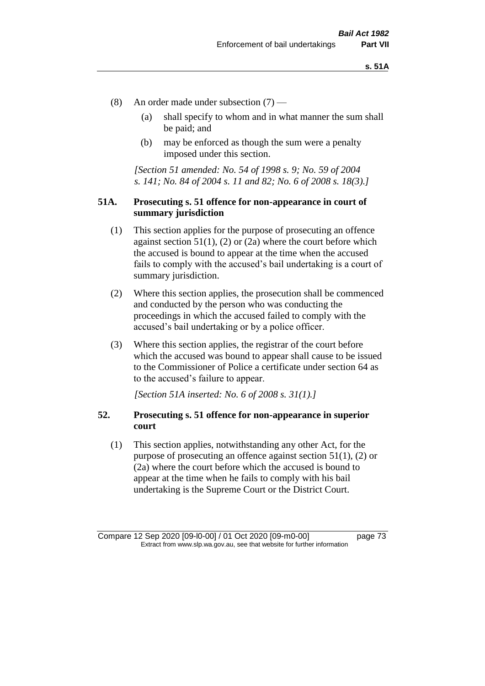- (8) An order made under subsection (7)
	- (a) shall specify to whom and in what manner the sum shall be paid; and
	- (b) may be enforced as though the sum were a penalty imposed under this section.

*[Section 51 amended: No. 54 of 1998 s. 9; No. 59 of 2004 s. 141; No. 84 of 2004 s. 11 and 82; No. 6 of 2008 s. 18(3).]*

### **51A. Prosecuting s. 51 offence for non-appearance in court of summary jurisdiction**

- (1) This section applies for the purpose of prosecuting an offence against section  $51(1)$ , (2) or (2a) where the court before which the accused is bound to appear at the time when the accused fails to comply with the accused's bail undertaking is a court of summary jurisdiction.
- (2) Where this section applies, the prosecution shall be commenced and conducted by the person who was conducting the proceedings in which the accused failed to comply with the accused's bail undertaking or by a police officer.
- (3) Where this section applies, the registrar of the court before which the accused was bound to appear shall cause to be issued to the Commissioner of Police a certificate under section 64 as to the accused's failure to appear.

*[Section 51A inserted: No. 6 of 2008 s. 31(1).]*

### **52. Prosecuting s. 51 offence for non-appearance in superior court**

(1) This section applies, notwithstanding any other Act, for the purpose of prosecuting an offence against section 51(1), (2) or (2a) where the court before which the accused is bound to appear at the time when he fails to comply with his bail undertaking is the Supreme Court or the District Court.

Compare 12 Sep 2020 [09-l0-00] / 01 Oct 2020 [09-m0-00] page 73 Extract from www.slp.wa.gov.au, see that website for further information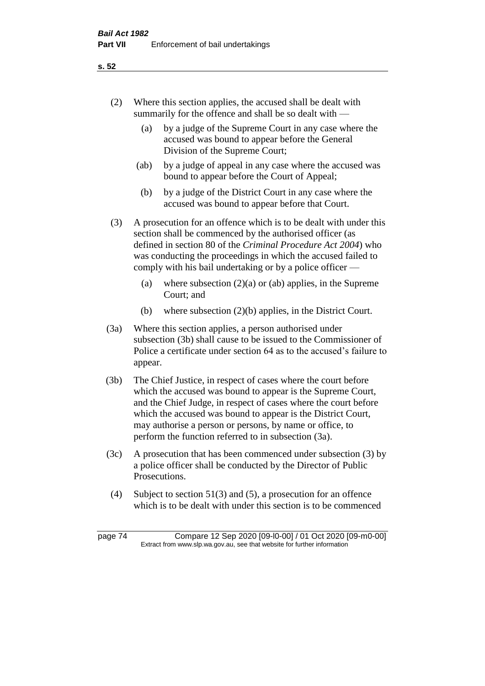- (2) Where this section applies, the accused shall be dealt with summarily for the offence and shall be so dealt with —
	- (a) by a judge of the Supreme Court in any case where the accused was bound to appear before the General Division of the Supreme Court;
	- (ab) by a judge of appeal in any case where the accused was bound to appear before the Court of Appeal;
	- (b) by a judge of the District Court in any case where the accused was bound to appear before that Court.
- (3) A prosecution for an offence which is to be dealt with under this section shall be commenced by the authorised officer (as defined in section 80 of the *Criminal Procedure Act 2004*) who was conducting the proceedings in which the accused failed to comply with his bail undertaking or by a police officer —
	- (a) where subsection  $(2)(a)$  or (ab) applies, in the Supreme Court; and
	- (b) where subsection (2)(b) applies, in the District Court.
- (3a) Where this section applies, a person authorised under subsection (3b) shall cause to be issued to the Commissioner of Police a certificate under section 64 as to the accused's failure to appear.
- (3b) The Chief Justice, in respect of cases where the court before which the accused was bound to appear is the Supreme Court, and the Chief Judge, in respect of cases where the court before which the accused was bound to appear is the District Court, may authorise a person or persons, by name or office, to perform the function referred to in subsection (3a).
- (3c) A prosecution that has been commenced under subsection (3) by a police officer shall be conducted by the Director of Public Prosecutions.
- (4) Subject to section 51(3) and (5), a prosecution for an offence which is to be dealt with under this section is to be commenced

**s. 52**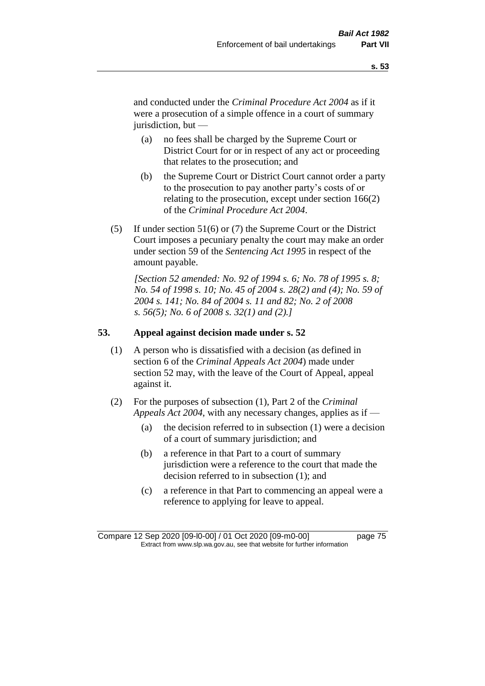and conducted under the *Criminal Procedure Act 2004* as if it were a prosecution of a simple offence in a court of summary jurisdiction, but —

- (a) no fees shall be charged by the Supreme Court or District Court for or in respect of any act or proceeding that relates to the prosecution; and
- (b) the Supreme Court or District Court cannot order a party to the prosecution to pay another party's costs of or relating to the prosecution, except under section 166(2) of the *Criminal Procedure Act 2004*.
- (5) If under section 51(6) or (7) the Supreme Court or the District Court imposes a pecuniary penalty the court may make an order under section 59 of the *Sentencing Act 1995* in respect of the amount payable.

*[Section 52 amended: No. 92 of 1994 s. 6; No. 78 of 1995 s. 8; No. 54 of 1998 s. 10; No. 45 of 2004 s. 28(2) and (4); No. 59 of 2004 s. 141; No. 84 of 2004 s. 11 and 82; No. 2 of 2008 s. 56(5); No. 6 of 2008 s. 32(1) and (2).]* 

### **53. Appeal against decision made under s. 52**

- (1) A person who is dissatisfied with a decision (as defined in section 6 of the *Criminal Appeals Act 2004*) made under section 52 may, with the leave of the Court of Appeal, appeal against it.
- (2) For the purposes of subsection (1), Part 2 of the *Criminal Appeals Act 2004*, with any necessary changes, applies as if —
	- (a) the decision referred to in subsection (1) were a decision of a court of summary jurisdiction; and
	- (b) a reference in that Part to a court of summary jurisdiction were a reference to the court that made the decision referred to in subsection (1); and
	- (c) a reference in that Part to commencing an appeal were a reference to applying for leave to appeal.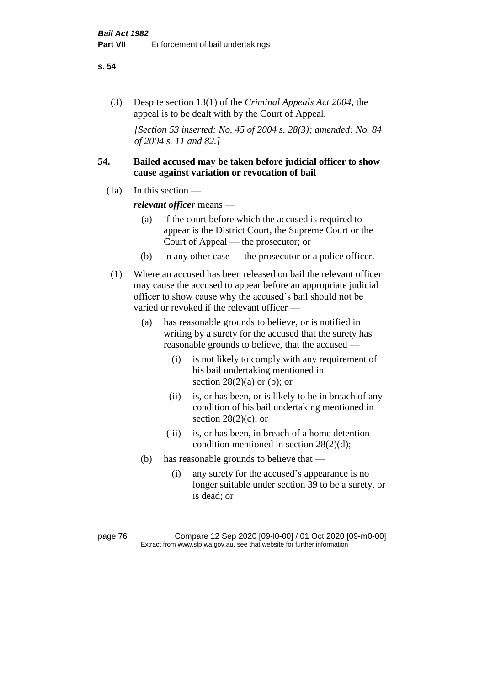#### **s. 54**

(3) Despite section 13(1) of the *Criminal Appeals Act 2004*, the appeal is to be dealt with by the Court of Appeal.

*[Section 53 inserted: No. 45 of 2004 s. 28(3); amended: No. 84 of 2004 s. 11 and 82.]*

# **54. Bailed accused may be taken before judicial officer to show cause against variation or revocation of bail**

 $(1a)$  In this section —

*relevant officer* means —

- (a) if the court before which the accused is required to appear is the District Court, the Supreme Court or the Court of Appeal — the prosecutor; or
- (b) in any other case the prosecutor or a police officer.
- (1) Where an accused has been released on bail the relevant officer may cause the accused to appear before an appropriate judicial officer to show cause why the accused's bail should not be varied or revoked if the relevant officer —
	- (a) has reasonable grounds to believe, or is notified in writing by a surety for the accused that the surety has reasonable grounds to believe, that the accused —
		- (i) is not likely to comply with any requirement of his bail undertaking mentioned in section  $28(2)(a)$  or (b); or
		- (ii) is, or has been, or is likely to be in breach of any condition of his bail undertaking mentioned in section  $28(2)(c)$ ; or
		- (iii) is, or has been, in breach of a home detention condition mentioned in section 28(2)(d);
	- (b) has reasonable grounds to believe that
		- (i) any surety for the accused's appearance is no longer suitable under section 39 to be a surety, or is dead; or

page 76 Compare 12 Sep 2020 [09-l0-00] / 01 Oct 2020 [09-m0-00] Extract from www.slp.wa.gov.au, see that website for further information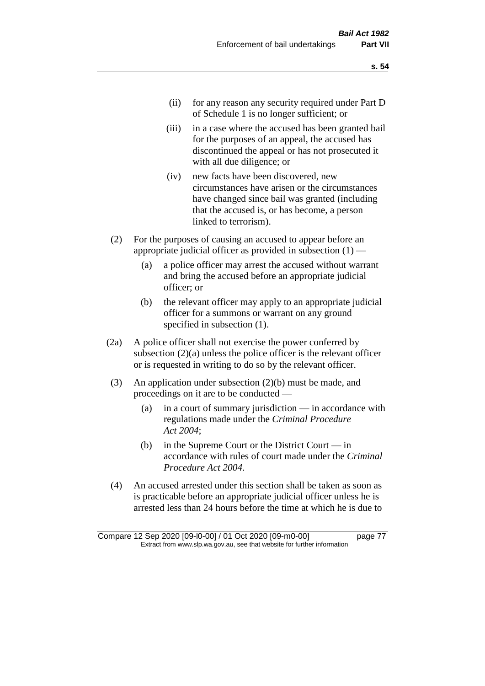- (ii) for any reason any security required under Part D of Schedule 1 is no longer sufficient; or
- (iii) in a case where the accused has been granted bail for the purposes of an appeal, the accused has discontinued the appeal or has not prosecuted it with all due diligence; or
- (iv) new facts have been discovered, new circumstances have arisen or the circumstances have changed since bail was granted (including that the accused is, or has become, a person linked to terrorism).
- (2) For the purposes of causing an accused to appear before an appropriate judicial officer as provided in subsection  $(1)$  —
	- (a) a police officer may arrest the accused without warrant and bring the accused before an appropriate judicial officer; or
	- (b) the relevant officer may apply to an appropriate judicial officer for a summons or warrant on any ground specified in subsection (1).
- (2a) A police officer shall not exercise the power conferred by subsection (2)(a) unless the police officer is the relevant officer or is requested in writing to do so by the relevant officer.
- (3) An application under subsection (2)(b) must be made, and proceedings on it are to be conducted —
	- (a) in a court of summary jurisdiction in accordance with regulations made under the *Criminal Procedure Act 2004*;
	- (b) in the Supreme Court or the District Court  $-\text{in}$ accordance with rules of court made under the *Criminal Procedure Act 2004*.
- (4) An accused arrested under this section shall be taken as soon as is practicable before an appropriate judicial officer unless he is arrested less than 24 hours before the time at which he is due to

Compare 12 Sep 2020 [09-l0-00] / 01 Oct 2020 [09-m0-00] page 77 Extract from www.slp.wa.gov.au, see that website for further information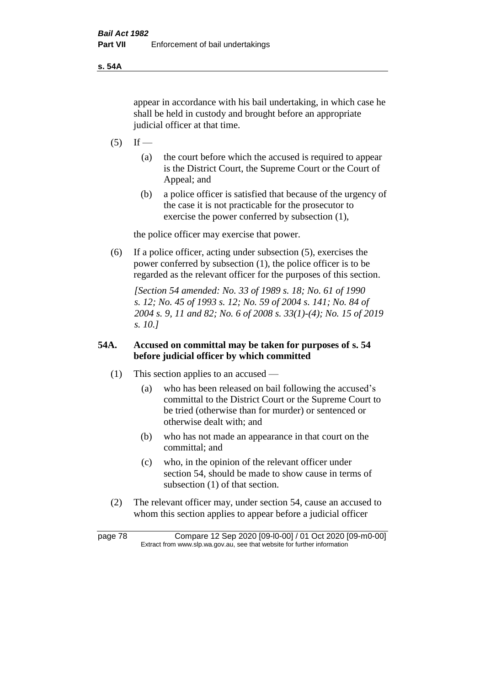**s. 54A**

appear in accordance with his bail undertaking, in which case he shall be held in custody and brought before an appropriate judicial officer at that time.

- $(5)$  If
	- (a) the court before which the accused is required to appear is the District Court, the Supreme Court or the Court of Appeal; and
	- (b) a police officer is satisfied that because of the urgency of the case it is not practicable for the prosecutor to exercise the power conferred by subsection (1),

the police officer may exercise that power.

(6) If a police officer, acting under subsection (5), exercises the power conferred by subsection (1), the police officer is to be regarded as the relevant officer for the purposes of this section.

*[Section 54 amended: No. 33 of 1989 s. 18; No. 61 of 1990 s. 12; No. 45 of 1993 s. 12; No. 59 of 2004 s. 141; No. 84 of 2004 s. 9, 11 and 82; No. 6 of 2008 s. 33(1)-(4); No. 15 of 2019 s. 10.]* 

# **54A. Accused on committal may be taken for purposes of s. 54 before judicial officer by which committed**

- (1) This section applies to an accused
	- (a) who has been released on bail following the accused's committal to the District Court or the Supreme Court to be tried (otherwise than for murder) or sentenced or otherwise dealt with; and
	- (b) who has not made an appearance in that court on the committal; and
	- (c) who, in the opinion of the relevant officer under section 54, should be made to show cause in terms of subsection (1) of that section.
- (2) The relevant officer may, under section 54, cause an accused to whom this section applies to appear before a judicial officer

page 78 Compare 12 Sep 2020 [09-l0-00] / 01 Oct 2020 [09-m0-00] Extract from www.slp.wa.gov.au, see that website for further information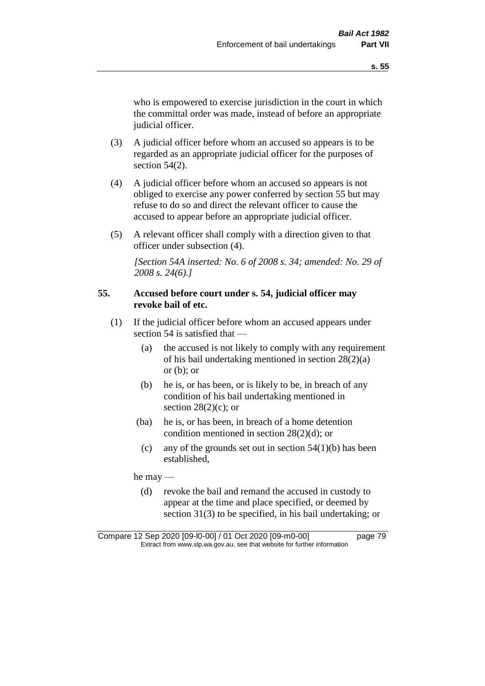who is empowered to exercise jurisdiction in the court in which the committal order was made, instead of before an appropriate judicial officer.

- (3) A judicial officer before whom an accused so appears is to be regarded as an appropriate judicial officer for the purposes of section 54(2).
- (4) A judicial officer before whom an accused so appears is not obliged to exercise any power conferred by section 55 but may refuse to do so and direct the relevant officer to cause the accused to appear before an appropriate judicial officer.
- (5) A relevant officer shall comply with a direction given to that officer under subsection (4).

*[Section 54A inserted: No. 6 of 2008 s. 34; amended: No. 29 of 2008 s. 24(6).]*

# **55. Accused before court under s. 54, judicial officer may revoke bail of etc.**

- (1) If the judicial officer before whom an accused appears under section 54 is satisfied that —
	- (a) the accused is not likely to comply with any requirement of his bail undertaking mentioned in section 28(2)(a) or  $(b)$ ; or
	- (b) he is, or has been, or is likely to be, in breach of any condition of his bail undertaking mentioned in section  $28(2)(c)$ ; or
	- (ba) he is, or has been, in breach of a home detention condition mentioned in section 28(2)(d); or
		- (c) any of the grounds set out in section  $54(1)(b)$  has been established,

he may —

(d) revoke the bail and remand the accused in custody to appear at the time and place specified, or deemed by section 31(3) to be specified, in his bail undertaking; or

Compare 12 Sep 2020 [09-l0-00] / 01 Oct 2020 [09-m0-00] page 79 Extract from www.slp.wa.gov.au, see that website for further information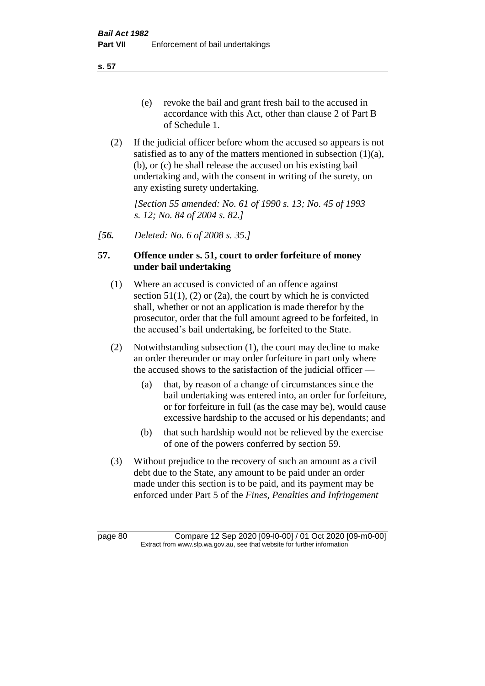**s. 57**

- (e) revoke the bail and grant fresh bail to the accused in accordance with this Act, other than clause 2 of Part B of Schedule 1.
- (2) If the judicial officer before whom the accused so appears is not satisfied as to any of the matters mentioned in subsection (1)(a), (b), or (c) he shall release the accused on his existing bail undertaking and, with the consent in writing of the surety, on any existing surety undertaking.

*[Section 55 amended: No. 61 of 1990 s. 13; No. 45 of 1993 s. 12; No. 84 of 2004 s. 82.]* 

*[56. Deleted: No. 6 of 2008 s. 35.]*

# **57. Offence under s. 51, court to order forfeiture of money under bail undertaking**

- (1) Where an accused is convicted of an offence against section  $51(1)$ ,  $(2)$  or  $(2a)$ , the court by which he is convicted shall, whether or not an application is made therefor by the prosecutor, order that the full amount agreed to be forfeited, in the accused's bail undertaking, be forfeited to the State.
- (2) Notwithstanding subsection (1), the court may decline to make an order thereunder or may order forfeiture in part only where the accused shows to the satisfaction of the judicial officer —
	- (a) that, by reason of a change of circumstances since the bail undertaking was entered into, an order for forfeiture, or for forfeiture in full (as the case may be), would cause excessive hardship to the accused or his dependants; and
	- (b) that such hardship would not be relieved by the exercise of one of the powers conferred by section 59.
- (3) Without prejudice to the recovery of such an amount as a civil debt due to the State, any amount to be paid under an order made under this section is to be paid, and its payment may be enforced under Part 5 of the *Fines, Penalties and Infringement*

page 80 Compare 12 Sep 2020 [09-l0-00] / 01 Oct 2020 [09-m0-00] Extract from www.slp.wa.gov.au, see that website for further information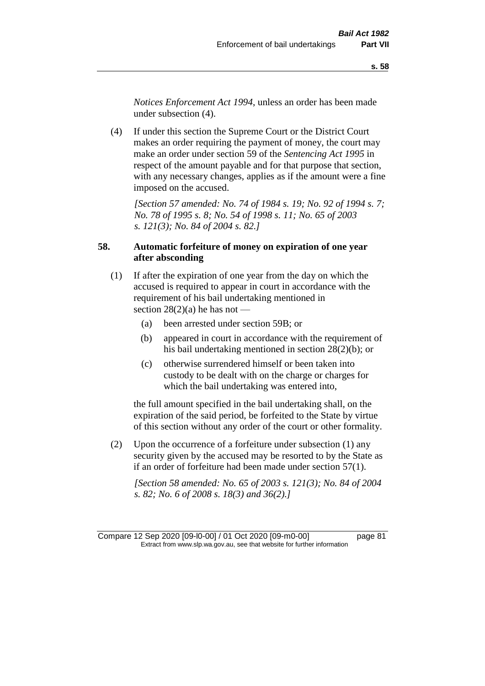*Notices Enforcement Act 1994*, unless an order has been made under subsection (4).

(4) If under this section the Supreme Court or the District Court makes an order requiring the payment of money, the court may make an order under section 59 of the *Sentencing Act 1995* in respect of the amount payable and for that purpose that section, with any necessary changes, applies as if the amount were a fine imposed on the accused.

*[Section 57 amended: No. 74 of 1984 s. 19; No. 92 of 1994 s. 7; No. 78 of 1995 s. 8; No. 54 of 1998 s. 11; No. 65 of 2003 s. 121(3); No. 84 of 2004 s. 82.]* 

# **58. Automatic forfeiture of money on expiration of one year after absconding**

- (1) If after the expiration of one year from the day on which the accused is required to appear in court in accordance with the requirement of his bail undertaking mentioned in section  $28(2)(a)$  he has not —
	- (a) been arrested under section 59B; or
	- (b) appeared in court in accordance with the requirement of his bail undertaking mentioned in section 28(2)(b); or
	- (c) otherwise surrendered himself or been taken into custody to be dealt with on the charge or charges for which the bail undertaking was entered into,

the full amount specified in the bail undertaking shall, on the expiration of the said period, be forfeited to the State by virtue of this section without any order of the court or other formality.

(2) Upon the occurrence of a forfeiture under subsection (1) any security given by the accused may be resorted to by the State as if an order of forfeiture had been made under section 57(1).

*[Section 58 amended: No. 65 of 2003 s. 121(3); No. 84 of 2004 s. 82; No. 6 of 2008 s. 18(3) and 36(2).]*

Compare 12 Sep 2020 [09-l0-00] / 01 Oct 2020 [09-m0-00] page 81 Extract from www.slp.wa.gov.au, see that website for further information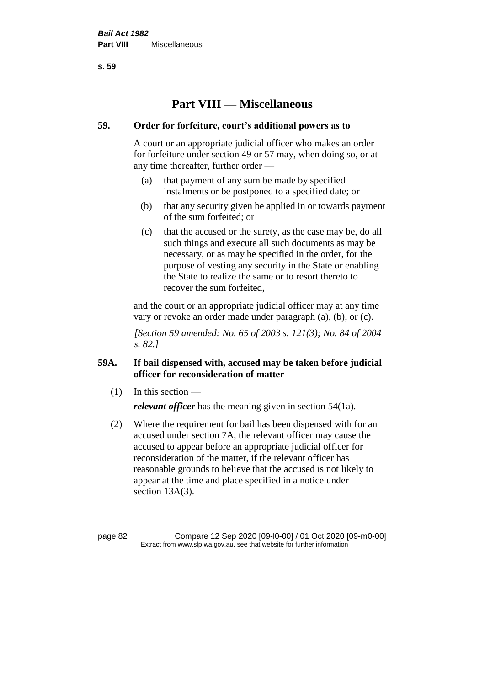**s. 59**

# **Part VIII — Miscellaneous**

# **59. Order for forfeiture, court's additional powers as to**

A court or an appropriate judicial officer who makes an order for forfeiture under section 49 or 57 may, when doing so, or at any time thereafter, further order —

- (a) that payment of any sum be made by specified instalments or be postponed to a specified date; or
- (b) that any security given be applied in or towards payment of the sum forfeited; or
- (c) that the accused or the surety, as the case may be, do all such things and execute all such documents as may be necessary, or as may be specified in the order, for the purpose of vesting any security in the State or enabling the State to realize the same or to resort thereto to recover the sum forfeited,

and the court or an appropriate judicial officer may at any time vary or revoke an order made under paragraph (a), (b), or (c).

*[Section 59 amended: No. 65 of 2003 s. 121(3); No. 84 of 2004 s. 82.]*

# **59A. If bail dispensed with, accused may be taken before judicial officer for reconsideration of matter**

 $(1)$  In this section —

*relevant officer* has the meaning given in section 54(1a).

(2) Where the requirement for bail has been dispensed with for an accused under section 7A, the relevant officer may cause the accused to appear before an appropriate judicial officer for reconsideration of the matter, if the relevant officer has reasonable grounds to believe that the accused is not likely to appear at the time and place specified in a notice under section 13A(3).

page 82 Compare 12 Sep 2020 [09-l0-00] / 01 Oct 2020 [09-m0-00] Extract from www.slp.wa.gov.au, see that website for further information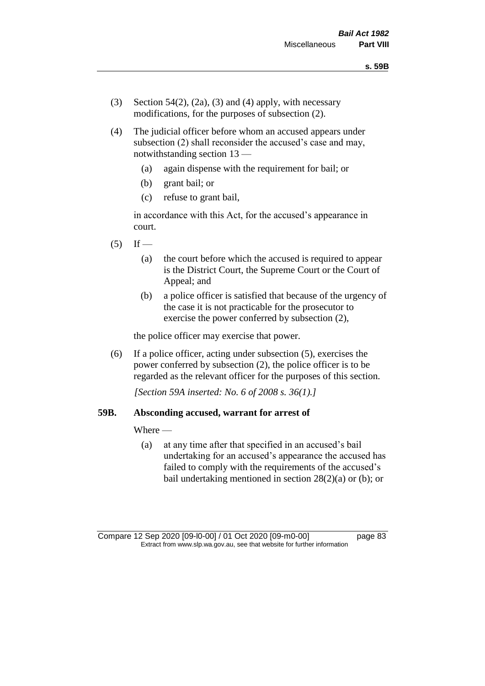- (3) Section 54(2), (2a), (3) and (4) apply, with necessary modifications, for the purposes of subsection (2).
- (4) The judicial officer before whom an accused appears under subsection (2) shall reconsider the accused's case and may, notwithstanding section 13 —
	- (a) again dispense with the requirement for bail; or
	- (b) grant bail; or
	- (c) refuse to grant bail,

in accordance with this Act, for the accused's appearance in court.

- $(5)$  If
	- (a) the court before which the accused is required to appear is the District Court, the Supreme Court or the Court of Appeal; and
	- (b) a police officer is satisfied that because of the urgency of the case it is not practicable for the prosecutor to exercise the power conferred by subsection (2),

the police officer may exercise that power.

(6) If a police officer, acting under subsection (5), exercises the power conferred by subsection (2), the police officer is to be regarded as the relevant officer for the purposes of this section.

*[Section 59A inserted: No. 6 of 2008 s. 36(1).]*

### **59B. Absconding accused, warrant for arrest of**

Where —

(a) at any time after that specified in an accused's bail undertaking for an accused's appearance the accused has failed to comply with the requirements of the accused's bail undertaking mentioned in section  $28(2)(a)$  or (b); or

Compare 12 Sep 2020 [09-l0-00] / 01 Oct 2020 [09-m0-00] page 83 Extract from www.slp.wa.gov.au, see that website for further information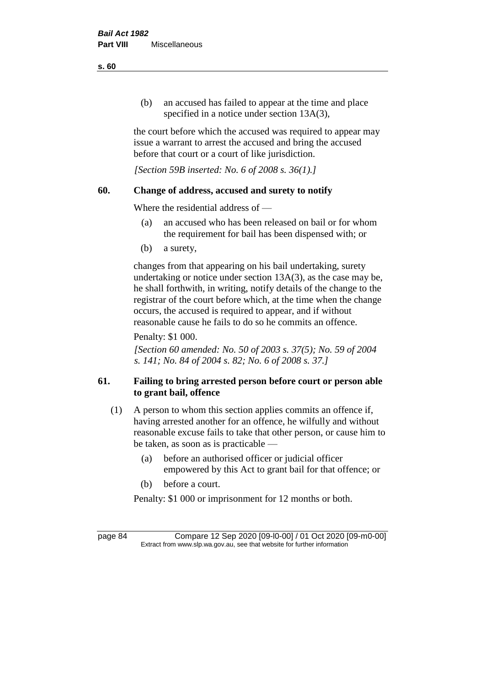(b) an accused has failed to appear at the time and place specified in a notice under section 13A(3),

the court before which the accused was required to appear may issue a warrant to arrest the accused and bring the accused before that court or a court of like jurisdiction.

*[Section 59B inserted: No. 6 of 2008 s. 36(1).]*

# **60. Change of address, accused and surety to notify**

Where the residential address of —

- (a) an accused who has been released on bail or for whom the requirement for bail has been dispensed with; or
- (b) a surety,

changes from that appearing on his bail undertaking, surety undertaking or notice under section 13A(3), as the case may be, he shall forthwith, in writing, notify details of the change to the registrar of the court before which, at the time when the change occurs, the accused is required to appear, and if without reasonable cause he fails to do so he commits an offence.

Penalty: \$1 000.

*[Section 60 amended: No. 50 of 2003 s. 37(5); No. 59 of 2004 s. 141; No. 84 of 2004 s. 82; No. 6 of 2008 s. 37.]*

# **61. Failing to bring arrested person before court or person able to grant bail, offence**

- (1) A person to whom this section applies commits an offence if, having arrested another for an offence, he wilfully and without reasonable excuse fails to take that other person, or cause him to be taken, as soon as is practicable —
	- (a) before an authorised officer or judicial officer empowered by this Act to grant bail for that offence; or
	- (b) before a court.

Penalty: \$1 000 or imprisonment for 12 months or both.

page 84 Compare 12 Sep 2020 [09-l0-00] / 01 Oct 2020 [09-m0-00] Extract from www.slp.wa.gov.au, see that website for further information

**s. 60**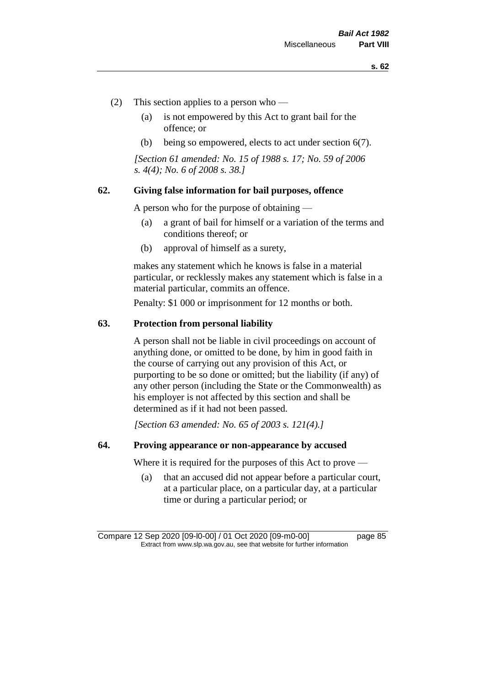- (2) This section applies to a person who
	- (a) is not empowered by this Act to grant bail for the offence; or
	- (b) being so empowered, elects to act under section 6(7).

*[Section 61 amended: No. 15 of 1988 s. 17; No. 59 of 2006 s. 4(4); No. 6 of 2008 s. 38.]* 

### **62. Giving false information for bail purposes, offence**

A person who for the purpose of obtaining —

- (a) a grant of bail for himself or a variation of the terms and conditions thereof; or
- (b) approval of himself as a surety,

makes any statement which he knows is false in a material particular, or recklessly makes any statement which is false in a material particular, commits an offence.

Penalty: \$1 000 or imprisonment for 12 months or both.

### **63. Protection from personal liability**

A person shall not be liable in civil proceedings on account of anything done, or omitted to be done, by him in good faith in the course of carrying out any provision of this Act, or purporting to be so done or omitted; but the liability (if any) of any other person (including the State or the Commonwealth) as his employer is not affected by this section and shall be determined as if it had not been passed.

*[Section 63 amended: No. 65 of 2003 s. 121(4).]*

### **64. Proving appearance or non-appearance by accused**

Where it is required for the purposes of this Act to prove —

(a) that an accused did not appear before a particular court, at a particular place, on a particular day, at a particular time or during a particular period; or

Compare 12 Sep 2020 [09-l0-00] / 01 Oct 2020 [09-m0-00] page 85 Extract from www.slp.wa.gov.au, see that website for further information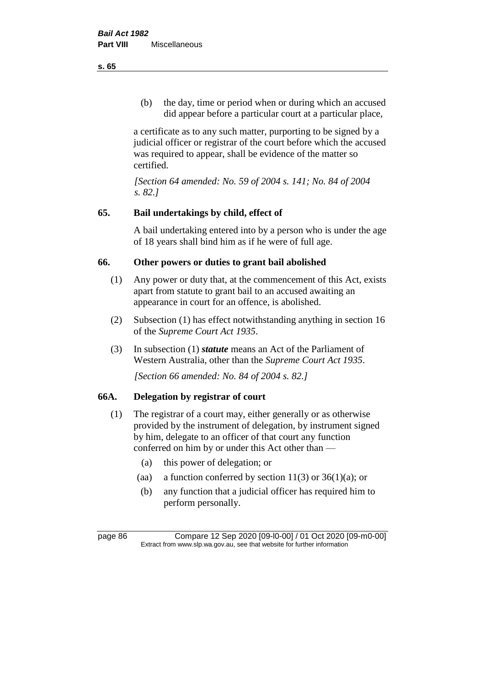(b) the day, time or period when or during which an accused did appear before a particular court at a particular place,

a certificate as to any such matter, purporting to be signed by a judicial officer or registrar of the court before which the accused was required to appear, shall be evidence of the matter so certified.

*[Section 64 amended: No. 59 of 2004 s. 141; No. 84 of 2004 s. 82.]* 

# **65. Bail undertakings by child, effect of**

A bail undertaking entered into by a person who is under the age of 18 years shall bind him as if he were of full age.

# **66. Other powers or duties to grant bail abolished**

- (1) Any power or duty that, at the commencement of this Act, exists apart from statute to grant bail to an accused awaiting an appearance in court for an offence, is abolished.
- (2) Subsection (1) has effect notwithstanding anything in section 16 of the *Supreme Court Act 1935*.
- (3) In subsection (1) *statute* means an Act of the Parliament of Western Australia, other than the *Supreme Court Act 1935*.

*[Section 66 amended: No. 84 of 2004 s. 82.]*

# **66A. Delegation by registrar of court**

- (1) The registrar of a court may, either generally or as otherwise provided by the instrument of delegation, by instrument signed by him, delegate to an officer of that court any function conferred on him by or under this Act other than —
	- (a) this power of delegation; or
	- (aa) a function conferred by section  $11(3)$  or  $36(1)(a)$ ; or
	- (b) any function that a judicial officer has required him to perform personally.

**s. 65**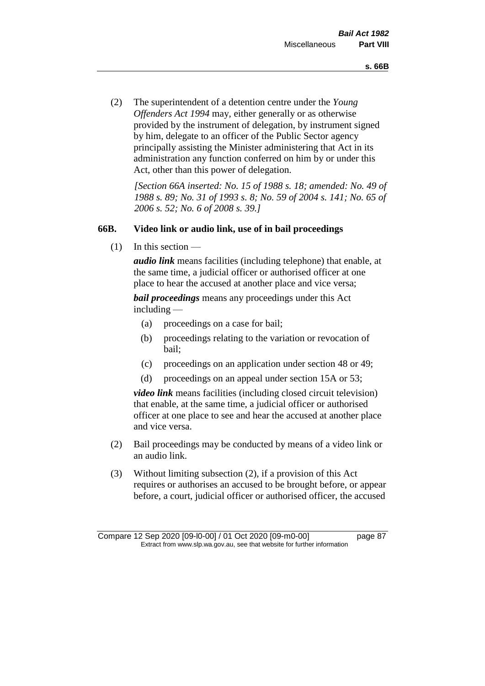(2) The superintendent of a detention centre under the *Young Offenders Act 1994* may, either generally or as otherwise provided by the instrument of delegation, by instrument signed by him, delegate to an officer of the Public Sector agency principally assisting the Minister administering that Act in its administration any function conferred on him by or under this Act, other than this power of delegation.

*[Section 66A inserted: No. 15 of 1988 s. 18; amended: No. 49 of 1988 s. 89; No. 31 of 1993 s. 8; No. 59 of 2004 s. 141; No. 65 of 2006 s. 52; No. 6 of 2008 s. 39.]* 

### **66B. Video link or audio link, use of in bail proceedings**

 $(1)$  In this section —

*audio link* means facilities (including telephone) that enable, at the same time, a judicial officer or authorised officer at one place to hear the accused at another place and vice versa;

*bail proceedings* means any proceedings under this Act including —

- (a) proceedings on a case for bail;
- (b) proceedings relating to the variation or revocation of bail;
- (c) proceedings on an application under section 48 or 49;
- (d) proceedings on an appeal under section 15A or 53;

*video link* means facilities (including closed circuit television) that enable, at the same time, a judicial officer or authorised officer at one place to see and hear the accused at another place and vice versa.

- (2) Bail proceedings may be conducted by means of a video link or an audio link.
- (3) Without limiting subsection (2), if a provision of this Act requires or authorises an accused to be brought before, or appear before, a court, judicial officer or authorised officer, the accused

Compare 12 Sep 2020 [09-l0-00] / 01 Oct 2020 [09-m0-00] page 87 Extract from www.slp.wa.gov.au, see that website for further information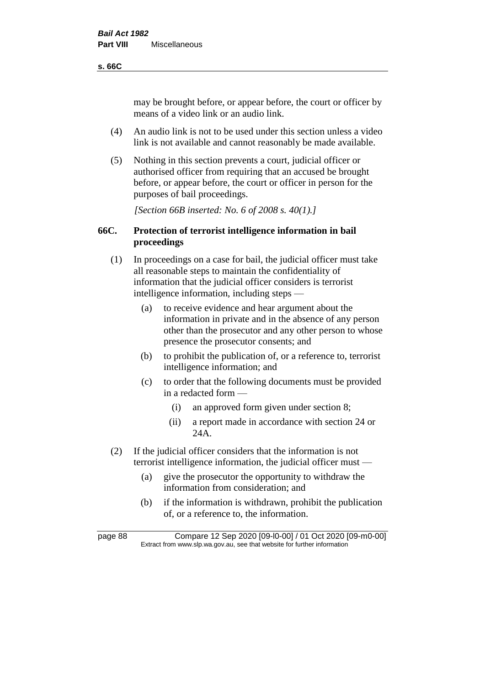### **s. 66C**

may be brought before, or appear before, the court or officer by means of a video link or an audio link.

- (4) An audio link is not to be used under this section unless a video link is not available and cannot reasonably be made available.
- (5) Nothing in this section prevents a court, judicial officer or authorised officer from requiring that an accused be brought before, or appear before, the court or officer in person for the purposes of bail proceedings.

*[Section 66B inserted: No. 6 of 2008 s. 40(1).]*

# **66C. Protection of terrorist intelligence information in bail proceedings**

- (1) In proceedings on a case for bail, the judicial officer must take all reasonable steps to maintain the confidentiality of information that the judicial officer considers is terrorist intelligence information, including steps —
	- (a) to receive evidence and hear argument about the information in private and in the absence of any person other than the prosecutor and any other person to whose presence the prosecutor consents; and
	- (b) to prohibit the publication of, or a reference to, terrorist intelligence information; and
	- (c) to order that the following documents must be provided in a redacted form —
		- (i) an approved form given under section 8;
		- (ii) a report made in accordance with section 24 or 24A.
- (2) If the judicial officer considers that the information is not terrorist intelligence information, the judicial officer must —
	- (a) give the prosecutor the opportunity to withdraw the information from consideration; and
	- (b) if the information is withdrawn, prohibit the publication of, or a reference to, the information.

page 88 Compare 12 Sep 2020 [09-l0-00] / 01 Oct 2020 [09-m0-00] Extract from www.slp.wa.gov.au, see that website for further information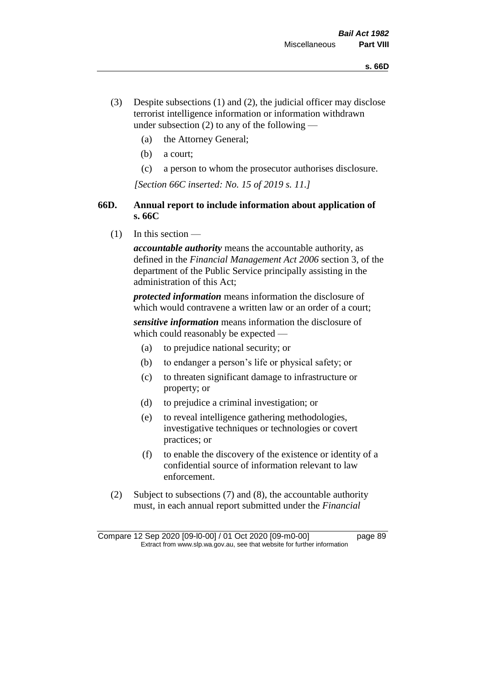- (3) Despite subsections (1) and (2), the judicial officer may disclose terrorist intelligence information or information withdrawn under subsection  $(2)$  to any of the following —
	- (a) the Attorney General;
	- (b) a court;
	- (c) a person to whom the prosecutor authorises disclosure.

*[Section 66C inserted: No. 15 of 2019 s. 11.]*

# **66D. Annual report to include information about application of s. 66C**

 $(1)$  In this section —

*accountable authority* means the accountable authority, as defined in the *Financial Management Act 2006* section 3, of the department of the Public Service principally assisting in the administration of this Act;

*protected information* means information the disclosure of which would contravene a written law or an order of a court;

*sensitive information* means information the disclosure of which could reasonably be expected —

- (a) to prejudice national security; or
- (b) to endanger a person's life or physical safety; or
- (c) to threaten significant damage to infrastructure or property; or
- (d) to prejudice a criminal investigation; or
- (e) to reveal intelligence gathering methodologies, investigative techniques or technologies or covert practices; or
- (f) to enable the discovery of the existence or identity of a confidential source of information relevant to law enforcement.
- (2) Subject to subsections (7) and (8), the accountable authority must, in each annual report submitted under the *Financial*

Compare 12 Sep 2020 [09-l0-00] / 01 Oct 2020 [09-m0-00] page 89 Extract from www.slp.wa.gov.au, see that website for further information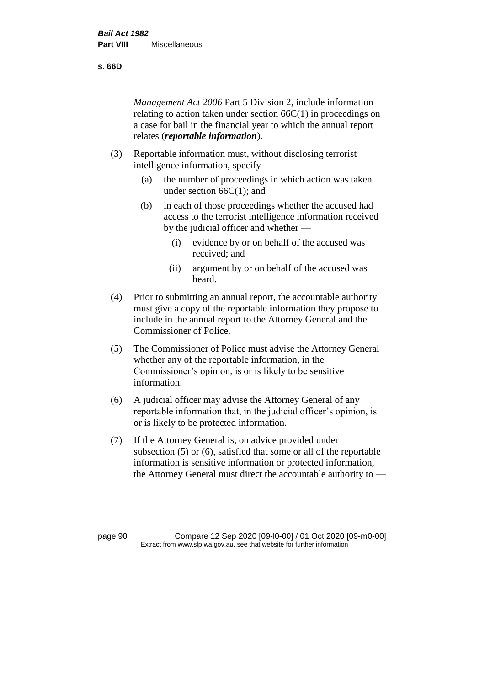**s. 66D**

*Management Act 2006* Part 5 Division 2, include information relating to action taken under section 66C(1) in proceedings on a case for bail in the financial year to which the annual report relates (*reportable information*).

- (3) Reportable information must, without disclosing terrorist intelligence information, specify —
	- (a) the number of proceedings in which action was taken under section 66C(1); and
	- (b) in each of those proceedings whether the accused had access to the terrorist intelligence information received by the judicial officer and whether —
		- (i) evidence by or on behalf of the accused was received; and
		- (ii) argument by or on behalf of the accused was heard.
- (4) Prior to submitting an annual report, the accountable authority must give a copy of the reportable information they propose to include in the annual report to the Attorney General and the Commissioner of Police.
- (5) The Commissioner of Police must advise the Attorney General whether any of the reportable information, in the Commissioner's opinion, is or is likely to be sensitive information.
- (6) A judicial officer may advise the Attorney General of any reportable information that, in the judicial officer's opinion, is or is likely to be protected information.
- (7) If the Attorney General is, on advice provided under subsection (5) or (6), satisfied that some or all of the reportable information is sensitive information or protected information, the Attorney General must direct the accountable authority to —

page 90 Compare 12 Sep 2020 [09-l0-00] / 01 Oct 2020 [09-m0-00] Extract from www.slp.wa.gov.au, see that website for further information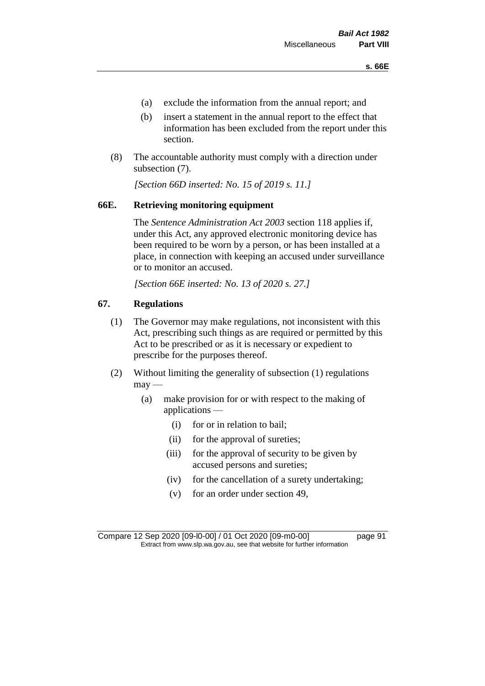- (a) exclude the information from the annual report; and
- (b) insert a statement in the annual report to the effect that information has been excluded from the report under this section.
- (8) The accountable authority must comply with a direction under subsection (7).

*[Section 66D inserted: No. 15 of 2019 s. 11.]*

# **66E. Retrieving monitoring equipment**

The *Sentence Administration Act 2003* section 118 applies if, under this Act, any approved electronic monitoring device has been required to be worn by a person, or has been installed at a place, in connection with keeping an accused under surveillance or to monitor an accused.

*[Section 66E inserted: No. 13 of 2020 s. 27.]*

# **67. Regulations**

- (1) The Governor may make regulations, not inconsistent with this Act, prescribing such things as are required or permitted by this Act to be prescribed or as it is necessary or expedient to prescribe for the purposes thereof.
- (2) Without limiting the generality of subsection (1) regulations  $may$ —
	- (a) make provision for or with respect to the making of applications —
		- (i) for or in relation to bail;
		- (ii) for the approval of sureties;
		- (iii) for the approval of security to be given by accused persons and sureties;
		- (iv) for the cancellation of a surety undertaking;
		- (v) for an order under section 49,

Compare 12 Sep 2020 [09-l0-00] / 01 Oct 2020 [09-m0-00] page 91 Extract from www.slp.wa.gov.au, see that website for further information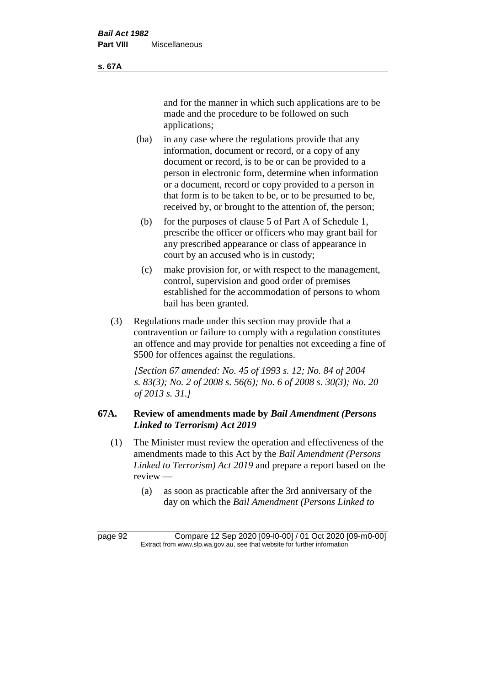and for the manner in which such applications are to be made and the procedure to be followed on such applications;

- (ba) in any case where the regulations provide that any information, document or record, or a copy of any document or record, is to be or can be provided to a person in electronic form, determine when information or a document, record or copy provided to a person in that form is to be taken to be, or to be presumed to be, received by, or brought to the attention of, the person;
	- (b) for the purposes of clause 5 of Part A of Schedule 1, prescribe the officer or officers who may grant bail for any prescribed appearance or class of appearance in court by an accused who is in custody;
	- (c) make provision for, or with respect to the management, control, supervision and good order of premises established for the accommodation of persons to whom bail has been granted.
- (3) Regulations made under this section may provide that a contravention or failure to comply with a regulation constitutes an offence and may provide for penalties not exceeding a fine of \$500 for offences against the regulations.

*[Section 67 amended: No. 45 of 1993 s. 12; No. 84 of 2004 s. 83(3); No. 2 of 2008 s. 56(6); No. 6 of 2008 s. 30(3); No. 20 of 2013 s. 31.]* 

# **67A. Review of amendments made by** *Bail Amendment (Persons Linked to Terrorism) Act 2019*

- (1) The Minister must review the operation and effectiveness of the amendments made to this Act by the *Bail Amendment (Persons Linked to Terrorism) Act 2019* and prepare a report based on the review —
	- (a) as soon as practicable after the 3rd anniversary of the day on which the *Bail Amendment (Persons Linked to*

**s. 67A**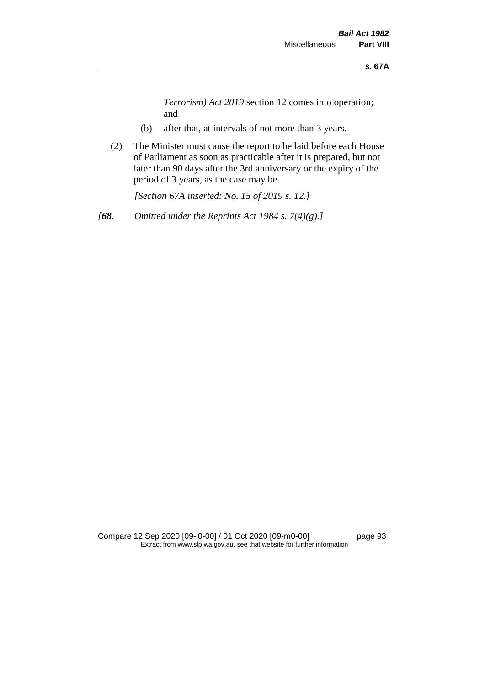*Terrorism) Act 2019* section 12 comes into operation; and

- (b) after that, at intervals of not more than 3 years.
- (2) The Minister must cause the report to be laid before each House of Parliament as soon as practicable after it is prepared, but not later than 90 days after the 3rd anniversary or the expiry of the period of 3 years, as the case may be.

*[Section 67A inserted: No. 15 of 2019 s. 12.]*

*[68. Omitted under the Reprints Act 1984 s. 7(4)(g).]*

Compare 12 Sep 2020 [09-l0-00] / 01 Oct 2020 [09-m0-00] page 93 Extract from www.slp.wa.gov.au, see that website for further information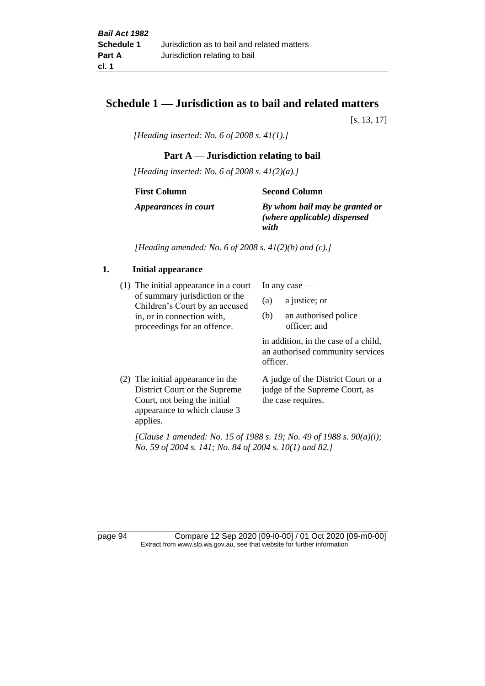# **Schedule 1 — Jurisdiction as to bail and related matters**

[s. 13, 17]

*[Heading inserted: No. 6 of 2008 s. 41(1).]*

### **Part A** — **Jurisdiction relating to bail**

*[Heading inserted: No. 6 of 2008 s. 41(2)(a).]*

**First Column**

**Second Column**

*Appearances in court*

*By whom bail may be granted or* 

*(where applicable) dispensed with*

*[Heading amended: No. 6 of 2008 s. 41(2)(b) and (c).]*

### **1. Initial appearance**

(1) The initial appearance in a court of summary jurisdiction or the Children's Court by an accused in, or in connection with, proceedings for an offence.

In any case —

- (a) a justice; or
- (b) an authorised police officer; and

in addition, in the case of a child, an authorised community services officer.

(2) The initial appearance in the District Court or the Supreme Court, not being the initial appearance to which clause 3 applies. A judge of the District Court or a judge of the Supreme Court, as the case requires.

*[Clause 1 amended: No. 15 of 1988 s. 19; No. 49 of 1988 s. 90(a)(i); No. 59 of 2004 s. 141; No. 84 of 2004 s. 10(1) and 82.]*

page 94 Compare 12 Sep 2020 [09-l0-00] / 01 Oct 2020 [09-m0-00] Extract from www.slp.wa.gov.au, see that website for further information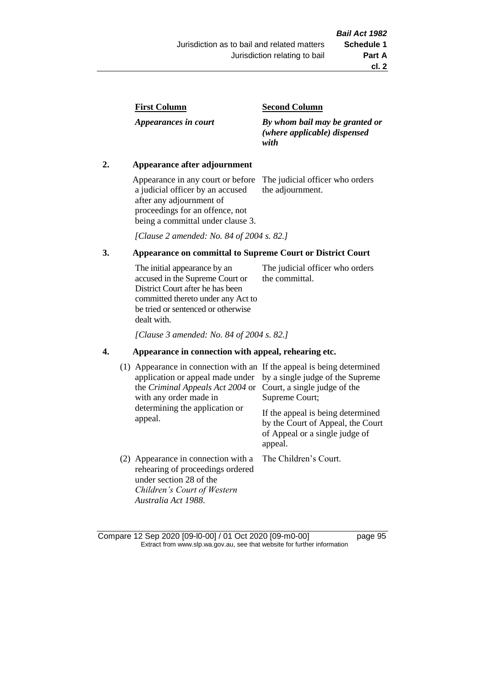| <b>First Column</b> |
|---------------------|
|---------------------|

*Appearances in court*

### **Second Column**

*By whom bail may be granted or (where applicable) dispensed with*

### **2. Appearance after adjournment**

Appearance in any court or before a judicial officer by an accused after any adjournment of proceedings for an offence, not being a committal under clause 3.

The judicial officer who orders the adjournment.

*[Clause 2 amended: No. 84 of 2004 s. 82.]*

### **3. Appearance on committal to Supreme Court or District Court**

The initial appearance by an accused in the Supreme Court or District Court after he has been committed thereto under any Act to be tried or sentenced or otherwise dealt with. The judicial officer who orders the committal.

*[Clause 3 amended: No. 84 of 2004 s. 82.]*

# **4. Appearance in connection with appeal, rehearing etc.**

| Appearance in connection with an If the appeal is being determined                                                                                       | by a single judge of the Supreme  |
|----------------------------------------------------------------------------------------------------------------------------------------------------------|-----------------------------------|
| (1)                                                                                                                                                      | Court, a single judge of the      |
| application or appeal made under                                                                                                                         | Supreme Court;                    |
| the <i>Criminal Appeals Act 2004</i> or                                                                                                                  | If the appeal is being determined |
| with any order made in                                                                                                                                   | by the Court of Appeal, the Court |
| determining the application or                                                                                                                           | of Appeal or a single judge of    |
| appeal.                                                                                                                                                  | appeal.                           |
| (2) Appearance in connection with a<br>rehearing of proceedings ordered<br>under section 28 of the<br>Children's Court of Western<br>Australia Act 1988. | The Children's Court.             |

Compare 12 Sep 2020 [09-l0-00] / 01 Oct 2020 [09-m0-00] page 95 Extract from www.slp.wa.gov.au, see that website for further information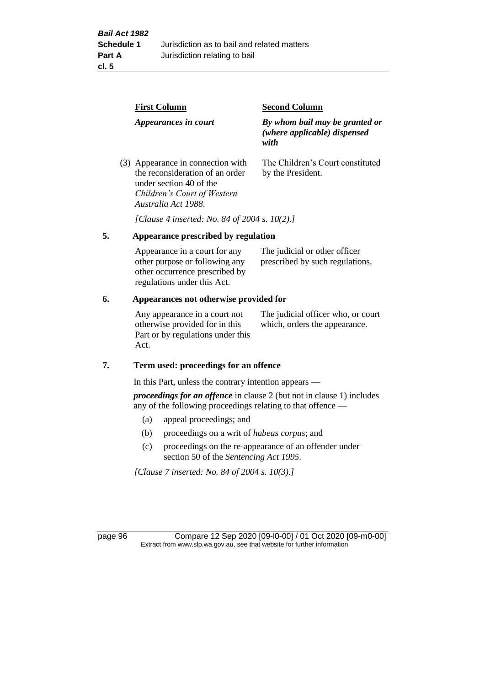|  | <b>First Column</b><br>Appearances in court                                                                                                           | <b>Second Column</b>                                                   |  |
|--|-------------------------------------------------------------------------------------------------------------------------------------------------------|------------------------------------------------------------------------|--|
|  |                                                                                                                                                       | By whom bail may be granted or<br>(where applicable) dispensed<br>with |  |
|  | (3) Appearance in connection with<br>the reconsideration of an order<br>under section 40 of the<br>Children's Court of Western<br>Australia Act 1988. | The Children's Court constituted<br>by the President.                  |  |

*[Clause 4 inserted: No. 84 of 2004 s. 10(2).]*

# **5. Appearance prescribed by regulation**

| Appearance in a court for any  | The judicial or other officer   |
|--------------------------------|---------------------------------|
| other purpose or following any | prescribed by such regulations. |
| other occurrence prescribed by |                                 |
| regulations under this Act.    |                                 |

### **6. Appearances not otherwise provided for**

Any appearance in a court not otherwise provided for in this Part or by regulations under this Act.

The judicial officer who, or court which, orders the appearance.

### **7. Term used: proceedings for an offence**

In this Part, unless the contrary intention appears —

*proceedings for an offence* in clause 2 (but not in clause 1) includes any of the following proceedings relating to that offence —

- (a) appeal proceedings; and
- (b) proceedings on a writ of *habeas corpus*; and
- (c) proceedings on the re-appearance of an offender under section 50 of the *Sentencing Act 1995*.

*[Clause 7 inserted: No. 84 of 2004 s. 10(3).]*

page 96 Compare 12 Sep 2020 [09-l0-00] / 01 Oct 2020 [09-m0-00] Extract from www.slp.wa.gov.au, see that website for further information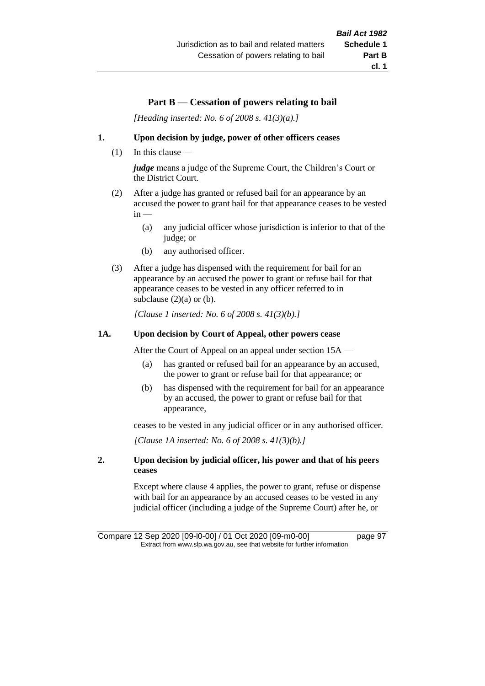# **Part B** — **Cessation of powers relating to bail**

*[Heading inserted: No. 6 of 2008 s. 41(3)(a).]*

### **1. Upon decision by judge, power of other officers ceases**

(1) In this clause —

*judge* means a judge of the Supreme Court, the Children's Court or the District Court.

- (2) After a judge has granted or refused bail for an appearance by an accused the power to grant bail for that appearance ceases to be vested  $in -$ 
	- (a) any judicial officer whose jurisdiction is inferior to that of the judge; or
	- (b) any authorised officer.
- (3) After a judge has dispensed with the requirement for bail for an appearance by an accused the power to grant or refuse bail for that appearance ceases to be vested in any officer referred to in subclause  $(2)(a)$  or  $(b)$ .

*[Clause 1 inserted: No. 6 of 2008 s. 41(3)(b).]*

### **1A. Upon decision by Court of Appeal, other powers cease**

After the Court of Appeal on an appeal under section 15A —

- (a) has granted or refused bail for an appearance by an accused, the power to grant or refuse bail for that appearance; or
- (b) has dispensed with the requirement for bail for an appearance by an accused, the power to grant or refuse bail for that appearance,

ceases to be vested in any judicial officer or in any authorised officer.

*[Clause 1A inserted: No. 6 of 2008 s. 41(3)(b).]*

### **2. Upon decision by judicial officer, his power and that of his peers ceases**

Except where clause 4 applies, the power to grant, refuse or dispense with bail for an appearance by an accused ceases to be vested in any judicial officer (including a judge of the Supreme Court) after he, or

Compare 12 Sep 2020 [09-l0-00] / 01 Oct 2020 [09-m0-00] page 97 Extract from www.slp.wa.gov.au, see that website for further information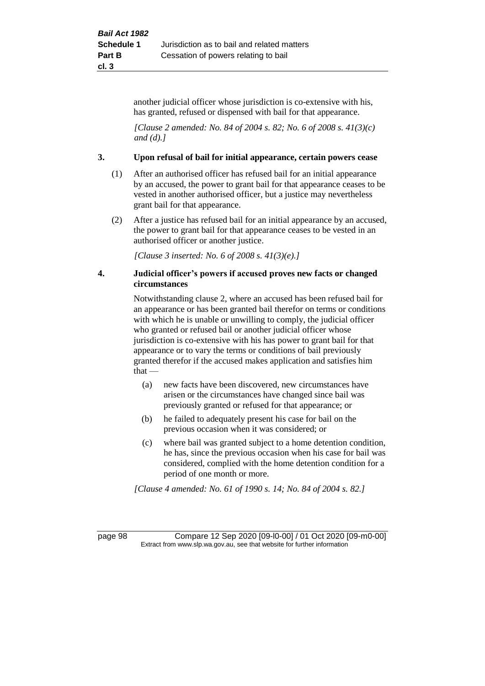another judicial officer whose jurisdiction is co-extensive with his, has granted, refused or dispensed with bail for that appearance.

*[Clause 2 amended: No. 84 of 2004 s. 82; No. 6 of 2008 s. 41(3)(c) and (d).]*

### **3. Upon refusal of bail for initial appearance, certain powers cease**

- (1) After an authorised officer has refused bail for an initial appearance by an accused, the power to grant bail for that appearance ceases to be vested in another authorised officer, but a justice may nevertheless grant bail for that appearance.
- (2) After a justice has refused bail for an initial appearance by an accused, the power to grant bail for that appearance ceases to be vested in an authorised officer or another justice.

*[Clause 3 inserted: No. 6 of 2008 s. 41(3)(e).]*

### **4. Judicial officer's powers if accused proves new facts or changed circumstances**

Notwithstanding clause 2, where an accused has been refused bail for an appearance or has been granted bail therefor on terms or conditions with which he is unable or unwilling to comply, the judicial officer who granted or refused bail or another judicial officer whose jurisdiction is co-extensive with his has power to grant bail for that appearance or to vary the terms or conditions of bail previously granted therefor if the accused makes application and satisfies him  $that -$ 

- (a) new facts have been discovered, new circumstances have arisen or the circumstances have changed since bail was previously granted or refused for that appearance; or
- (b) he failed to adequately present his case for bail on the previous occasion when it was considered; or
- (c) where bail was granted subject to a home detention condition, he has, since the previous occasion when his case for bail was considered, complied with the home detention condition for a period of one month or more.

*[Clause 4 amended: No. 61 of 1990 s. 14; No. 84 of 2004 s. 82.]*

page 98 Compare 12 Sep 2020 [09-l0-00] / 01 Oct 2020 [09-m0-00] Extract from www.slp.wa.gov.au, see that website for further information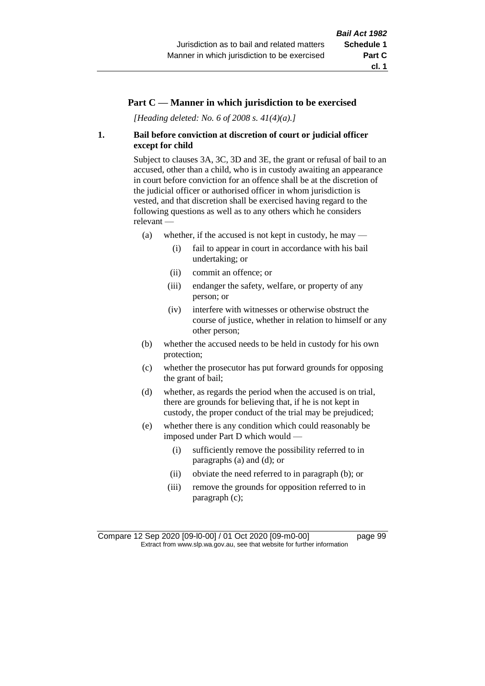### **Part C — Manner in which jurisdiction to be exercised**

*[Heading deleted: No. 6 of 2008 s. 41(4)(a).]*

### **1. Bail before conviction at discretion of court or judicial officer except for child**

Subject to clauses 3A, 3C, 3D and 3E, the grant or refusal of bail to an accused, other than a child, who is in custody awaiting an appearance in court before conviction for an offence shall be at the discretion of the judicial officer or authorised officer in whom jurisdiction is vested, and that discretion shall be exercised having regard to the following questions as well as to any others which he considers relevant —

- (a) whether, if the accused is not kept in custody, he may  $-$ 
	- (i) fail to appear in court in accordance with his bail undertaking; or
	- (ii) commit an offence; or
	- (iii) endanger the safety, welfare, or property of any person; or
	- (iv) interfere with witnesses or otherwise obstruct the course of justice, whether in relation to himself or any other person;
- (b) whether the accused needs to be held in custody for his own protection;
- (c) whether the prosecutor has put forward grounds for opposing the grant of bail;
- (d) whether, as regards the period when the accused is on trial, there are grounds for believing that, if he is not kept in custody, the proper conduct of the trial may be prejudiced;
- (e) whether there is any condition which could reasonably be imposed under Part D which would —
	- (i) sufficiently remove the possibility referred to in paragraphs (a) and (d); or
	- (ii) obviate the need referred to in paragraph (b); or
	- (iii) remove the grounds for opposition referred to in paragraph (c);

Compare 12 Sep 2020 [09-l0-00] / 01 Oct 2020 [09-m0-00] page 99 Extract from www.slp.wa.gov.au, see that website for further information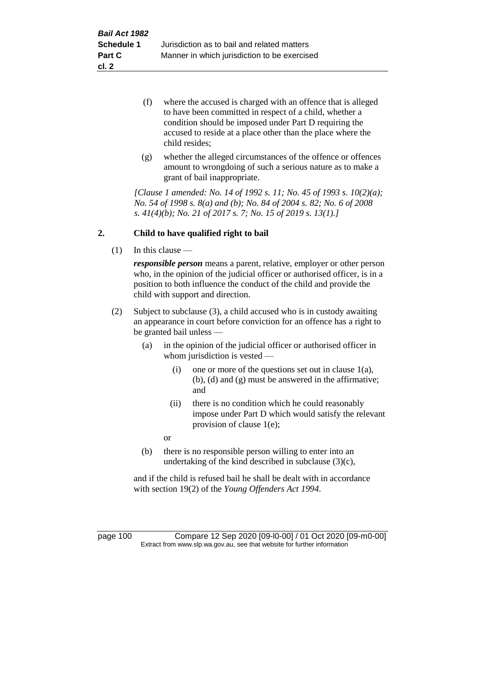- (f) where the accused is charged with an offence that is alleged to have been committed in respect of a child, whether a condition should be imposed under Part D requiring the accused to reside at a place other than the place where the child resides;
- (g) whether the alleged circumstances of the offence or offences amount to wrongdoing of such a serious nature as to make a grant of bail inappropriate.

*[Clause 1 amended: No. 14 of 1992 s. 11; No. 45 of 1993 s. 10(2)(a); No. 54 of 1998 s. 8(a) and (b); No. 84 of 2004 s. 82; No. 6 of 2008 s. 41(4)(b); No. 21 of 2017 s. 7; No. 15 of 2019 s. 13(1).]*

### **2. Child to have qualified right to bail**

(1) In this clause —

*responsible person* means a parent, relative, employer or other person who, in the opinion of the judicial officer or authorised officer, is in a position to both influence the conduct of the child and provide the child with support and direction.

- (2) Subject to subclause (3), a child accused who is in custody awaiting an appearance in court before conviction for an offence has a right to be granted bail unless —
	- (a) in the opinion of the judicial officer or authorised officer in whom jurisdiction is vested —
		- (i) one or more of the questions set out in clause  $1(a)$ , (b), (d) and (g) must be answered in the affirmative; and
		- (ii) there is no condition which he could reasonably impose under Part D which would satisfy the relevant provision of clause 1(e);

or

(b) there is no responsible person willing to enter into an undertaking of the kind described in subclause (3)(c),

and if the child is refused bail he shall be dealt with in accordance with section 19(2) of the *Young Offenders Act 1994*.

page 100 Compare 12 Sep 2020 [09-l0-00] / 01 Oct 2020 [09-m0-00] Extract from www.slp.wa.gov.au, see that website for further information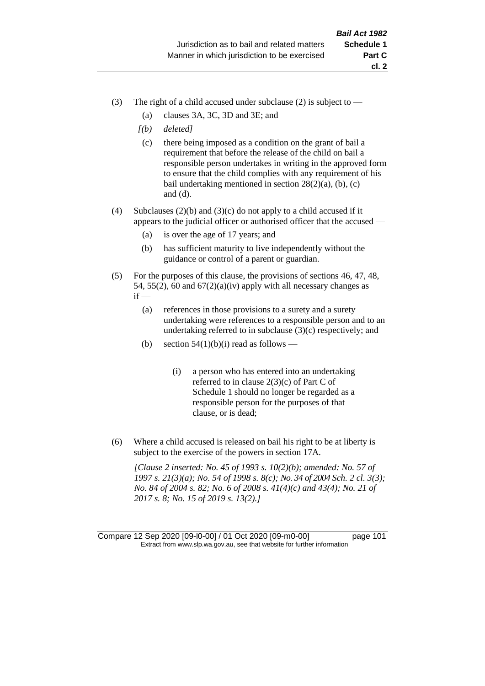- (3) The right of a child accused under subclause (2) is subject to  $-$ 
	- (a) clauses 3A, 3C, 3D and 3E; and
	- *[(b) deleted]*
	- (c) there being imposed as a condition on the grant of bail a requirement that before the release of the child on bail a responsible person undertakes in writing in the approved form to ensure that the child complies with any requirement of his bail undertaking mentioned in section  $28(2)(a)$ , (b), (c) and (d).
- (4) Subclauses (2)(b) and (3)(c) do not apply to a child accused if it appears to the judicial officer or authorised officer that the accused —
	- (a) is over the age of 17 years; and
	- (b) has sufficient maturity to live independently without the guidance or control of a parent or guardian.
- (5) For the purposes of this clause, the provisions of sections 46, 47, 48, 54, 55(2), 60 and  $67(2)(a)(iv)$  apply with all necessary changes as  $if -$ 
	- (a) references in those provisions to a surety and a surety undertaking were references to a responsible person and to an undertaking referred to in subclause (3)(c) respectively; and
	- (b) section  $54(1)(b)(i)$  read as follows
		- (i) a person who has entered into an undertaking referred to in clause 2(3)(c) of Part C of Schedule 1 should no longer be regarded as a responsible person for the purposes of that clause, or is dead;
- (6) Where a child accused is released on bail his right to be at liberty is subject to the exercise of the powers in section 17A.

*[Clause 2 inserted: No. 45 of 1993 s. 10(2)(b); amended: No. 57 of 1997 s. 21(3)(a); No. 54 of 1998 s. 8(c); No. 34 of 2004 Sch. 2 cl. 3(3); No. 84 of 2004 s. 82; No. 6 of 2008 s. 41(4)(c) and 43(4); No. 21 of 2017 s. 8; No. 15 of 2019 s. 13(2).]*

Compare 12 Sep 2020 [09-l0-00] / 01 Oct 2020 [09-m0-00] page 101 Extract from www.slp.wa.gov.au, see that website for further information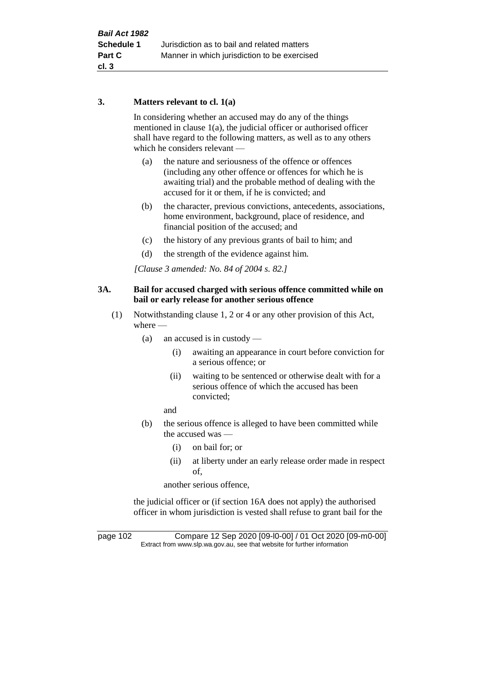### **3. Matters relevant to cl. 1(a)**

In considering whether an accused may do any of the things mentioned in clause 1(a), the judicial officer or authorised officer shall have regard to the following matters, as well as to any others which he considers relevant —

- (a) the nature and seriousness of the offence or offences (including any other offence or offences for which he is awaiting trial) and the probable method of dealing with the accused for it or them, if he is convicted; and
- (b) the character, previous convictions, antecedents, associations, home environment, background, place of residence, and financial position of the accused; and
- (c) the history of any previous grants of bail to him; and
- (d) the strength of the evidence against him.

*[Clause 3 amended: No. 84 of 2004 s. 82.]*

### **3A. Bail for accused charged with serious offence committed while on bail or early release for another serious offence**

- (1) Notwithstanding clause 1, 2 or 4 or any other provision of this Act, where —
	- (a) an accused is in custody
		- (i) awaiting an appearance in court before conviction for a serious offence; or
		- (ii) waiting to be sentenced or otherwise dealt with for a serious offence of which the accused has been convicted;

and

- (b) the serious offence is alleged to have been committed while the accused was —
	- (i) on bail for; or
	- (ii) at liberty under an early release order made in respect of,

another serious offence,

the judicial officer or (if section 16A does not apply) the authorised officer in whom jurisdiction is vested shall refuse to grant bail for the

page 102 Compare 12 Sep 2020 [09-l0-00] / 01 Oct 2020 [09-m0-00] Extract from www.slp.wa.gov.au, see that website for further information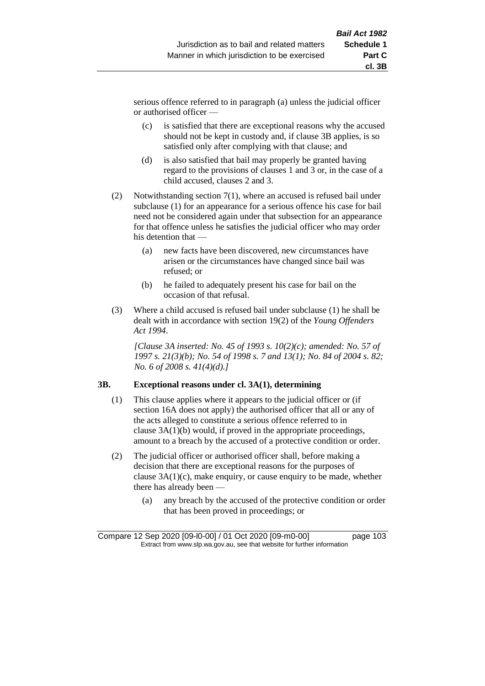serious offence referred to in paragraph (a) unless the judicial officer or authorised officer —

- (c) is satisfied that there are exceptional reasons why the accused should not be kept in custody and, if clause 3B applies, is so satisfied only after complying with that clause; and
- (d) is also satisfied that bail may properly be granted having regard to the provisions of clauses 1 and 3 or, in the case of a child accused, clauses 2 and 3.
- (2) Notwithstanding section 7(1), where an accused is refused bail under subclause (1) for an appearance for a serious offence his case for bail need not be considered again under that subsection for an appearance for that offence unless he satisfies the judicial officer who may order his detention that —
	- (a) new facts have been discovered, new circumstances have arisen or the circumstances have changed since bail was refused; or
	- (b) he failed to adequately present his case for bail on the occasion of that refusal.
- (3) Where a child accused is refused bail under subclause (1) he shall be dealt with in accordance with section 19(2) of the *Young Offenders Act 1994*.

*[Clause 3A inserted: No. 45 of 1993 s. 10(2)(c); amended: No. 57 of 1997 s. 21(3)(b); No. 54 of 1998 s. 7 and 13(1); No. 84 of 2004 s. 82; No. 6 of 2008 s. 41(4)(d).]*

### **3B. Exceptional reasons under cl. 3A(1), determining**

- (1) This clause applies where it appears to the judicial officer or (if section 16A does not apply) the authorised officer that all or any of the acts alleged to constitute a serious offence referred to in clause 3A(1)(b) would, if proved in the appropriate proceedings, amount to a breach by the accused of a protective condition or order.
- (2) The judicial officer or authorised officer shall, before making a decision that there are exceptional reasons for the purposes of clause 3A(1)(c), make enquiry, or cause enquiry to be made, whether there has already been —
	- (a) any breach by the accused of the protective condition or order that has been proved in proceedings; or

Compare 12 Sep 2020 [09-l0-00] / 01 Oct 2020 [09-m0-00] page 103 Extract from www.slp.wa.gov.au, see that website for further information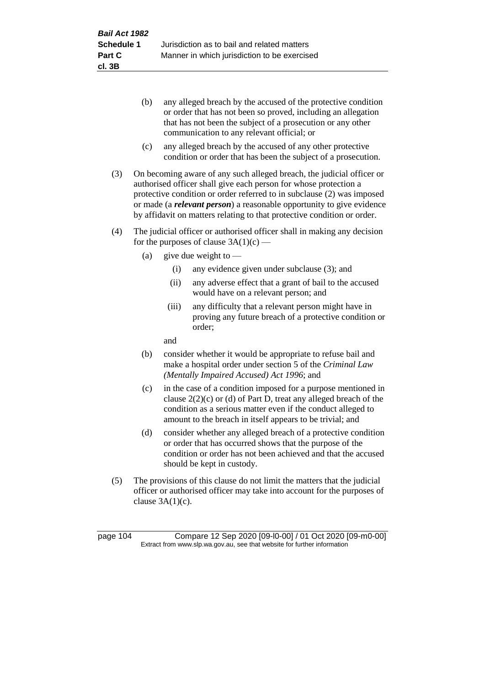- (b) any alleged breach by the accused of the protective condition or order that has not been so proved, including an allegation that has not been the subject of a prosecution or any other communication to any relevant official; or
- (c) any alleged breach by the accused of any other protective condition or order that has been the subject of a prosecution.
- (3) On becoming aware of any such alleged breach, the judicial officer or authorised officer shall give each person for whose protection a protective condition or order referred to in subclause (2) was imposed or made (a *relevant person*) a reasonable opportunity to give evidence by affidavit on matters relating to that protective condition or order.
- (4) The judicial officer or authorised officer shall in making any decision for the purposes of clause  $3A(1)(c)$  —
	- (a) give due weight to  $-$ 
		- (i) any evidence given under subclause (3); and
		- (ii) any adverse effect that a grant of bail to the accused would have on a relevant person; and
		- (iii) any difficulty that a relevant person might have in proving any future breach of a protective condition or order;

and

- (b) consider whether it would be appropriate to refuse bail and make a hospital order under section 5 of the *Criminal Law (Mentally Impaired Accused) Act 1996*; and
- (c) in the case of a condition imposed for a purpose mentioned in clause 2(2)(c) or (d) of Part D, treat any alleged breach of the condition as a serious matter even if the conduct alleged to amount to the breach in itself appears to be trivial; and
- (d) consider whether any alleged breach of a protective condition or order that has occurred shows that the purpose of the condition or order has not been achieved and that the accused should be kept in custody.
- (5) The provisions of this clause do not limit the matters that the judicial officer or authorised officer may take into account for the purposes of clause  $3A(1)(c)$ .

page 104 Compare 12 Sep 2020 [09-l0-00] / 01 Oct 2020 [09-m0-00] Extract from www.slp.wa.gov.au, see that website for further information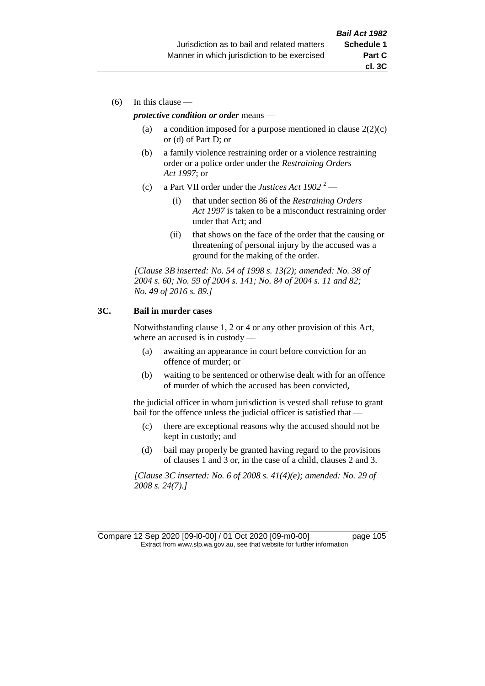(6) In this clause —

### *protective condition or order* means —

- (a) a condition imposed for a purpose mentioned in clause  $2(2)(c)$ or (d) of Part D; or
- (b) a family violence restraining order or a violence restraining order or a police order under the *Restraining Orders Act 1997*; or
- (c) a Part VII order under the *Justices Act 1902* <sup>2</sup>
	- (i) that under section 86 of the *Restraining Orders Act 1997* is taken to be a misconduct restraining order under that Act; and
	- (ii) that shows on the face of the order that the causing or threatening of personal injury by the accused was a ground for the making of the order.

*[Clause 3B inserted: No. 54 of 1998 s. 13(2); amended: No. 38 of 2004 s. 60; No. 59 of 2004 s. 141; No. 84 of 2004 s. 11 and 82; No. 49 of 2016 s. 89.]*

### **3C. Bail in murder cases**

Notwithstanding clause 1, 2 or 4 or any other provision of this Act, where an accused is in custody —

- (a) awaiting an appearance in court before conviction for an offence of murder; or
- (b) waiting to be sentenced or otherwise dealt with for an offence of murder of which the accused has been convicted,

the judicial officer in whom jurisdiction is vested shall refuse to grant bail for the offence unless the judicial officer is satisfied that —

- (c) there are exceptional reasons why the accused should not be kept in custody; and
- (d) bail may properly be granted having regard to the provisions of clauses 1 and 3 or, in the case of a child, clauses 2 and 3.

*[Clause 3C inserted: No. 6 of 2008 s. 41(4)(e); amended: No. 29 of 2008 s. 24(7).]*

Compare 12 Sep 2020 [09-l0-00] / 01 Oct 2020 [09-m0-00] page 105 Extract from www.slp.wa.gov.au, see that website for further information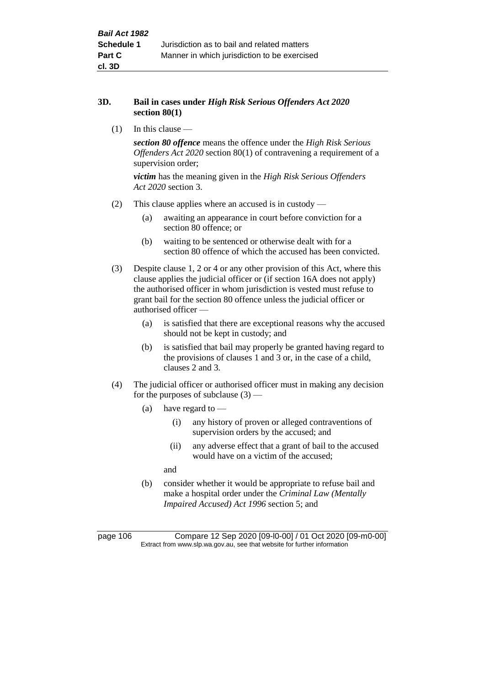### **3D. Bail in cases under** *High Risk Serious Offenders Act 2020* **section 80(1)**

(1) In this clause —

*section 80 offence* means the offence under the *High Risk Serious Offenders Act 2020* section 80(1) of contravening a requirement of a supervision order;

*victim* has the meaning given in the *High Risk Serious Offenders Act 2020* section 3.

- (2) This clause applies where an accused is in custody
	- (a) awaiting an appearance in court before conviction for a section 80 offence; or
	- (b) waiting to be sentenced or otherwise dealt with for a section 80 offence of which the accused has been convicted.
- (3) Despite clause 1, 2 or 4 or any other provision of this Act, where this clause applies the judicial officer or (if section 16A does not apply) the authorised officer in whom jurisdiction is vested must refuse to grant bail for the section 80 offence unless the judicial officer or authorised officer —
	- (a) is satisfied that there are exceptional reasons why the accused should not be kept in custody; and
	- (b) is satisfied that bail may properly be granted having regard to the provisions of clauses 1 and 3 or, in the case of a child, clauses 2 and 3.
- (4) The judicial officer or authorised officer must in making any decision for the purposes of subclause  $(3)$  —
	- (a) have regard to
		- (i) any history of proven or alleged contraventions of supervision orders by the accused; and
		- (ii) any adverse effect that a grant of bail to the accused would have on a victim of the accused;

and

(b) consider whether it would be appropriate to refuse bail and make a hospital order under the *Criminal Law (Mentally Impaired Accused) Act 1996* section 5; and

page 106 Compare 12 Sep 2020 [09-l0-00] / 01 Oct 2020 [09-m0-00] Extract from www.slp.wa.gov.au, see that website for further information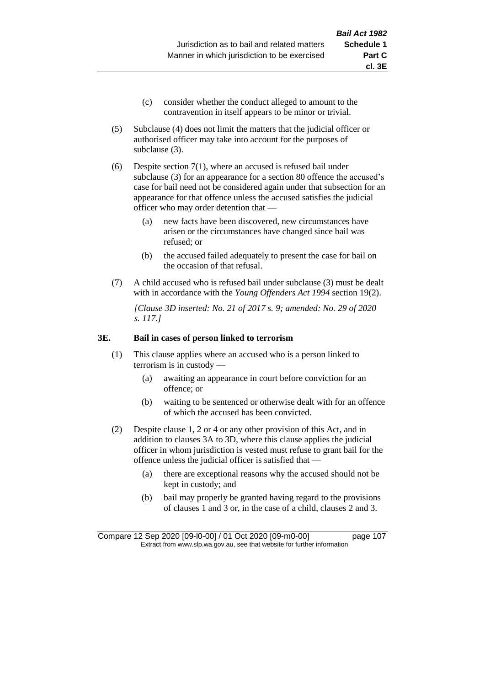- (c) consider whether the conduct alleged to amount to the contravention in itself appears to be minor or trivial.
- (5) Subclause (4) does not limit the matters that the judicial officer or authorised officer may take into account for the purposes of subclause (3).

(6) Despite section 7(1), where an accused is refused bail under subclause (3) for an appearance for a section 80 offence the accused's case for bail need not be considered again under that subsection for an appearance for that offence unless the accused satisfies the judicial officer who may order detention that —

- (a) new facts have been discovered, new circumstances have arisen or the circumstances have changed since bail was refused; or
- (b) the accused failed adequately to present the case for bail on the occasion of that refusal.
- (7) A child accused who is refused bail under subclause (3) must be dealt with in accordance with the *Young Offenders Act 1994* section 19(2).

*[Clause 3D inserted: No. 21 of 2017 s. 9; amended: No. 29 of 2020 s. 117.]*

#### **3E. Bail in cases of person linked to terrorism**

- (1) This clause applies where an accused who is a person linked to terrorism is in custody —
	- (a) awaiting an appearance in court before conviction for an offence; or
	- (b) waiting to be sentenced or otherwise dealt with for an offence of which the accused has been convicted.
- (2) Despite clause 1, 2 or 4 or any other provision of this Act, and in addition to clauses 3A to 3D, where this clause applies the judicial officer in whom jurisdiction is vested must refuse to grant bail for the offence unless the judicial officer is satisfied that —
	- (a) there are exceptional reasons why the accused should not be kept in custody; and
	- (b) bail may properly be granted having regard to the provisions of clauses 1 and 3 or, in the case of a child, clauses 2 and 3.

Compare 12 Sep 2020 [09-l0-00] / 01 Oct 2020 [09-m0-00] page 107 Extract from www.slp.wa.gov.au, see that website for further information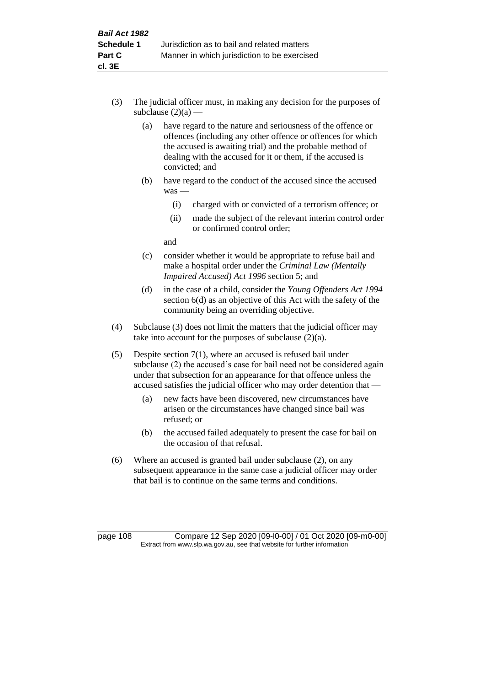- (3) The judicial officer must, in making any decision for the purposes of subclause  $(2)(a)$  —
	- (a) have regard to the nature and seriousness of the offence or offences (including any other offence or offences for which the accused is awaiting trial) and the probable method of dealing with the accused for it or them, if the accused is convicted; and
	- (b) have regard to the conduct of the accused since the accused was —
		- (i) charged with or convicted of a terrorism offence; or
		- (ii) made the subject of the relevant interim control order or confirmed control order;

and

- (c) consider whether it would be appropriate to refuse bail and make a hospital order under the *Criminal Law (Mentally Impaired Accused) Act 1996* section 5; and
- (d) in the case of a child, consider the *Young Offenders Act 1994* section 6(d) as an objective of this Act with the safety of the community being an overriding objective.
- (4) Subclause (3) does not limit the matters that the judicial officer may take into account for the purposes of subclause  $(2)(a)$ .
- (5) Despite section 7(1), where an accused is refused bail under subclause (2) the accused's case for bail need not be considered again under that subsection for an appearance for that offence unless the accused satisfies the judicial officer who may order detention that —
	- (a) new facts have been discovered, new circumstances have arisen or the circumstances have changed since bail was refused; or
	- (b) the accused failed adequately to present the case for bail on the occasion of that refusal.
- (6) Where an accused is granted bail under subclause (2), on any subsequent appearance in the same case a judicial officer may order that bail is to continue on the same terms and conditions.

page 108 Compare 12 Sep 2020 [09-l0-00] / 01 Oct 2020 [09-m0-00] Extract from www.slp.wa.gov.au, see that website for further information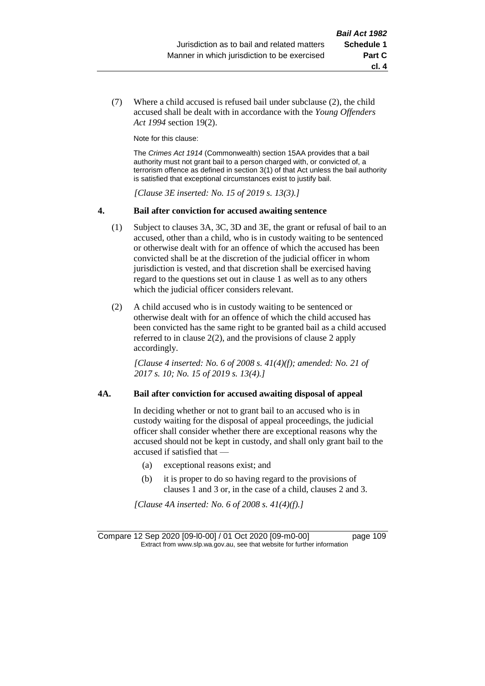**cl. 4**

(7) Where a child accused is refused bail under subclause (2), the child accused shall be dealt with in accordance with the *Young Offenders Act 1994* section 19(2).

Note for this clause:

The *Crimes Act 1914* (Commonwealth) section 15AA provides that a bail authority must not grant bail to a person charged with, or convicted of, a terrorism offence as defined in section 3(1) of that Act unless the bail authority is satisfied that exceptional circumstances exist to justify bail.

*[Clause 3E inserted: No. 15 of 2019 s. 13(3).]*

#### **4. Bail after conviction for accused awaiting sentence**

- (1) Subject to clauses 3A, 3C, 3D and 3E, the grant or refusal of bail to an accused, other than a child, who is in custody waiting to be sentenced or otherwise dealt with for an offence of which the accused has been convicted shall be at the discretion of the judicial officer in whom jurisdiction is vested, and that discretion shall be exercised having regard to the questions set out in clause 1 as well as to any others which the judicial officer considers relevant.
- (2) A child accused who is in custody waiting to be sentenced or otherwise dealt with for an offence of which the child accused has been convicted has the same right to be granted bail as a child accused referred to in clause 2(2), and the provisions of clause 2 apply accordingly.

*[Clause 4 inserted: No. 6 of 2008 s. 41(4)(f); amended: No. 21 of 2017 s. 10; No. 15 of 2019 s. 13(4).]*

#### **4A. Bail after conviction for accused awaiting disposal of appeal**

In deciding whether or not to grant bail to an accused who is in custody waiting for the disposal of appeal proceedings, the judicial officer shall consider whether there are exceptional reasons why the accused should not be kept in custody, and shall only grant bail to the accused if satisfied that —

- (a) exceptional reasons exist; and
- (b) it is proper to do so having regard to the provisions of clauses 1 and 3 or, in the case of a child, clauses 2 and 3.

*[Clause 4A inserted: No. 6 of 2008 s. 41(4)(f).]*

Compare 12 Sep 2020 [09-l0-00] / 01 Oct 2020 [09-m0-00] page 109 Extract from www.slp.wa.gov.au, see that website for further information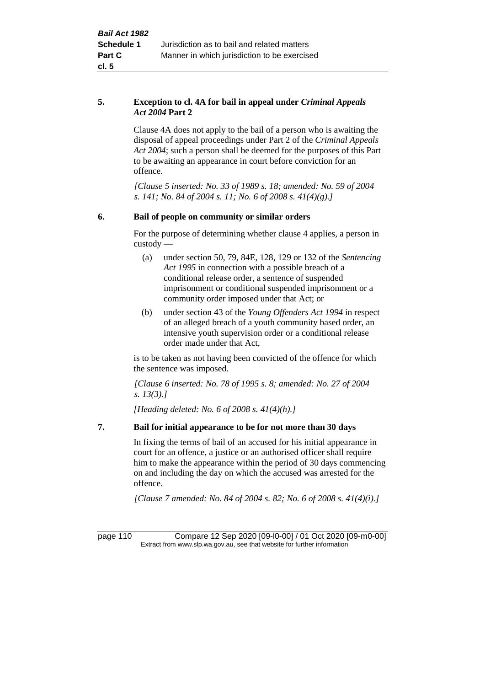#### **5. Exception to cl. 4A for bail in appeal under** *Criminal Appeals Act 2004* **Part 2**

Clause 4A does not apply to the bail of a person who is awaiting the disposal of appeal proceedings under Part 2 of the *Criminal Appeals Act 2004*; such a person shall be deemed for the purposes of this Part to be awaiting an appearance in court before conviction for an offence.

*[Clause 5 inserted: No. 33 of 1989 s. 18; amended: No. 59 of 2004 s. 141; No. 84 of 2004 s. 11; No. 6 of 2008 s. 41(4)(g).]*

#### **6. Bail of people on community or similar orders**

For the purpose of determining whether clause 4 applies, a person in custody —

- (a) under section 50, 79, 84E, 128, 129 or 132 of the *Sentencing Act 1995* in connection with a possible breach of a conditional release order, a sentence of suspended imprisonment or conditional suspended imprisonment or a community order imposed under that Act; or
- (b) under section 43 of the *Young Offenders Act 1994* in respect of an alleged breach of a youth community based order, an intensive youth supervision order or a conditional release order made under that Act,

is to be taken as not having been convicted of the offence for which the sentence was imposed.

*[Clause 6 inserted: No. 78 of 1995 s. 8; amended: No. 27 of 2004 s. 13(3).]*

*[Heading deleted: No. 6 of 2008 s. 41(4)(h).]*

#### **7. Bail for initial appearance to be for not more than 30 days**

In fixing the terms of bail of an accused for his initial appearance in court for an offence, a justice or an authorised officer shall require him to make the appearance within the period of 30 days commencing on and including the day on which the accused was arrested for the offence.

*[Clause 7 amended: No. 84 of 2004 s. 82; No. 6 of 2008 s. 41(4)(i).]*

page 110 Compare 12 Sep 2020 [09-l0-00] / 01 Oct 2020 [09-m0-00] Extract from www.slp.wa.gov.au, see that website for further information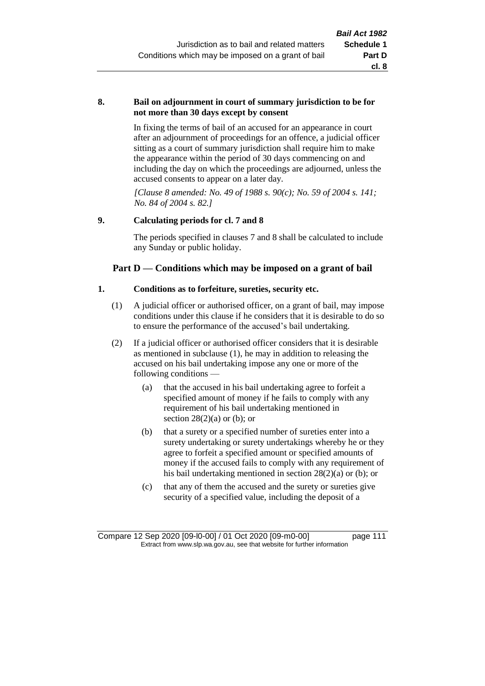#### **8. Bail on adjournment in court of summary jurisdiction to be for not more than 30 days except by consent**

In fixing the terms of bail of an accused for an appearance in court after an adjournment of proceedings for an offence, a judicial officer sitting as a court of summary jurisdiction shall require him to make the appearance within the period of 30 days commencing on and including the day on which the proceedings are adjourned, unless the accused consents to appear on a later day.

*[Clause 8 amended: No. 49 of 1988 s. 90(c); No. 59 of 2004 s. 141; No. 84 of 2004 s. 82.]*

#### **9. Calculating periods for cl. 7 and 8**

The periods specified in clauses 7 and 8 shall be calculated to include any Sunday or public holiday.

#### **Part D — Conditions which may be imposed on a grant of bail**

#### **1. Conditions as to forfeiture, sureties, security etc.**

- (1) A judicial officer or authorised officer, on a grant of bail, may impose conditions under this clause if he considers that it is desirable to do so to ensure the performance of the accused's bail undertaking.
- (2) If a judicial officer or authorised officer considers that it is desirable as mentioned in subclause (1), he may in addition to releasing the accused on his bail undertaking impose any one or more of the following conditions —
	- (a) that the accused in his bail undertaking agree to forfeit a specified amount of money if he fails to comply with any requirement of his bail undertaking mentioned in section  $28(2)(a)$  or (b); or
	- (b) that a surety or a specified number of sureties enter into a surety undertaking or surety undertakings whereby he or they agree to forfeit a specified amount or specified amounts of money if the accused fails to comply with any requirement of his bail undertaking mentioned in section 28(2)(a) or (b); or
	- (c) that any of them the accused and the surety or sureties give security of a specified value, including the deposit of a

Compare 12 Sep 2020 [09-l0-00] / 01 Oct 2020 [09-m0-00] page 111 Extract from www.slp.wa.gov.au, see that website for further information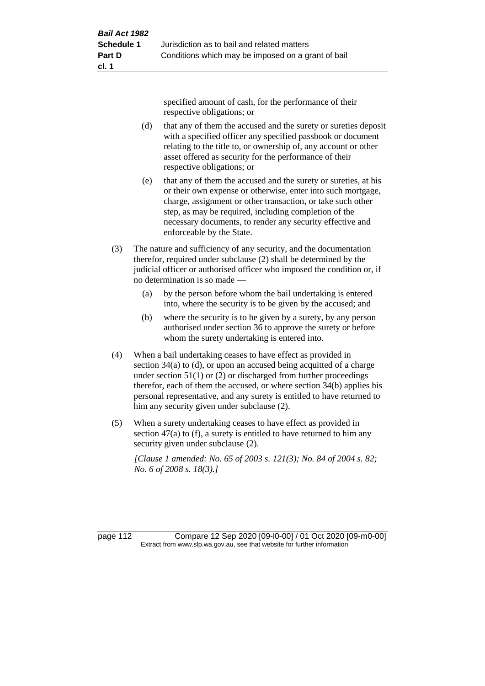specified amount of cash, for the performance of their respective obligations; or

- (d) that any of them the accused and the surety or sureties deposit with a specified officer any specified passbook or document relating to the title to, or ownership of, any account or other asset offered as security for the performance of their respective obligations; or
- (e) that any of them the accused and the surety or sureties, at his or their own expense or otherwise, enter into such mortgage, charge, assignment or other transaction, or take such other step, as may be required, including completion of the necessary documents, to render any security effective and enforceable by the State.
- (3) The nature and sufficiency of any security, and the documentation therefor, required under subclause (2) shall be determined by the judicial officer or authorised officer who imposed the condition or, if no determination is so made —
	- (a) by the person before whom the bail undertaking is entered into, where the security is to be given by the accused; and
	- (b) where the security is to be given by a surety, by any person authorised under section 36 to approve the surety or before whom the surety undertaking is entered into.
- (4) When a bail undertaking ceases to have effect as provided in section 34(a) to (d), or upon an accused being acquitted of a charge under section  $51(1)$  or (2) or discharged from further proceedings therefor, each of them the accused, or where section 34(b) applies his personal representative, and any surety is entitled to have returned to him any security given under subclause (2).
- (5) When a surety undertaking ceases to have effect as provided in section 47(a) to (f), a surety is entitled to have returned to him any security given under subclause (2).

*[Clause 1 amended: No. 65 of 2003 s. 121(3); No. 84 of 2004 s. 82; No. 6 of 2008 s. 18(3).]*

page 112 Compare 12 Sep 2020 [09-l0-00] / 01 Oct 2020 [09-m0-00] Extract from www.slp.wa.gov.au, see that website for further information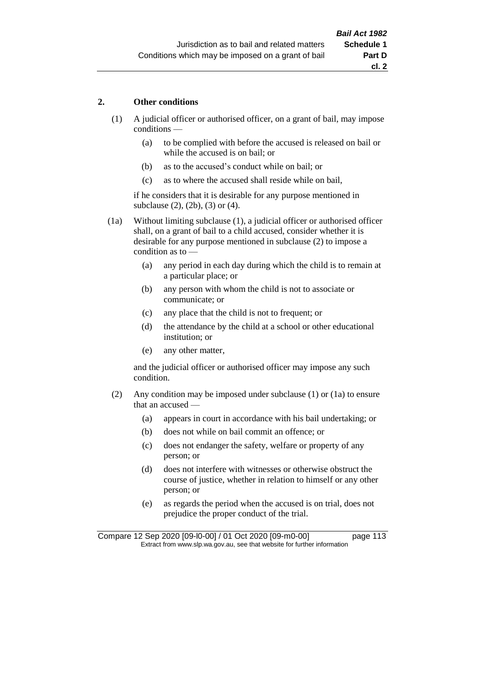#### **2. Other conditions**

- (1) A judicial officer or authorised officer, on a grant of bail, may impose conditions —
	- (a) to be complied with before the accused is released on bail or while the accused is on bail; or
	- (b) as to the accused's conduct while on bail; or
	- (c) as to where the accused shall reside while on bail,

if he considers that it is desirable for any purpose mentioned in subclause (2), (2b), (3) or (4).

(1a) Without limiting subclause (1), a judicial officer or authorised officer shall, on a grant of bail to a child accused, consider whether it is desirable for any purpose mentioned in subclause (2) to impose a condition as to —

- (a) any period in each day during which the child is to remain at a particular place; or
- (b) any person with whom the child is not to associate or communicate; or
- (c) any place that the child is not to frequent; or
- (d) the attendance by the child at a school or other educational institution; or
- (e) any other matter,

and the judicial officer or authorised officer may impose any such condition.

- (2) Any condition may be imposed under subclause (1) or (1a) to ensure that an accused —
	- (a) appears in court in accordance with his bail undertaking; or
	- (b) does not while on bail commit an offence; or
	- (c) does not endanger the safety, welfare or property of any person; or
	- (d) does not interfere with witnesses or otherwise obstruct the course of justice, whether in relation to himself or any other person; or
	- (e) as regards the period when the accused is on trial, does not prejudice the proper conduct of the trial.

Compare 12 Sep 2020 [09-l0-00] / 01 Oct 2020 [09-m0-00] page 113 Extract from www.slp.wa.gov.au, see that website for further information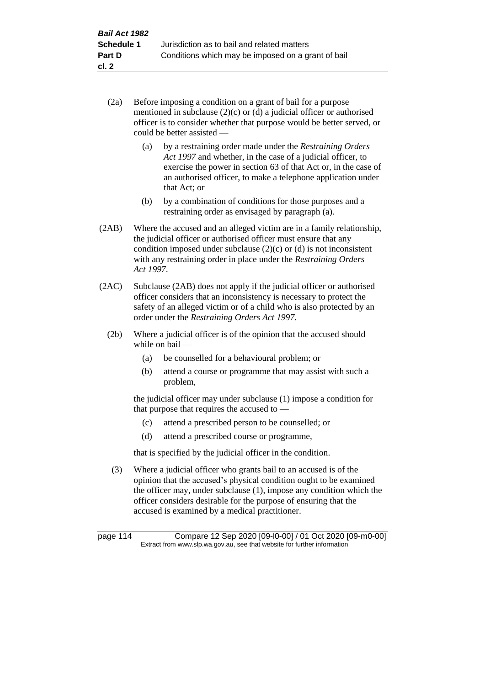- (2a) Before imposing a condition on a grant of bail for a purpose mentioned in subclause (2)(c) or (d) a judicial officer or authorised officer is to consider whether that purpose would be better served, or could be better assisted —
	- (a) by a restraining order made under the *Restraining Orders Act 1997* and whether, in the case of a judicial officer, to exercise the power in section 63 of that Act or, in the case of an authorised officer, to make a telephone application under that Act; or
	- (b) by a combination of conditions for those purposes and a restraining order as envisaged by paragraph (a).
- (2AB) Where the accused and an alleged victim are in a family relationship, the judicial officer or authorised officer must ensure that any condition imposed under subclause  $(2)(c)$  or  $(d)$  is not inconsistent with any restraining order in place under the *Restraining Orders Act 1997*.
- (2AC) Subclause (2AB) does not apply if the judicial officer or authorised officer considers that an inconsistency is necessary to protect the safety of an alleged victim or of a child who is also protected by an order under the *Restraining Orders Act 1997*.
	- (2b) Where a judicial officer is of the opinion that the accused should while on bail —
		- (a) be counselled for a behavioural problem; or
		- (b) attend a course or programme that may assist with such a problem,

the judicial officer may under subclause (1) impose a condition for that purpose that requires the accused to —

- (c) attend a prescribed person to be counselled; or
- (d) attend a prescribed course or programme,

that is specified by the judicial officer in the condition.

(3) Where a judicial officer who grants bail to an accused is of the opinion that the accused's physical condition ought to be examined the officer may, under subclause (1), impose any condition which the officer considers desirable for the purpose of ensuring that the accused is examined by a medical practitioner.

page 114 Compare 12 Sep 2020 [09-l0-00] / 01 Oct 2020 [09-m0-00] Extract from www.slp.wa.gov.au, see that website for further information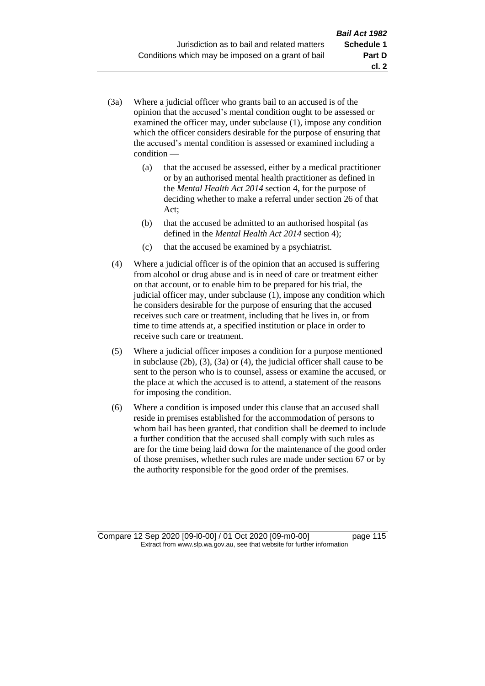- (3a) Where a judicial officer who grants bail to an accused is of the opinion that the accused's mental condition ought to be assessed or examined the officer may, under subclause (1), impose any condition which the officer considers desirable for the purpose of ensuring that the accused's mental condition is assessed or examined including a condition —
	- (a) that the accused be assessed, either by a medical practitioner or by an authorised mental health practitioner as defined in the *Mental Health Act 2014* section 4, for the purpose of deciding whether to make a referral under section 26 of that Act;
	- (b) that the accused be admitted to an authorised hospital (as defined in the *Mental Health Act 2014* section 4);
	- (c) that the accused be examined by a psychiatrist.
- (4) Where a judicial officer is of the opinion that an accused is suffering from alcohol or drug abuse and is in need of care or treatment either on that account, or to enable him to be prepared for his trial, the judicial officer may, under subclause (1), impose any condition which he considers desirable for the purpose of ensuring that the accused receives such care or treatment, including that he lives in, or from time to time attends at, a specified institution or place in order to receive such care or treatment.
- (5) Where a judicial officer imposes a condition for a purpose mentioned in subclause (2b), (3), (3a) or (4), the judicial officer shall cause to be sent to the person who is to counsel, assess or examine the accused, or the place at which the accused is to attend, a statement of the reasons for imposing the condition.
- (6) Where a condition is imposed under this clause that an accused shall reside in premises established for the accommodation of persons to whom bail has been granted, that condition shall be deemed to include a further condition that the accused shall comply with such rules as are for the time being laid down for the maintenance of the good order of those premises, whether such rules are made under section 67 or by the authority responsible for the good order of the premises.

Compare 12 Sep 2020 [09-l0-00] / 01 Oct 2020 [09-m0-00] page 115 Extract from www.slp.wa.gov.au, see that website for further information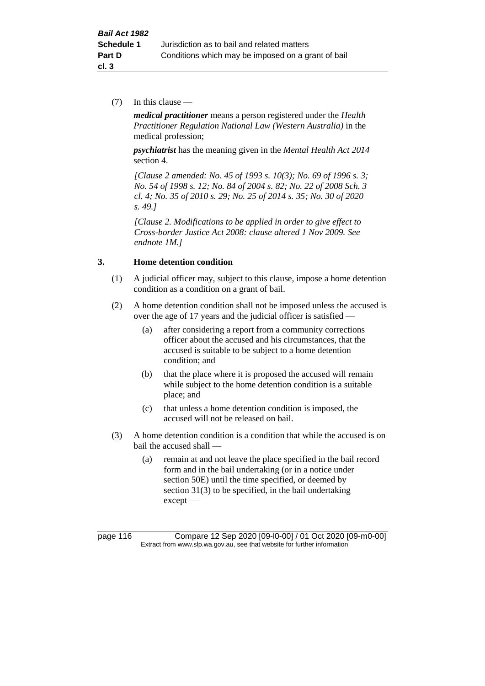(7) In this clause —

*medical practitioner* means a person registered under the *Health Practitioner Regulation National Law (Western Australia)* in the medical profession;

*psychiatrist* has the meaning given in the *Mental Health Act 2014* section 4.

*[Clause 2 amended: No. 45 of 1993 s. 10(3); No. 69 of 1996 s. 3; No. 54 of 1998 s. 12; No. 84 of 2004 s. 82; No. 22 of 2008 Sch. 3 cl. 4; No. 35 of 2010 s. 29; No. 25 of 2014 s. 35; No. 30 of 2020 s. 49.]*

*[Clause 2. Modifications to be applied in order to give effect to Cross-border Justice Act 2008: clause altered 1 Nov 2009. See endnote 1M.]*

#### **3. Home detention condition**

- (1) A judicial officer may, subject to this clause, impose a home detention condition as a condition on a grant of bail.
- (2) A home detention condition shall not be imposed unless the accused is over the age of 17 years and the judicial officer is satisfied —
	- (a) after considering a report from a community corrections officer about the accused and his circumstances, that the accused is suitable to be subject to a home detention condition; and
	- (b) that the place where it is proposed the accused will remain while subject to the home detention condition is a suitable place; and
	- (c) that unless a home detention condition is imposed, the accused will not be released on bail.
- (3) A home detention condition is a condition that while the accused is on bail the accused shall —
	- (a) remain at and not leave the place specified in the bail record form and in the bail undertaking (or in a notice under section 50E) until the time specified, or deemed by section 31(3) to be specified, in the bail undertaking except —

page 116 Compare 12 Sep 2020 [09-l0-00] / 01 Oct 2020 [09-m0-00] Extract from www.slp.wa.gov.au, see that website for further information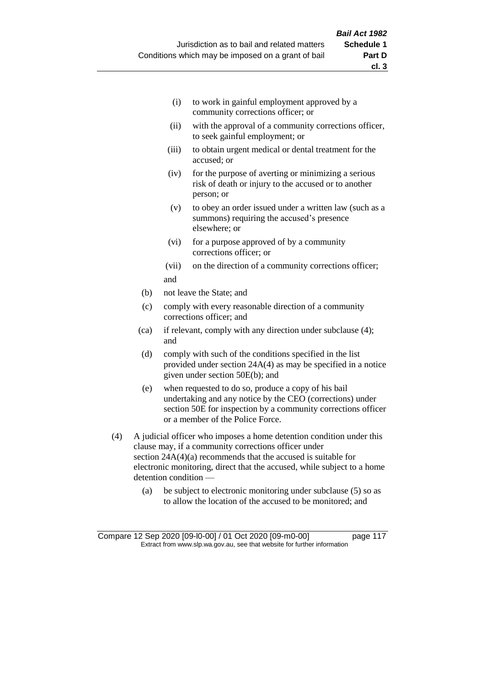- (i) to work in gainful employment approved by a community corrections officer; or
- (ii) with the approval of a community corrections officer, to seek gainful employment; or
- (iii) to obtain urgent medical or dental treatment for the accused; or
- (iv) for the purpose of averting or minimizing a serious risk of death or injury to the accused or to another person; or
- (v) to obey an order issued under a written law (such as a summons) requiring the accused's presence elsewhere; or
- (vi) for a purpose approved of by a community corrections officer; or
- (vii) on the direction of a community corrections officer; and
- (b) not leave the State; and
- (c) comply with every reasonable direction of a community corrections officer; and
- (ca) if relevant, comply with any direction under subclause (4); and
- (d) comply with such of the conditions specified in the list provided under section 24A(4) as may be specified in a notice given under section 50E(b); and
- (e) when requested to do so, produce a copy of his bail undertaking and any notice by the CEO (corrections) under section 50E for inspection by a community corrections officer or a member of the Police Force.
- (4) A judicial officer who imposes a home detention condition under this clause may, if a community corrections officer under section 24A(4)(a) recommends that the accused is suitable for electronic monitoring, direct that the accused, while subject to a home detention condition —
	- (a) be subject to electronic monitoring under subclause (5) so as to allow the location of the accused to be monitored; and

Compare 12 Sep 2020 [09-l0-00] / 01 Oct 2020 [09-m0-00] page 117 Extract from www.slp.wa.gov.au, see that website for further information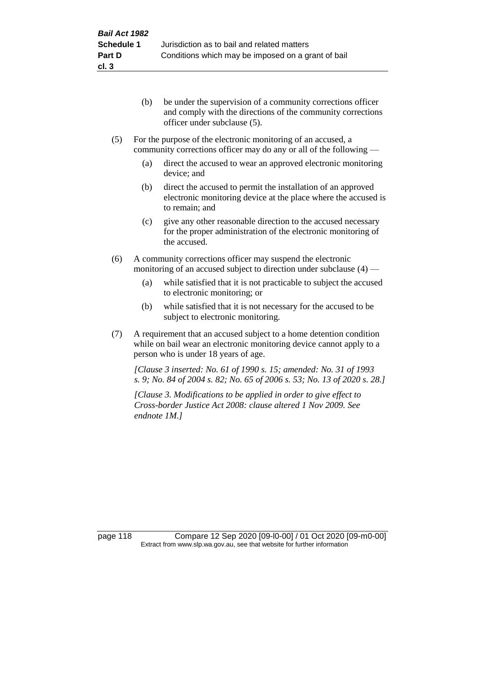- (b) be under the supervision of a community corrections officer and comply with the directions of the community corrections officer under subclause (5).
- (5) For the purpose of the electronic monitoring of an accused, a community corrections officer may do any or all of the following —
	- (a) direct the accused to wear an approved electronic monitoring device; and
	- (b) direct the accused to permit the installation of an approved electronic monitoring device at the place where the accused is to remain; and
	- (c) give any other reasonable direction to the accused necessary for the proper administration of the electronic monitoring of the accused.
- (6) A community corrections officer may suspend the electronic monitoring of an accused subject to direction under subclause (4) —
	- (a) while satisfied that it is not practicable to subject the accused to electronic monitoring; or
	- (b) while satisfied that it is not necessary for the accused to be subject to electronic monitoring.
- (7) A requirement that an accused subject to a home detention condition while on bail wear an electronic monitoring device cannot apply to a person who is under 18 years of age.

*[Clause 3 inserted: No. 61 of 1990 s. 15; amended: No. 31 of 1993 s. 9; No. 84 of 2004 s. 82; No. 65 of 2006 s. 53; No. 13 of 2020 s. 28.]*

*[Clause 3. Modifications to be applied in order to give effect to Cross-border Justice Act 2008: clause altered 1 Nov 2009. See endnote 1M.]*

page 118 Compare 12 Sep 2020 [09-l0-00] / 01 Oct 2020 [09-m0-00] Extract from www.slp.wa.gov.au, see that website for further information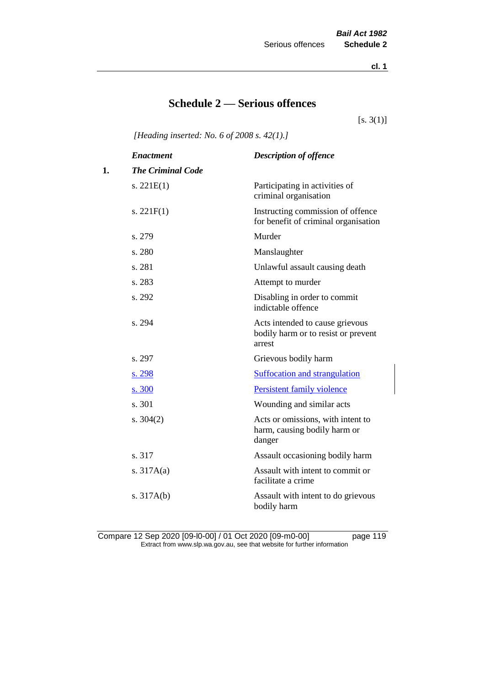**cl. 1**

# **Schedule 2 — Serious offences**

 $[s. 3(1)]$ 

*[Heading inserted: No. 6 of 2008 s. 42(1).]*

|    | <b>Enactment</b>         | <b>Description of offence</b>                                                    |
|----|--------------------------|----------------------------------------------------------------------------------|
| 1. | <b>The Criminal Code</b> |                                                                                  |
|    | s. $221E(1)$             | Participating in activities of<br>criminal organisation                          |
|    | s. $221F(1)$             | Instructing commission of offence<br>for benefit of criminal organisation        |
|    | s. 279                   | Murder                                                                           |
|    | s. 280                   | Manslaughter                                                                     |
|    | s. 281                   | Unlawful assault causing death                                                   |
|    | s. 283                   | Attempt to murder                                                                |
|    | s. 292                   | Disabling in order to commit<br>indictable offence                               |
|    | s. 294                   | Acts intended to cause grievous<br>bodily harm or to resist or prevent<br>arrest |
|    | s. 297                   | Grievous bodily harm                                                             |
|    | s. 298                   | <b>Suffocation and strangulation</b>                                             |
|    | s. 300                   | Persistent family violence                                                       |
|    | s. 301                   | Wounding and similar acts                                                        |
|    | s. $304(2)$              | Acts or omissions, with intent to<br>harm, causing bodily harm or<br>danger      |
|    | s. 317                   | Assault occasioning bodily harm                                                  |
|    | s. $317A(a)$             | Assault with intent to commit or<br>facilitate a crime                           |
|    | s. $317A(b)$             | Assault with intent to do grievous<br>bodily harm                                |

Compare 12 Sep 2020 [09-l0-00] / 01 Oct 2020 [09-m0-00] page 119 Extract from www.slp.wa.gov.au, see that website for further information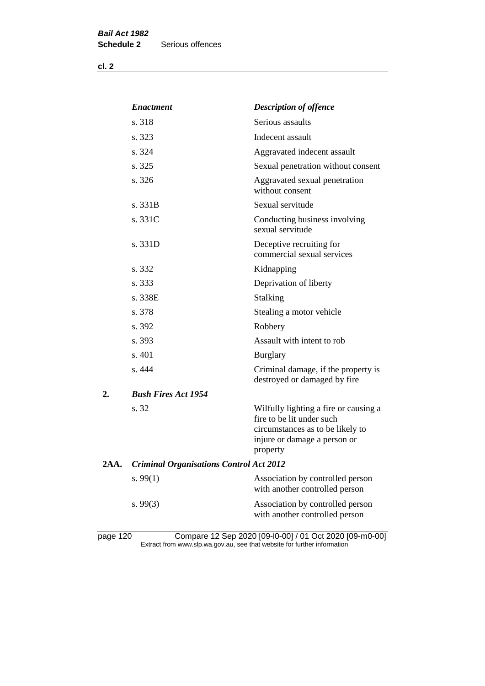| v.<br>٠ |  |
|---------|--|
|---------|--|

|      | <b>Enactment</b>                               | <b>Description of offence</b>                                                                                                                      |
|------|------------------------------------------------|----------------------------------------------------------------------------------------------------------------------------------------------------|
|      | s. 318                                         | Serious assaults                                                                                                                                   |
|      | s. 323                                         | Indecent assault                                                                                                                                   |
|      | s. 324                                         | Aggravated indecent assault                                                                                                                        |
|      | s. 325                                         | Sexual penetration without consent                                                                                                                 |
|      | s. 326                                         | Aggravated sexual penetration<br>without consent                                                                                                   |
|      | s. 331B                                        | Sexual servitude                                                                                                                                   |
|      | s. 331C                                        | Conducting business involving<br>sexual servitude                                                                                                  |
|      | s. 331D                                        | Deceptive recruiting for<br>commercial sexual services                                                                                             |
|      | s. 332                                         | Kidnapping                                                                                                                                         |
|      | s. 333                                         | Deprivation of liberty                                                                                                                             |
|      | s. 338E                                        | <b>Stalking</b>                                                                                                                                    |
|      | s. 378                                         | Stealing a motor vehicle                                                                                                                           |
|      | s. 392                                         | Robbery                                                                                                                                            |
|      | s. 393                                         | Assault with intent to rob                                                                                                                         |
|      | s. 401                                         | <b>Burglary</b>                                                                                                                                    |
|      | s. 444                                         | Criminal damage, if the property is<br>destroyed or damaged by fire                                                                                |
| 2.   | <b>Bush Fires Act 1954</b>                     |                                                                                                                                                    |
|      | s. 32                                          | Wilfully lighting a fire or causing a<br>fire to be lit under such<br>circumstances as to be likely to<br>injure or damage a person or<br>property |
| 2AA. | <b>Criminal Organisations Control Act 2012</b> |                                                                                                                                                    |
|      | s. $99(1)$                                     | Association by controlled person<br>with another controlled person                                                                                 |
|      | s. 99(3)                                       | Association by controlled person<br>with another controlled person                                                                                 |
|      |                                                |                                                                                                                                                    |

page 120 Compare 12 Sep 2020 [09-l0-00] / 01 Oct 2020 [09-m0-00] Extract from www.slp.wa.gov.au, see that website for further information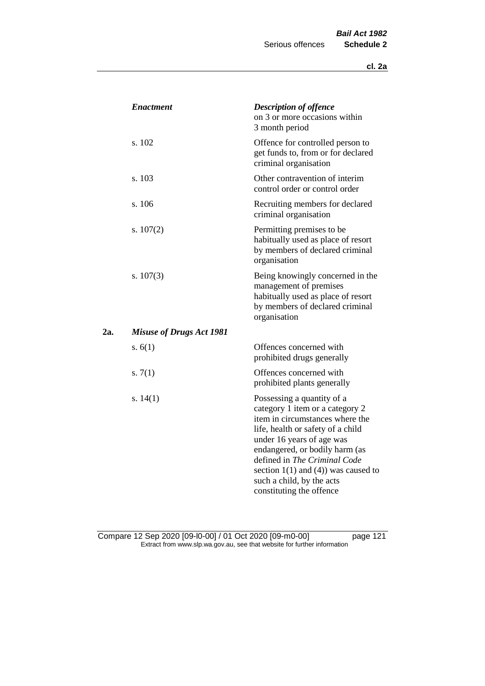|     | <i><b>Enactment</b></i>         | <b>Description of offence</b><br>on 3 or more occasions within<br>3 month period                                                                                                                                                                                                                                                          |
|-----|---------------------------------|-------------------------------------------------------------------------------------------------------------------------------------------------------------------------------------------------------------------------------------------------------------------------------------------------------------------------------------------|
|     | s. 102                          | Offence for controlled person to<br>get funds to, from or for declared<br>criminal organisation                                                                                                                                                                                                                                           |
|     | s. 103                          | Other contravention of interim<br>control order or control order                                                                                                                                                                                                                                                                          |
|     | s. 106                          | Recruiting members for declared<br>criminal organisation                                                                                                                                                                                                                                                                                  |
|     | s. $107(2)$                     | Permitting premises to be<br>habitually used as place of resort<br>by members of declared criminal<br>organisation                                                                                                                                                                                                                        |
|     | s. $107(3)$                     | Being knowingly concerned in the<br>management of premises<br>habitually used as place of resort<br>by members of declared criminal<br>organisation                                                                                                                                                                                       |
| 2а. | <b>Misuse of Drugs Act 1981</b> |                                                                                                                                                                                                                                                                                                                                           |
|     | s. $6(1)$                       | Offences concerned with<br>prohibited drugs generally                                                                                                                                                                                                                                                                                     |
|     | s. $7(1)$                       | Offences concerned with<br>prohibited plants generally                                                                                                                                                                                                                                                                                    |
|     | s. $14(1)$                      | Possessing a quantity of a<br>category 1 item or a category 2<br>item in circumstances where the<br>life, health or safety of a child<br>under 16 years of age was<br>endangered, or bodily harm (as<br>defined in The Criminal Code<br>section $1(1)$ and $(4)$ ) was caused to<br>such a child, by the acts<br>constituting the offence |

Compare 12 Sep 2020 [09-l0-00] / 01 Oct 2020 [09-m0-00] page 121 Extract from www.slp.wa.gov.au, see that website for further information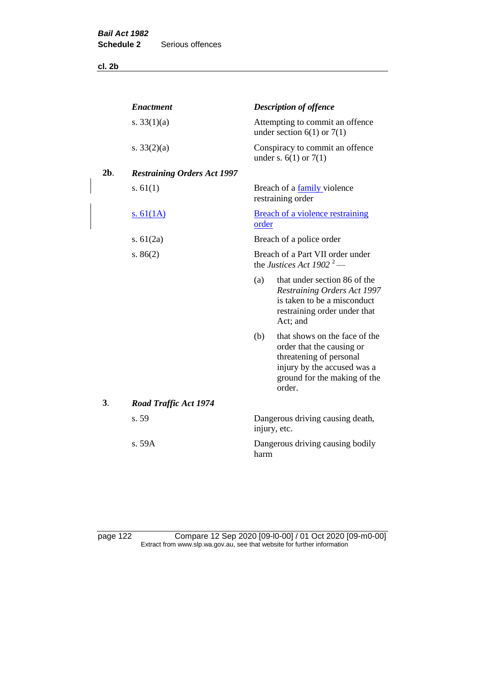**cl. 2b**

|        | <b>Enactment</b>                   |              | <b>Description of offence</b>                                                                                                                                  |
|--------|------------------------------------|--------------|----------------------------------------------------------------------------------------------------------------------------------------------------------------|
|        | s. $33(1)(a)$                      |              | Attempting to commit an offence<br>under section $6(1)$ or $7(1)$                                                                                              |
|        | s. $33(2)(a)$                      |              | Conspiracy to commit an offence<br>under s. $6(1)$ or $7(1)$                                                                                                   |
| $2b$ . | <b>Restraining Orders Act 1997</b> |              |                                                                                                                                                                |
|        | s. $61(1)$                         |              | Breach of a family violence<br>restraining order                                                                                                               |
|        | <u>s. 61(1A)</u>                   | order        | <b>Breach of a violence restraining</b>                                                                                                                        |
|        | s. $61(2a)$                        |              | Breach of a police order                                                                                                                                       |
|        | s. $86(2)$                         |              | Breach of a Part VII order under<br>the Justices Act 1902 <sup>2</sup> —                                                                                       |
|        |                                    | (a)          | that under section 86 of the<br>Restraining Orders Act 1997<br>is taken to be a misconduct<br>restraining order under that<br>Act; and                         |
|        |                                    | (b)          | that shows on the face of the<br>order that the causing or<br>threatening of personal<br>injury by the accused was a<br>ground for the making of the<br>order. |
| 3.     | <b>Road Traffic Act 1974</b>       |              |                                                                                                                                                                |
|        | s. 59                              | injury, etc. | Dangerous driving causing death,                                                                                                                               |
|        | s. 59A                             | harm         | Dangerous driving causing bodily                                                                                                                               |

page 122 Compare 12 Sep 2020 [09-l0-00] / 01 Oct 2020 [09-m0-00] Extract from www.slp.wa.gov.au, see that website for further information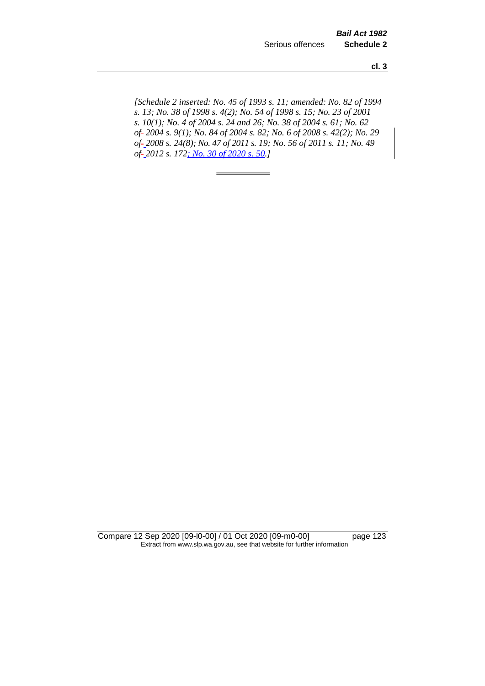**cl. 3**

*[Schedule 2 inserted: No. 45 of 1993 s. 11; amended: No. 82 of 1994 s. 13; No. 38 of 1998 s. 4(2); No. 54 of 1998 s. 15; No. 23 of 2001 s. 10(1); No. 4 of 2004 s. 24 and 26; No. 38 of 2004 s. 61; No. 62 of 2004 s. 9(1); No. 84 of 2004 s. 82; No. 6 of 2008 s. 42(2); No. 29 of 2008 s. 24(8); No. 47 of 2011 s. 19; No. 56 of 2011 s. 11; No. 49 of 2012 s. 172; No. 30 of 2020 s. 50.]* 

Compare 12 Sep 2020 [09-l0-00] / 01 Oct 2020 [09-m0-00] page 123 Extract from www.slp.wa.gov.au, see that website for further information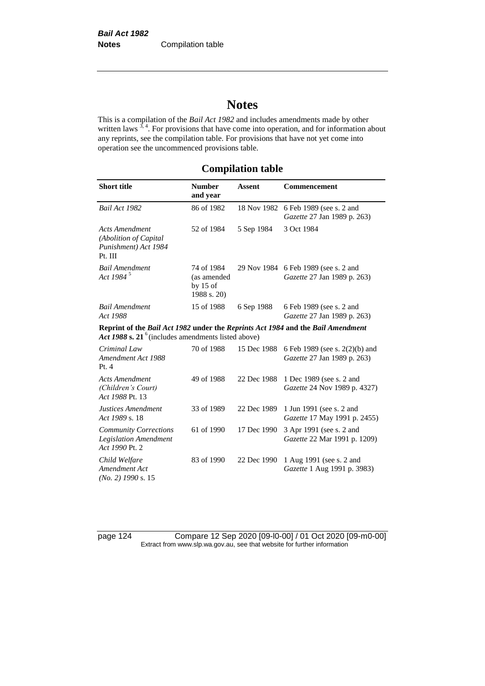# **Notes**

This is a compilation of the *Bail Act 1982* and includes amendments made by other written laws  $3, 4$ . For provisions that have come into operation, and for information about any reprints, see the compilation table. For provisions that have not yet come into operation see the uncommenced provisions table.

## **Compilation table**

| <b>Short title</b>                                                                                                                       | <b>Number</b><br>and year                              | <b>Assent</b> | <b>Commencement</b>                                                 |
|------------------------------------------------------------------------------------------------------------------------------------------|--------------------------------------------------------|---------------|---------------------------------------------------------------------|
| Bail Act 1982                                                                                                                            | 86 of 1982                                             | 18 Nov 1982   | 6 Feb 1989 (see s. 2 and<br>Gazette 27 Jan 1989 p. 263)             |
| <b>Acts Amendment</b><br>(Abolition of Capital<br>Punishment) Act 1984<br>Pt. III                                                        | 52 of 1984                                             | 5 Sep 1984    | 3 Oct 1984                                                          |
| <b>Bail Amendment</b><br>Act 1984 <sup>5</sup>                                                                                           | 74 of 1984<br>(as amended<br>by $15$ of<br>1988 s. 20) |               | 29 Nov 1984 6 Feb 1989 (see s. 2 and<br>Gazette 27 Jan 1989 p. 263) |
| <b>Bail Amendment</b><br>Act 1988                                                                                                        | 15 of 1988                                             | 6 Sep 1988    | 6 Feb 1989 (see s. 2 and<br>Gazette 27 Jan 1989 p. 263)             |
| Reprint of the Bail Act 1982 under the Reprints Act 1984 and the Bail Amendment<br>Act 1988 s. 21 $6$ (includes amendments listed above) |                                                        |               |                                                                     |
| Criminal Law<br>Amendment Act 1988<br>Pt.4                                                                                               | 70 of 1988                                             | 15 Dec 1988   | 6 Feb 1989 (see s. 2(2)(b) and<br>Gazette 27 Jan 1989 p. 263)       |
| <b>Acts Amendment</b><br>(Children's Court)<br>Act 1988 Pt. 13                                                                           | 49 of 1988                                             | 22 Dec 1988   | 1 Dec 1989 (see s. 2 and<br>Gazette 24 Nov 1989 p. 4327)            |
| Justices Amendment<br>Act 1989 s. 18                                                                                                     | 33 of 1989                                             | 22 Dec 1989   | 1 Jun 1991 (see s. 2 and<br>Gazette 17 May 1991 p. 2455)            |
| <b>Community Corrections</b><br><b>Legislation Amendment</b><br>Act 1990 Pt. 2                                                           | 61 of 1990                                             | 17 Dec 1990   | 3 Apr 1991 (see s. 2 and<br>Gazette 22 Mar 1991 p. 1209)            |
| Child Welfare<br>Amendment Act<br>$(No. 2)$ 1990 s. 15                                                                                   | 83 of 1990                                             | 22 Dec 1990   | 1 Aug 1991 (see s. 2 and<br>Gazette 1 Aug 1991 p. 3983)             |

page 124 Compare 12 Sep 2020 [09-l0-00] / 01 Oct 2020 [09-m0-00] Extract from www.slp.wa.gov.au, see that website for further information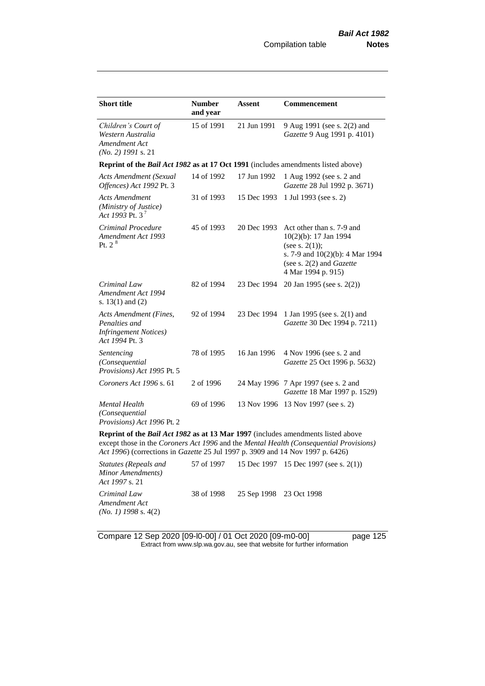| <b>Short title</b>                                                                                                                                                                                                                                                  | <b>Number</b><br>and year | Assent      | Commencement                                                                                                                                                          |  |  |
|---------------------------------------------------------------------------------------------------------------------------------------------------------------------------------------------------------------------------------------------------------------------|---------------------------|-------------|-----------------------------------------------------------------------------------------------------------------------------------------------------------------------|--|--|
| Children's Court of<br>Western Australia<br>Amendment Act<br>$(No. 2)$ 1991 s. 21                                                                                                                                                                                   | 15 of 1991                | 21 Jun 1991 | 9 Aug 1991 (see s. 2(2) and<br>Gazette 9 Aug 1991 p. 4101)                                                                                                            |  |  |
| Reprint of the <i>Bail Act 1982</i> as at 17 Oct 1991 (includes amendments listed above)                                                                                                                                                                            |                           |             |                                                                                                                                                                       |  |  |
| <b>Acts Amendment (Sexual</b><br>Offences) Act 1992 Pt. 3                                                                                                                                                                                                           | 14 of 1992                | 17 Jun 1992 | 1 Aug 1992 (see s. 2 and<br>Gazette 28 Jul 1992 p. 3671)                                                                                                              |  |  |
| <b>Acts Amendment</b><br>(Ministry of Justice)<br>Act 1993 Pt. $3^7$                                                                                                                                                                                                | 31 of 1993                | 15 Dec 1993 | 1 Jul 1993 (see s. 2)                                                                                                                                                 |  |  |
| Criminal Procedure<br>Amendment Act 1993<br>Pt. 2 <sup>8</sup>                                                                                                                                                                                                      | 45 of 1993                | 20 Dec 1993 | Act other than s. 7-9 and<br>10(2)(b): 17 Jan 1994<br>(see s. $2(1)$ );<br>s. 7-9 and 10(2)(b): 4 Mar 1994<br>(see s. $2(2)$ and <i>Gazette</i><br>4 Mar 1994 p. 915) |  |  |
| Criminal Law<br>Amendment Act 1994<br>s. 13(1) and (2)                                                                                                                                                                                                              | 82 of 1994                | 23 Dec 1994 | 20 Jan 1995 (see s. 2(2))                                                                                                                                             |  |  |
| Acts Amendment (Fines,<br>Penalties and<br><b>Infringement Notices</b> )<br>Act 1994 Pt. 3                                                                                                                                                                          | 92 of 1994                | 23 Dec 1994 | 1 Jan 1995 (see s. 2(1) and<br>Gazette 30 Dec 1994 p. 7211)                                                                                                           |  |  |
| Sentencing<br>(Consequential<br>Provisions) Act 1995 Pt. 5                                                                                                                                                                                                          | 78 of 1995                | 16 Jan 1996 | 4 Nov 1996 (see s. 2 and<br>Gazette 25 Oct 1996 p. 5632)                                                                                                              |  |  |
| Coroners Act 1996 s. 61                                                                                                                                                                                                                                             | 2 of 1996                 |             | 24 May 1996 7 Apr 1997 (see s. 2 and<br>Gazette 18 Mar 1997 p. 1529)                                                                                                  |  |  |
| Mental Health<br>(Consequential<br>Provisions) Act 1996 Pt. 2                                                                                                                                                                                                       | 69 of 1996                |             | 13 Nov 1996 13 Nov 1997 (see s. 2)                                                                                                                                    |  |  |
| <b>Reprint of the Bail Act 1982 as at 13 Mar 1997</b> (includes amendments listed above<br>except those in the Coroners Act 1996 and the Mental Health (Consequential Provisions)<br>Act 1996) (corrections in Gazette 25 Jul 1997 p. 3909 and 14 Nov 1997 p. 6426) |                           |             |                                                                                                                                                                       |  |  |

*Statutes (Repeals and Minor Amendments) Act 1997* s. 21 57 of 1997 15 Dec 1997 15 Dec 1997 (see s. 2(1)) *Criminal Law Amendment Act (No. 1) 1998* s. 4(2) 38 of 1998 25 Sep 1998 23 Oct 1998

Compare 12 Sep 2020 [09-l0-00] / 01 Oct 2020 [09-m0-00] page 125 Extract from www.slp.wa.gov.au, see that website for further information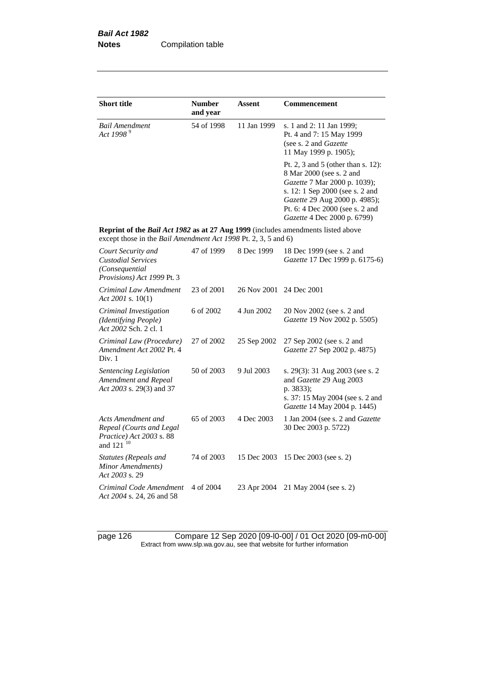| <b>Short title</b>                                                                                                                                 | <b>Number</b><br>and year | Assent      | <b>Commencement</b>                                                                                                                                                                                                                  |
|----------------------------------------------------------------------------------------------------------------------------------------------------|---------------------------|-------------|--------------------------------------------------------------------------------------------------------------------------------------------------------------------------------------------------------------------------------------|
| <b>Bail Amendment</b><br>Act 1998 <sup>9</sup>                                                                                                     | 54 of 1998                | 11 Jan 1999 | s. 1 and 2: 11 Jan 1999;<br>Pt. 4 and 7: 15 May 1999<br>(see s. 2 and Gazette<br>11 May 1999 p. 1905);                                                                                                                               |
|                                                                                                                                                    |                           |             | Pt. 2, 3 and 5 (other than s. 12):<br>8 Mar 2000 (see s. 2 and<br>Gazette 7 Mar 2000 p. 1039);<br>s. 12: 1 Sep 2000 (see s. 2 and<br>Gazette 29 Aug 2000 p. 4985);<br>Pt. 6: 4 Dec 2000 (see s. 2 and<br>Gazette 4 Dec 2000 p. 6799) |
| Reprint of the Bail Act 1982 as at 27 Aug 1999 (includes amendments listed above<br>except those in the Bail Amendment Act 1998 Pt. 2, 3, 5 and 6) |                           |             |                                                                                                                                                                                                                                      |
| Court Security and<br><b>Custodial Services</b><br>(Consequential<br>Provisions) Act 1999 Pt. 3                                                    | 47 of 1999                | 8 Dec 1999  | 18 Dec 1999 (see s. 2 and<br>Gazette 17 Dec 1999 p. 6175-6)                                                                                                                                                                          |
| Criminal Law Amendment<br>Act 2001 s. $10(1)$                                                                                                      | 23 of 2001                | 26 Nov 2001 | 24 Dec 2001                                                                                                                                                                                                                          |
| Criminal Investigation<br>(Identifying People)<br>Act 2002 Sch. 2 cl. 1                                                                            | 6 of 2002                 | 4 Jun 2002  | 20 Nov 2002 (see s. 2 and<br>Gazette 19 Nov 2002 p. 5505)                                                                                                                                                                            |
| Criminal Law (Procedure)<br>Amendment Act 2002 Pt. 4<br>Div. 1                                                                                     | 27 of 2002                | 25 Sep 2002 | 27 Sep 2002 (see s. 2 and<br><i>Gazette</i> 27 Sep 2002 p. 4875)                                                                                                                                                                     |
| Sentencing Legislation<br>Amendment and Repeal<br>Act 2003 s. 29(3) and 37                                                                         | 50 of 2003                | 9 Jul 2003  | s. 29(3): 31 Aug 2003 (see s. 2<br>and Gazette 29 Aug 2003<br>p. 3833);<br>s. 37: 15 May 2004 (see s. 2 and<br>Gazette 14 May 2004 p. 1445)                                                                                          |
| Acts Amendment and<br>Repeal (Courts and Legal<br>Practice) Act 2003 s. 88<br>and 121 <sup>10</sup>                                                | 65 of 2003                | 4 Dec 2003  | 1 Jan 2004 (see s. 2 and <i>Gazette</i><br>30 Dec 2003 p. 5722)                                                                                                                                                                      |
| <b>Statutes (Repeals and</b><br>Minor Amendments)<br>Act 2003 s. 29                                                                                | 74 of 2003                | 15 Dec 2003 | 15 Dec 2003 (see s. 2)                                                                                                                                                                                                               |
| Criminal Code Amendment<br>Act 2004 s. 24, 26 and 58                                                                                               | 4 of 2004                 | 23 Apr 2004 | 21 May 2004 (see s. 2)                                                                                                                                                                                                               |

page 126 Compare 12 Sep 2020 [09-l0-00] / 01 Oct 2020 [09-m0-00] Extract from www.slp.wa.gov.au, see that website for further information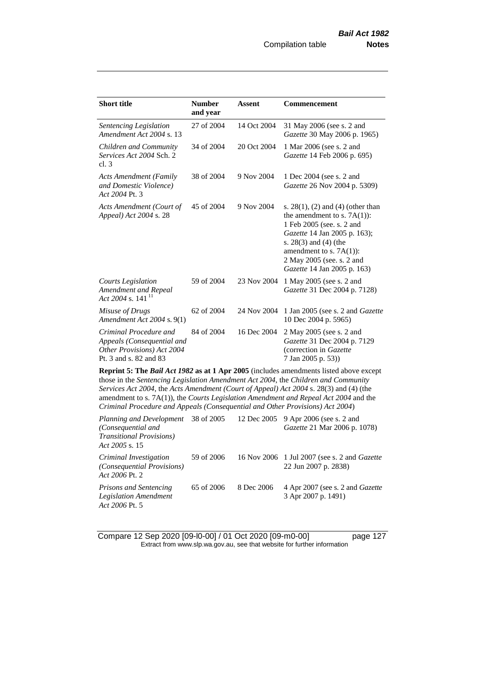| <b>Number</b><br>and year                                                                                                                                                                                                                                                                                                                                                                                                                                                                               | <b>Assent</b>                            | Commencement                                                                                                                                                                                                                                             |  |  |
|---------------------------------------------------------------------------------------------------------------------------------------------------------------------------------------------------------------------------------------------------------------------------------------------------------------------------------------------------------------------------------------------------------------------------------------------------------------------------------------------------------|------------------------------------------|----------------------------------------------------------------------------------------------------------------------------------------------------------------------------------------------------------------------------------------------------------|--|--|
| 27 of 2004                                                                                                                                                                                                                                                                                                                                                                                                                                                                                              | 14 Oct 2004                              | 31 May 2006 (see s. 2 and<br>Gazette 30 May 2006 p. 1965)                                                                                                                                                                                                |  |  |
| 34 of 2004                                                                                                                                                                                                                                                                                                                                                                                                                                                                                              | 20 Oct 2004                              | 1 Mar 2006 (see s. 2 and<br>Gazette 14 Feb 2006 p. 695)                                                                                                                                                                                                  |  |  |
| 38 of 2004                                                                                                                                                                                                                                                                                                                                                                                                                                                                                              | 9 Nov 2004                               | 1 Dec 2004 (see s. 2 and<br>Gazette 26 Nov 2004 p. 5309)                                                                                                                                                                                                 |  |  |
| 45 of 2004                                                                                                                                                                                                                                                                                                                                                                                                                                                                                              | 9 Nov 2004                               | s. $28(1)$ , (2) and (4) (other than<br>the amendment to s. $7A(1)$ :<br>1 Feb 2005 (see. s. 2 and<br>Gazette 14 Jan 2005 p. 163);<br>s. $28(3)$ and $(4)$ (the<br>amendment to s. $7A(1)$ :<br>2 May 2005 (see. s. 2 and<br>Gazette 14 Jan 2005 p. 163) |  |  |
| 59 of 2004                                                                                                                                                                                                                                                                                                                                                                                                                                                                                              | 23 Nov 2004                              | 1 May 2005 (see s. 2 and<br>Gazette 31 Dec 2004 p. 7128)                                                                                                                                                                                                 |  |  |
| 62 of 2004                                                                                                                                                                                                                                                                                                                                                                                                                                                                                              | 24 Nov 2004                              | 1 Jan 2005 (see s. 2 and <i>Gazette</i><br>10 Dec 2004 p. 5965)                                                                                                                                                                                          |  |  |
| 84 of 2004                                                                                                                                                                                                                                                                                                                                                                                                                                                                                              | 16 Dec 2004                              | 2 May 2005 (see s. 2 and<br>Gazette 31 Dec 2004 p. 7129<br>(correction in Gazette<br>7 Jan 2005 p. 53))                                                                                                                                                  |  |  |
| Reprint 5: The Bail Act 1982 as at 1 Apr 2005 (includes amendments listed above except<br>those in the Sentencing Legislation Amendment Act 2004, the Children and Community<br>Services Act 2004, the Acts Amendment (Court of Appeal) Act 2004 s. 28(3) and (4) (the<br>amendment to s. 7A(1)), the Courts Legislation Amendment and Repeal Act 2004 and the<br>Criminal Procedure and Appeals (Consequential and Other Provisions) Act 2004)<br>Planning and Development<br>9 Apr 2006 (see s. 2 and |                                          |                                                                                                                                                                                                                                                          |  |  |
|                                                                                                                                                                                                                                                                                                                                                                                                                                                                                                         | Appeals (Consequential and<br>38 of 2005 | 12 Dec 2005                                                                                                                                                                                                                                              |  |  |

| T tunning that Development 2001.2002 - 12 Dec 2009 - 7 Hpt 2000 (Sec 3. 2 and<br>(Consequential and<br><i>Transitional Provisions</i> )<br>Act 2005 s. 15 |            |            | Gazette 21 Mar 2006 p. 1078)                                                |
|-----------------------------------------------------------------------------------------------------------------------------------------------------------|------------|------------|-----------------------------------------------------------------------------|
| Criminal Investigation<br>(Consequential Provisions)<br>Act 2006 Pt. 2                                                                                    | 59 of 2006 |            | 16 Nov 2006 1 Jul 2007 (see s. 2 and <i>Gazette</i><br>22 Jun 2007 p. 2838) |
| <b>Prisons and Sentencing</b><br><b>Legislation Amendment</b><br>Act 2006 Pt. 5                                                                           | 65 of 2006 | 8 Dec 2006 | 4 Apr 2007 (see s. 2 and <i>Gazette</i><br>3 Apr 2007 p. 1491)              |

Compare 12 Sep 2020 [09-l0-00] / 01 Oct 2020 [09-m0-00] page 127 Extract from www.slp.wa.gov.au, see that website for further information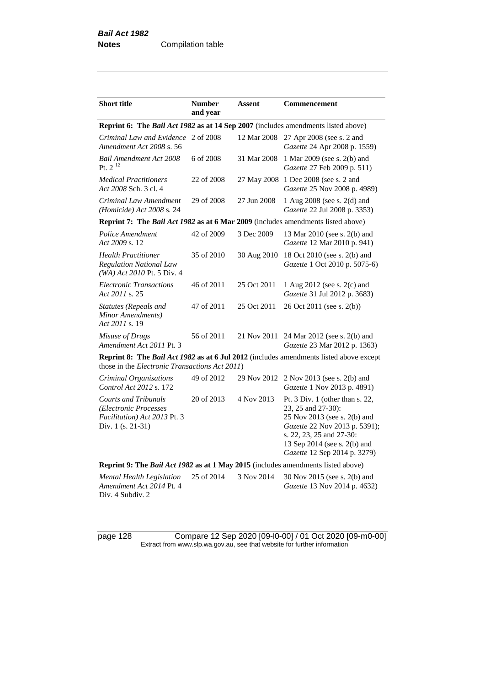| <b>Short title</b>                                                                                        | <b>Number</b><br>and year | Assent      | <b>Commencement</b>                                                                                                                                                                                                  |
|-----------------------------------------------------------------------------------------------------------|---------------------------|-------------|----------------------------------------------------------------------------------------------------------------------------------------------------------------------------------------------------------------------|
| Reprint 6: The Bail Act 1982 as at 14 Sep 2007 (includes amendments listed above)                         |                           |             |                                                                                                                                                                                                                      |
| Criminal Law and Evidence 2 of 2008<br>Amendment Act 2008 s. 56                                           |                           | 12 Mar 2008 | 27 Apr 2008 (see s. 2 and<br>Gazette 24 Apr 2008 p. 1559)                                                                                                                                                            |
| <b>Bail Amendment Act 2008</b><br>Pt. $2^{12}$                                                            | 6 of 2008                 | 31 Mar 2008 | 1 Mar 2009 (see s. 2(b) and<br>Gazette 27 Feb 2009 p. 511)                                                                                                                                                           |
| <b>Medical Practitioners</b><br>Act 2008 Sch. 3 cl. 4                                                     | 22 of 2008                | 27 May 2008 | 1 Dec 2008 (see s. 2 and<br>Gazette 25 Nov 2008 p. 4989)                                                                                                                                                             |
| Criminal Law Amendment<br>(Homicide) Act 2008 s. 24                                                       | 29 of 2008                | 27 Jun 2008 | 1 Aug 2008 (see s. 2(d) and<br>Gazette 22 Jul 2008 p. 3353)                                                                                                                                                          |
| Reprint 7: The Bail Act 1982 as at 6 Mar 2009 (includes amendments listed above)                          |                           |             |                                                                                                                                                                                                                      |
| Police Amendment<br>Act 2009 s. 12                                                                        | 42 of 2009                | 3 Dec 2009  | 13 Mar 2010 (see s. 2(b) and<br>Gazette 12 Mar 2010 p. 941)                                                                                                                                                          |
| <b>Health Practitioner</b><br><b>Regulation National Law</b><br>(WA) Act 2010 Pt. 5 Div. 4                | 35 of 2010                | 30 Aug 2010 | 18 Oct 2010 (see s. 2(b) and<br>Gazette 1 Oct 2010 p. 5075-6)                                                                                                                                                        |
| <b>Electronic Transactions</b><br>Act 2011 s. 25                                                          | 46 of 2011                | 25 Oct 2011 | 1 Aug 2012 (see s. 2(c) and<br>Gazette 31 Jul 2012 p. 3683)                                                                                                                                                          |
| Statutes (Repeals and<br>Minor Amendments)<br>Act 2011 s. 19                                              | 47 of 2011                | 25 Oct 2011 | 26 Oct 2011 (see s. 2(b))                                                                                                                                                                                            |
| Misuse of Drugs<br>Amendment Act 2011 Pt. 3                                                               | 56 of 2011                | 21 Nov 2011 | 24 Mar 2012 (see s. 2(b) and<br>Gazette 23 Mar 2012 p. 1363)                                                                                                                                                         |
| those in the Electronic Transactions Act 2011)                                                            |                           |             | <b>Reprint 8: The Bail Act 1982 as at 6 Jul 2012</b> (includes amendments listed above except                                                                                                                        |
| Criminal Organisations<br>Control Act 2012 s. 172                                                         | 49 of 2012                | 29 Nov 2012 | 2 Nov 2013 (see s. 2(b) and<br>Gazette 1 Nov 2013 p. 4891)                                                                                                                                                           |
| <b>Courts and Tribunals</b><br>(Electronic Processes<br>Facilitation) Act 2013 Pt. 3<br>Div. 1 (s. 21-31) | 20 of 2013                | 4 Nov 2013  | Pt. $3$ Div. 1 (other than s. 22,<br>23, 25 and 27-30):<br>25 Nov 2013 (see s. 2(b) and<br>Gazette 22 Nov 2013 p. 5391);<br>s. 22, 23, 25 and 27-30:<br>13 Sep 2014 (see s. 2(b) and<br>Gazette 12 Sep 2014 p. 3279) |
| Reprint 9: The Bail Act 1982 as at 1 May 2015 (includes amendments listed above)                          |                           |             |                                                                                                                                                                                                                      |
| Mental Health Legislation<br>Amendment Act 2014 Pt. 4<br>Div. 4 Subdiv. 2                                 | 25 of 2014                | 3 Nov 2014  | 30 Nov 2015 (see s. 2(b) and<br>Gazette 13 Nov 2014 p. 4632)                                                                                                                                                         |

page 128 Compare 12 Sep 2020 [09-l0-00] / 01 Oct 2020 [09-m0-00] Extract from www.slp.wa.gov.au, see that website for further information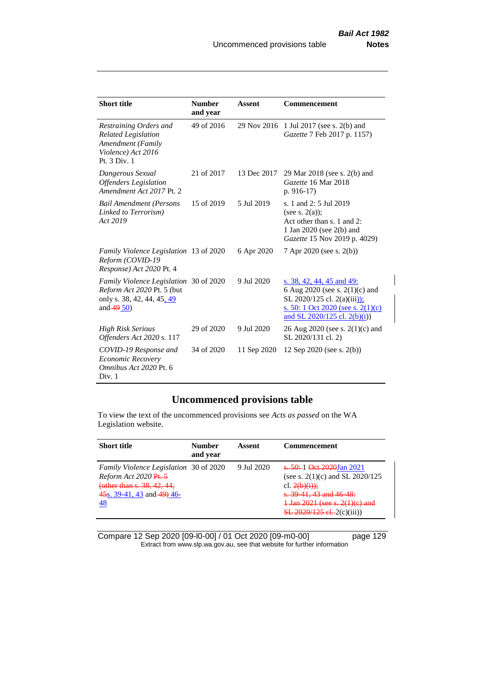| <b>Short title</b>                                                                                                        | <b>Number</b><br>and year | Assent      | Commencement                                                                                                                                                           |
|---------------------------------------------------------------------------------------------------------------------------|---------------------------|-------------|------------------------------------------------------------------------------------------------------------------------------------------------------------------------|
| Restraining Orders and<br><b>Related Legislation</b><br>Amendment (Family<br>Violence) Act 2016<br>Pt. 3 Div. 1           | 49 of 2016                | 29 Nov 2016 | 1 Jul 2017 (see s. 2(b) and<br>Gazette 7 Feb 2017 p. 1157)                                                                                                             |
| Dangerous Sexual<br><b>Offenders</b> Legislation<br>Amendment Act 2017 Pt. 2                                              | 21 of 2017                | 13 Dec 2017 | 29 Mar 2018 (see s. 2(b) and<br>Gazette 16 Mar 2018<br>$p. 916-17$                                                                                                     |
| <b>Bail Amendment (Persons</b><br>Linked to Terrorism)<br>Act 2019                                                        | 15 of 2019                | 5 Jul 2019  | s. 1 and 2: 5 Jul 2019<br>(see s. $2(a)$ );<br>Act other than s. 1 and 2:<br>1 Jan 2020 (see 2(b) and<br>Gazette 15 Nov 2019 p. 4029)                                  |
| <i>Family Violence Legislation</i> 13 of 2020<br>Reform (COVID-19<br>Response) Act 2020 Pt. 4                             |                           | 6 Apr 2020  | 7 Apr 2020 (see s. 2(b))                                                                                                                                               |
| Family Violence Legislation 30 of 2020<br>Reform Act 2020 Pt. 5 (but<br>only s. 38, 42, 44, 45, 49<br>and $\frac{49}{50}$ |                           | 9 Jul 2020  | s. 38, 42, 44, 45 and 49:<br>6 Aug 2020 (see s. 2(1)(c) and<br>SL 2020/125 cl. 2(a)(iii));<br>s. 50: 1 Oct 2020 (see s. $2(1)(c)$ )<br>and SL $2020/125$ cl. $2(b)(i)$ |
| <b>High Risk Serious</b><br>Offenders Act 2020 s. 117                                                                     | 29 of 2020                | 9 Jul 2020  | 26 Aug 2020 (see s. 2(1)(c) and<br>SL 2020/131 cl. 2)                                                                                                                  |
| COVID-19 Response and<br>Economic Recovery<br>Omnibus Act 2020 Pt. 6<br>Div. 1                                            | 34 of 2020                | 11 Sep 2020 | 12 Sep 2020 (see s. $2(b)$ )                                                                                                                                           |

# **Uncommenced provisions table**

To view the text of the uncommenced provisions see *Acts as passed* on the WA Legislation website.

| <b>Short title</b>                                                                                                                             | <b>Number</b><br>and year | Assent     | <b>Commencement</b>                                                                                                                                                                                                                                                                  |
|------------------------------------------------------------------------------------------------------------------------------------------------|---------------------------|------------|--------------------------------------------------------------------------------------------------------------------------------------------------------------------------------------------------------------------------------------------------------------------------------------|
| <i>Family Violence Legislation</i> 30 of 2020<br>Reform Act 2020 Pt. 5<br>(other than s. 38, 42, 44,<br>$45s$ , 39-41, 43 and $49$ ) 46-<br>48 |                           | 9 Jul 2020 | <del>s. 50:</del> 1 <del>Oct 2020</del> Jan 2021<br>(see s. $2(1)(c)$ and SL $2020/125$<br>cl. $2(b)(i)$ :<br>s. 39 41, 43 and 46 48:<br>$\frac{1 \text{ Jan } 2021 \text{ (see s. 2(1)(e) and }}{1 \text{ Jan } 2021 \text{ (see s. 2(1)(e) and}}}$<br>$SL$ 2020/125 el. 2(c)(iii)) |

Compare 12 Sep 2020 [09-l0-00] / 01 Oct 2020 [09-m0-00] page 129 Extract from www.slp.wa.gov.au, see that website for further information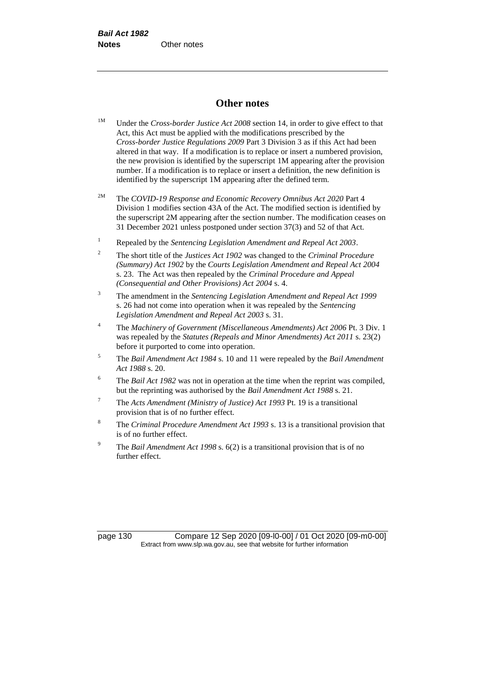### **Other notes**

- <sup>1M</sup> Under the *Cross-border Justice Act 2008* section 14, in order to give effect to that Act, this Act must be applied with the modifications prescribed by the *Cross-border Justice Regulations 2009* Part 3 Division 3 as if this Act had been altered in that way. If a modification is to replace or insert a numbered provision, the new provision is identified by the superscript 1M appearing after the provision number. If a modification is to replace or insert a definition, the new definition is identified by the superscript 1M appearing after the defined term.
- 2M The *COVID-19 Response and Economic Recovery Omnibus Act 2020* Part 4 Division 1 modifies section 43A of the Act. The modified section is identified by the superscript 2M appearing after the section number. The modification ceases on 31 December 2021 unless postponed under section 37(3) and 52 of that Act.
- <sup>1</sup> Repealed by the *Sentencing Legislation Amendment and Repeal Act 2003*.
- <sup>2</sup> The short title of the *Justices Act 1902* was changed to the *Criminal Procedure (Summary) Act 1902* by the *Courts Legislation Amendment and Repeal Act 2004*  s. 23. The Act was then repealed by the *Criminal Procedure and Appeal (Consequential and Other Provisions) Act 2004* s. 4.
- <sup>3</sup> The amendment in the *Sentencing Legislation Amendment and Repeal Act 1999* s. 26 had not come into operation when it was repealed by the *Sentencing Legislation Amendment and Repeal Act 2003* s. 31.
- <sup>4</sup> The *Machinery of Government (Miscellaneous Amendments) Act 2006* Pt. 3 Div. 1 was repealed by the *Statutes (Repeals and Minor Amendments) Act 2011* s. 23(2) before it purported to come into operation.
- <sup>5</sup> The *Bail Amendment Act 1984* s. 10 and 11 were repealed by the *Bail Amendment Act 1988* s. 20.
- <sup>6</sup> The *Bail Act 1982* was not in operation at the time when the reprint was compiled, but the reprinting was authorised by the *Bail Amendment Act 1988* s. 21.
- <sup>7</sup> The *Acts Amendment (Ministry of Justice) Act 1993* Pt. 19 is a transitional provision that is of no further effect.
- <sup>8</sup> The *Criminal Procedure Amendment Act 1993* s. 13 is a transitional provision that is of no further effect.
- <sup>9</sup> The *Bail Amendment Act 1998* s. 6(2) is a transitional provision that is of no further effect.

page 130 Compare 12 Sep 2020 [09-l0-00] / 01 Oct 2020 [09-m0-00] Extract from www.slp.wa.gov.au, see that website for further information